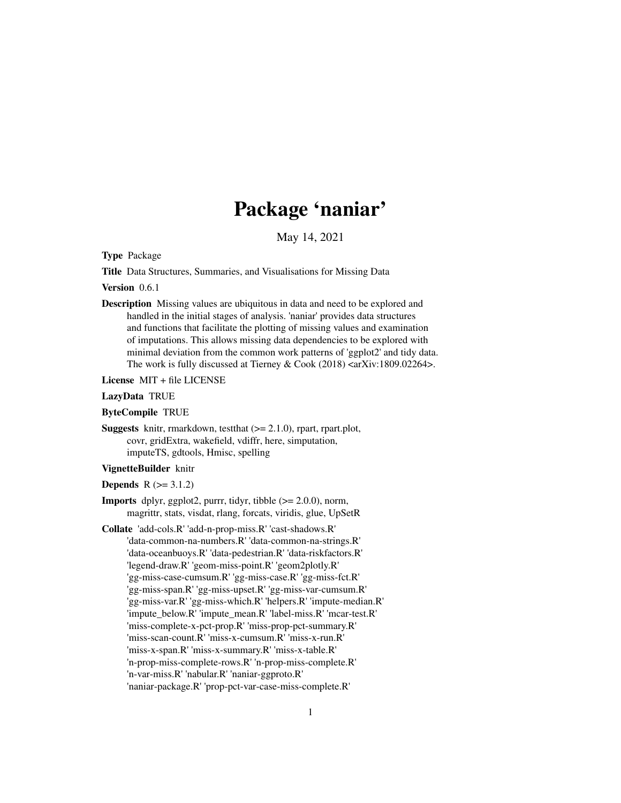# Package 'naniar'

May 14, 2021

<span id="page-0-0"></span>Type Package

Title Data Structures, Summaries, and Visualisations for Missing Data

Version 0.6.1

Description Missing values are ubiquitous in data and need to be explored and handled in the initial stages of analysis. 'naniar' provides data structures and functions that facilitate the plotting of missing values and examination of imputations. This allows missing data dependencies to be explored with minimal deviation from the common work patterns of 'ggplot2' and tidy data. The work is fully discussed at Tierney & Cook  $(2018)$  <arXiv:1809.02264>.

License MIT + file LICENSE

# LazyData TRUE

ByteCompile TRUE

**Suggests** knitr, rmarkdown, test that  $(>= 2.1.0)$ , rpart, rpart.plot, covr, gridExtra, wakefield, vdiffr, here, simputation, imputeTS, gdtools, Hmisc, spelling

# VignetteBuilder knitr

**Depends**  $R$  ( $> = 3.1.2$ )

- **Imports** dplyr, ggplot2, purrr, tidyr, tibble  $(>= 2.0.0)$ , norm, magrittr, stats, visdat, rlang, forcats, viridis, glue, UpSetR
- Collate 'add-cols.R' 'add-n-prop-miss.R' 'cast-shadows.R' 'data-common-na-numbers.R' 'data-common-na-strings.R' 'data-oceanbuoys.R' 'data-pedestrian.R' 'data-riskfactors.R' 'legend-draw.R' 'geom-miss-point.R' 'geom2plotly.R' 'gg-miss-case-cumsum.R' 'gg-miss-case.R' 'gg-miss-fct.R' 'gg-miss-span.R' 'gg-miss-upset.R' 'gg-miss-var-cumsum.R' 'gg-miss-var.R' 'gg-miss-which.R' 'helpers.R' 'impute-median.R' 'impute\_below.R' 'impute\_mean.R' 'label-miss.R' 'mcar-test.R' 'miss-complete-x-pct-prop.R' 'miss-prop-pct-summary.R' 'miss-scan-count.R' 'miss-x-cumsum.R' 'miss-x-run.R' 'miss-x-span.R' 'miss-x-summary.R' 'miss-x-table.R' 'n-prop-miss-complete-rows.R' 'n-prop-miss-complete.R' 'n-var-miss.R' 'nabular.R' 'naniar-ggproto.R' 'naniar-package.R' 'prop-pct-var-case-miss-complete.R'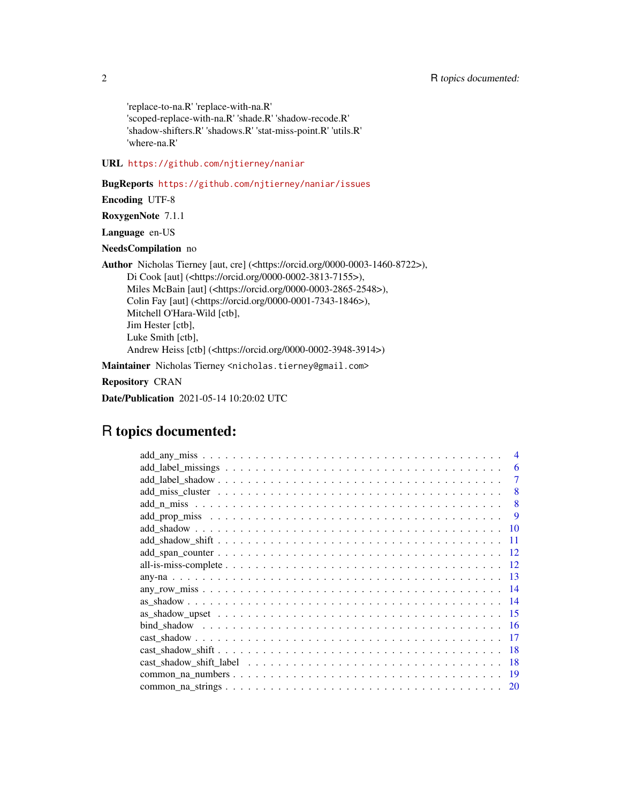'replace-to-na.R' 'replace-with-na.R' 'scoped-replace-with-na.R' 'shade.R' 'shadow-recode.R' 'shadow-shifters.R' 'shadows.R' 'stat-miss-point.R' 'utils.R' 'where-na.R'

URL <https://github.com/njtierney/naniar>

BugReports <https://github.com/njtierney/naniar/issues>

Encoding UTF-8

RoxygenNote 7.1.1

Language en-US

NeedsCompilation no

Author Nicholas Tierney [aut, cre] (<https://orcid.org/0000-0003-1460-8722>), Di Cook [aut] (<https://orcid.org/0000-0002-3813-7155>), Miles McBain [aut] (<https://orcid.org/0000-0003-2865-2548>), Colin Fay [aut] (<https://orcid.org/0000-0001-7343-1846>), Mitchell O'Hara-Wild [ctb], Jim Hester [ctb], Luke Smith [ctb], Andrew Heiss [ctb] (<https://orcid.org/0000-0002-3948-3914>)

Maintainer Nicholas Tierney <nicholas.tierney@gmail.com>

Repository CRAN

Date/Publication 2021-05-14 10:20:02 UTC

# R topics documented:

|                                                                                                           | 6         |
|-----------------------------------------------------------------------------------------------------------|-----------|
|                                                                                                           | 7         |
|                                                                                                           | 8         |
|                                                                                                           | 8         |
|                                                                                                           | 9         |
|                                                                                                           | -10       |
|                                                                                                           |           |
|                                                                                                           | 12        |
|                                                                                                           | 12        |
|                                                                                                           | -13       |
|                                                                                                           | -14       |
|                                                                                                           | -14       |
|                                                                                                           | -15       |
|                                                                                                           | -16       |
|                                                                                                           | 17        |
| $cast\_shadow\_shift \ldots \ldots \ldots \ldots \ldots \ldots \ldots \ldots \ldots \ldots \ldots \ldots$ | 18        |
|                                                                                                           | 18        |
|                                                                                                           | -19       |
|                                                                                                           | <b>20</b> |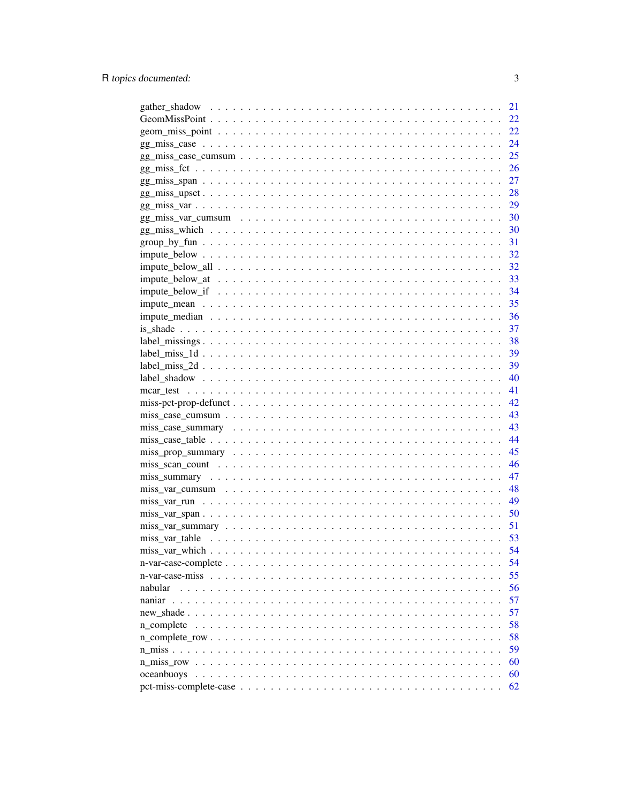|                   | 21 |
|-------------------|----|
|                   | 22 |
|                   | 22 |
|                   | 24 |
|                   | 25 |
|                   | 26 |
|                   | 27 |
|                   | 28 |
|                   | 29 |
|                   |    |
|                   |    |
| $group_by_fun$    |    |
|                   | 32 |
|                   | 32 |
|                   | 33 |
|                   | 34 |
|                   | 35 |
|                   | 36 |
|                   | 37 |
|                   | 38 |
| $label\_miss\_1d$ | 39 |
|                   | 39 |
|                   | 40 |
|                   | 41 |
|                   | 42 |
|                   | 43 |
|                   | 43 |
|                   | 44 |
|                   | 45 |
|                   | 46 |
|                   | 47 |
|                   | 48 |
|                   | 49 |
|                   | 50 |
|                   | 51 |
|                   | 53 |
|                   | 54 |
|                   | 54 |
|                   | 55 |
| nabular           | 56 |
|                   | 57 |
|                   | 57 |
| n complete        | 58 |
|                   | 58 |
|                   | 59 |
|                   | 60 |
| oceanbuoys        | 60 |
|                   | 62 |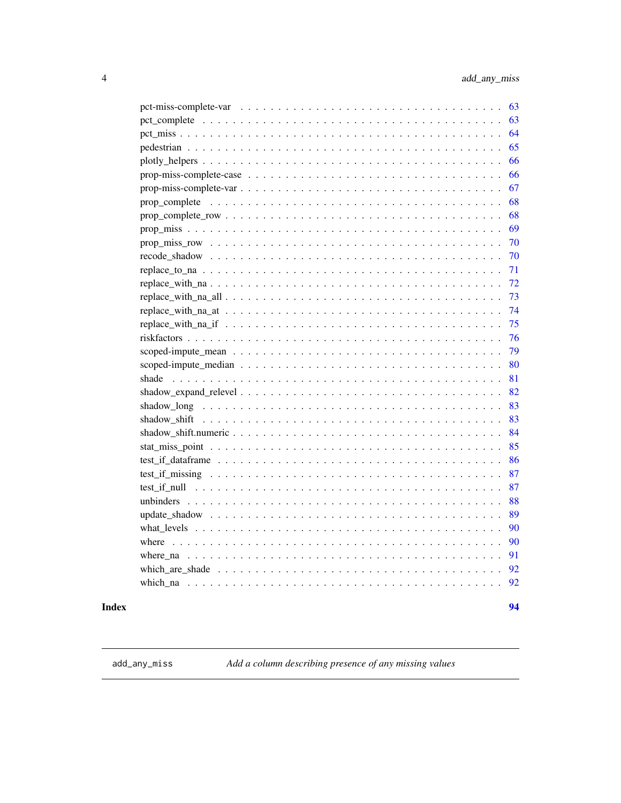94

<span id="page-3-0"></span>

| 63                                                                                                                            |
|-------------------------------------------------------------------------------------------------------------------------------|
| 63                                                                                                                            |
| 64                                                                                                                            |
| 65                                                                                                                            |
| 66                                                                                                                            |
| 66                                                                                                                            |
| 67                                                                                                                            |
| 68                                                                                                                            |
| 68                                                                                                                            |
| 69                                                                                                                            |
| $prop\_miss\_row \dots \dots \dots \dots \dots \dots \dots \dots \dots \dots \dots \dots \dots \dots \dots \dots \dots$<br>70 |
| 70                                                                                                                            |
| -71                                                                                                                           |
|                                                                                                                               |
| 73                                                                                                                            |
| 74                                                                                                                            |
| 75                                                                                                                            |
| 76                                                                                                                            |
| 79                                                                                                                            |
| 80                                                                                                                            |
| shade<br>81                                                                                                                   |
| 82                                                                                                                            |
| 83                                                                                                                            |
| 83                                                                                                                            |
| 84                                                                                                                            |
| 85                                                                                                                            |
| 86                                                                                                                            |
| 87                                                                                                                            |
| 87                                                                                                                            |
| 88                                                                                                                            |
| 89                                                                                                                            |
| 90                                                                                                                            |
| 90                                                                                                                            |
| 91                                                                                                                            |
|                                                                                                                               |
| 92                                                                                                                            |

# **Index**

<span id="page-3-1"></span>add\_any\_miss

Add a column describing presence of any missing values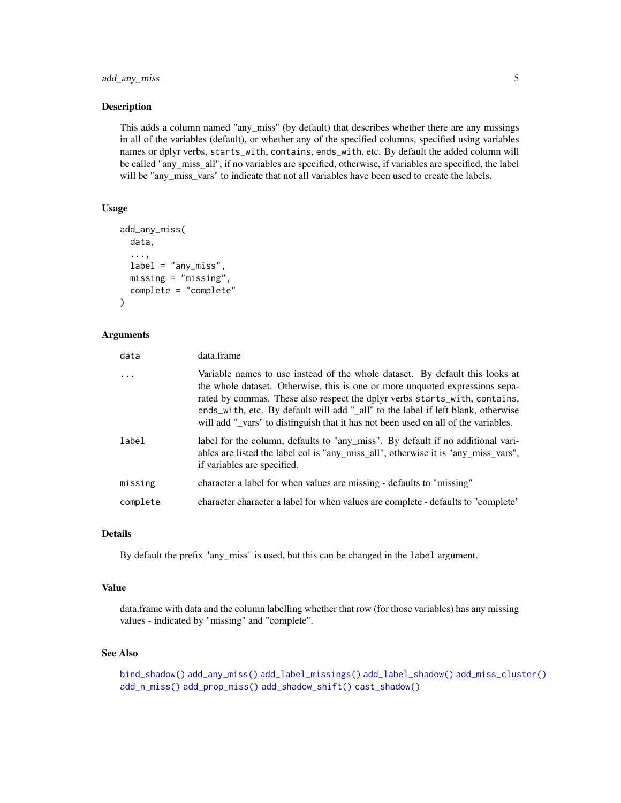This adds a column named "any\_miss" (by default) that describes whether there are any missings in all of the variables (default), or whether any of the specified columns, specified using variables names or dplyr verbs, starts\_with, contains, ends\_with, etc. By default the added column will be called "any\_miss\_all", if no variables are specified, otherwise, if variables are specified, the label will be "any\_miss\_vars" to indicate that not all variables have been used to create the labels.

#### Usage

```
add_any_miss(
  data,
  ...,
  label = "any_miss",
  missing = "missing",
  complete = "complete"
\lambda
```
# Arguments

| data     | data.frame                                                                                                                                                                                                                                                                                                                                                                                                           |
|----------|----------------------------------------------------------------------------------------------------------------------------------------------------------------------------------------------------------------------------------------------------------------------------------------------------------------------------------------------------------------------------------------------------------------------|
|          | Variable names to use instead of the whole dataset. By default this looks at<br>the whole dataset. Otherwise, this is one or more unquoted expressions sepa-<br>rated by commas. These also respect the dplyr verbs starts_with, contains,<br>ends_with, etc. By default will add "_all" to the label if left blank, otherwise<br>will add "_vars" to distinguish that it has not been used on all of the variables. |
| label    | label for the column, defaults to "any_miss". By default if no additional vari-<br>ables are listed the label col is "any_miss_all", otherwise it is "any_miss_vars",<br>if variables are specified.                                                                                                                                                                                                                 |
| missing  | character a label for when values are missing - defaults to "missing"                                                                                                                                                                                                                                                                                                                                                |
| complete | character character a label for when values are complete - defaults to "complete"                                                                                                                                                                                                                                                                                                                                    |

# Details

By default the prefix "any\_miss" is used, but this can be changed in the label argument.

## Value

data.frame with data and the column labelling whether that row (for those variables) has any missing values - indicated by "missing" and "complete".

# See Also

```
bind_shadow() add_any_miss() add_label_missings() add_label_shadow() add_miss_cluster()
add_n_miss() add_prop_miss() add_shadow_shift() cast_shadow()
```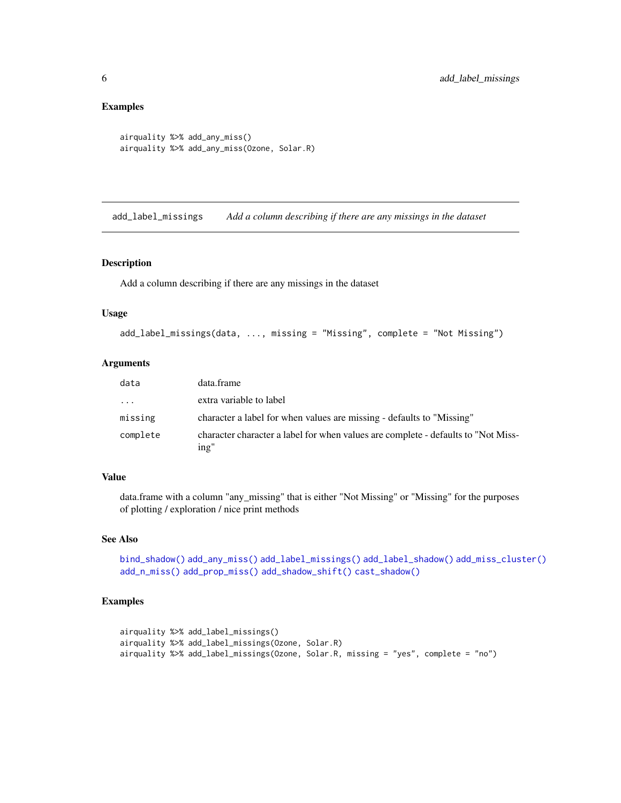#### Examples

```
airquality %>% add_any_miss()
airquality %>% add_any_miss(Ozone, Solar.R)
```
<span id="page-5-1"></span>add\_label\_missings *Add a column describing if there are any missings in the dataset*

## Description

Add a column describing if there are any missings in the dataset

#### Usage

```
add_label_missings(data, ..., missing = "Missing", complete = "Not Missing")
```
#### Arguments

| data     | data.frame                                                                                |
|----------|-------------------------------------------------------------------------------------------|
| .        | extra variable to label                                                                   |
| missing  | character a label for when values are missing - defaults to "Missing"                     |
| complete | character character a label for when values are complete - defaults to "Not Miss-<br>ing" |

#### Value

data.frame with a column "any\_missing" that is either "Not Missing" or "Missing" for the purposes of plotting / exploration / nice print methods

#### See Also

```
bind_shadow() add_any_miss() add_label_missings() add_label_shadow() add_miss_cluster()
add_n_miss() add_prop_miss() add_shadow_shift() cast_shadow()
```
# Examples

```
airquality %>% add_label_missings()
airquality %>% add_label_missings(Ozone, Solar.R)
airquality %>% add_label_missings(Ozone, Solar.R, missing = "yes", complete = "no")
```
<span id="page-5-0"></span>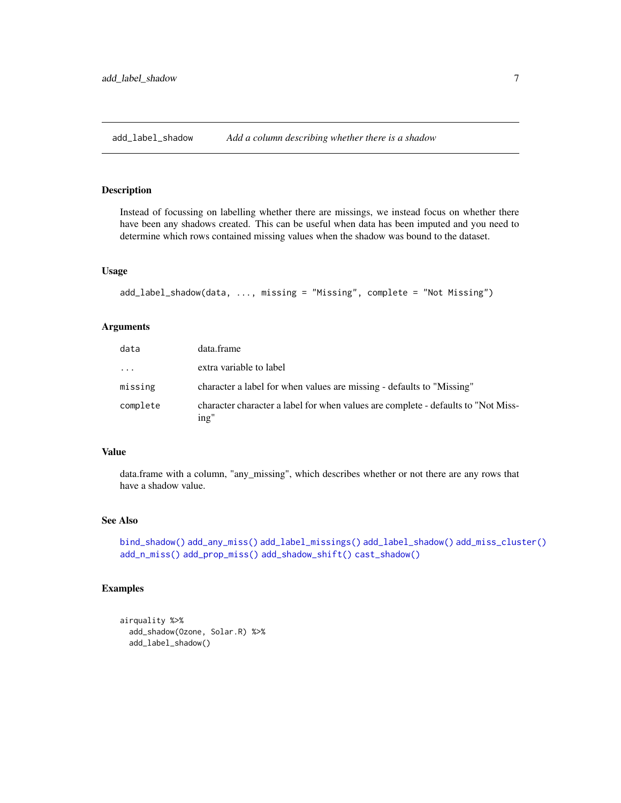<span id="page-6-1"></span><span id="page-6-0"></span>add\_label\_shadow *Add a column describing whether there is a shadow*

## Description

Instead of focussing on labelling whether there are missings, we instead focus on whether there have been any shadows created. This can be useful when data has been imputed and you need to determine which rows contained missing values when the shadow was bound to the dataset.

#### Usage

```
add_label_shadow(data, ..., missing = "Missing", complete = "Not Missing")
```
#### Arguments

| data     | data.frame                                                                                |
|----------|-------------------------------------------------------------------------------------------|
| $\cdots$ | extra variable to label                                                                   |
| missing  | character a label for when values are missing - defaults to "Missing"                     |
| complete | character character a label for when values are complete - defaults to "Not Miss-<br>ing" |

#### Value

data.frame with a column, "any\_missing", which describes whether or not there are any rows that have a shadow value.

# See Also

```
bind_shadow() add_any_miss() add_label_missings() add_label_shadow() add_miss_cluster()
add_n_miss() add_prop_miss() add_shadow_shift() cast_shadow()
```
#### Examples

```
airquality %>%
 add_shadow(Ozone, Solar.R) %>%
 add_label_shadow()
```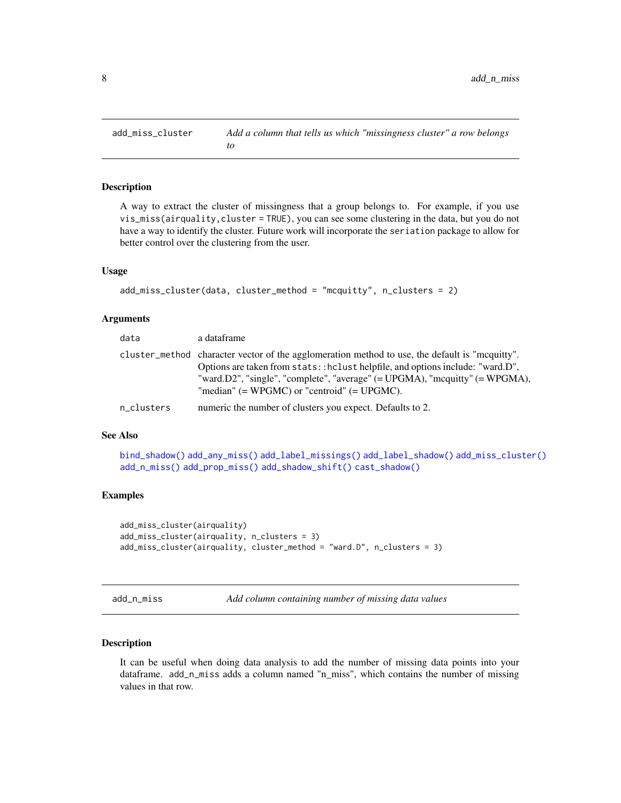A way to extract the cluster of missingness that a group belongs to. For example, if you use vis\_miss(airquality,cluster = TRUE), you can see some clustering in the data, but you do not have a way to identify the cluster. Future work will incorporate the seriation package to allow for better control over the clustering from the user.

#### Usage

```
add_miss_cluster(data, cluster_method = "mcquitty", n_clusters = 2)
```
#### Arguments

| data       | a dataframe                                                                                                                                                                                                                                                                                                           |
|------------|-----------------------------------------------------------------------------------------------------------------------------------------------------------------------------------------------------------------------------------------------------------------------------------------------------------------------|
|            | cluster method character vector of the agglomeration method to use, the default is "mequitty".<br>Options are taken from stats:: hclust helpfile, and options include: "ward.D",<br>"ward.D2", "single", "complete", "average" $(=UPGMA)$ , "mcquitty" $(=WPGMA)$ ,<br>"median" $(=WPGMC)$ or "centroid" $(=UPGMC)$ . |
| n_clusters | numeric the number of clusters you expect. Defaults to 2.                                                                                                                                                                                                                                                             |

#### See Also

[bind\\_shadow\(\)](#page-15-1) [add\\_any\\_miss\(\)](#page-3-1) [add\\_label\\_missings\(\)](#page-5-1) [add\\_label\\_shadow\(\)](#page-6-1) [add\\_miss\\_cluster\(\)](#page-7-1) [add\\_n\\_miss\(\)](#page-7-2) [add\\_prop\\_miss\(\)](#page-8-1) [add\\_shadow\\_shift\(\)](#page-10-1) [cast\\_shadow\(\)](#page-16-1)

# Examples

```
add_miss_cluster(airquality)
add_miss_cluster(airquality, n_clusters = 3)
add_miss_cluster(airquality, cluster_method = "ward.D", n_clusters = 3)
```
<span id="page-7-2"></span>add\_n\_miss *Add column containing number of missing data values*

## Description

It can be useful when doing data analysis to add the number of missing data points into your dataframe. add\_n\_miss adds a column named "n\_miss", which contains the number of missing values in that row.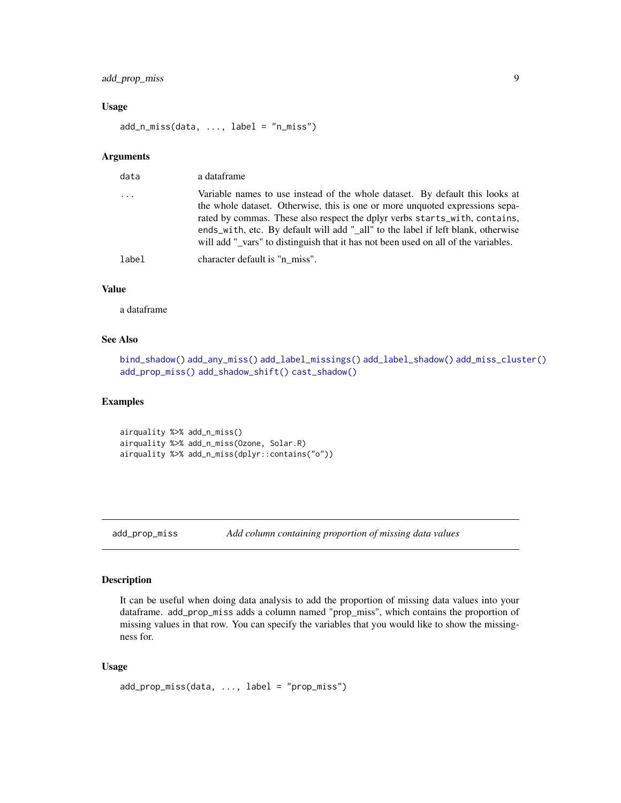# <span id="page-8-0"></span>add\_prop\_miss 9

#### Usage

add\_n\_miss(data, ..., label = "n\_miss")

## Arguments

| data                    | a dataframe                                                                                                                                                                                                                                                                                                                                                                                                          |
|-------------------------|----------------------------------------------------------------------------------------------------------------------------------------------------------------------------------------------------------------------------------------------------------------------------------------------------------------------------------------------------------------------------------------------------------------------|
| $\cdot$ $\cdot$ $\cdot$ | Variable names to use instead of the whole dataset. By default this looks at<br>the whole dataset. Otherwise, this is one or more unquoted expressions sepa-<br>rated by commas. These also respect the dplyr verbs starts_with, contains,<br>ends_with, etc. By default will add "_all" to the label if left blank, otherwise<br>will add "_vars" to distinguish that it has not been used on all of the variables. |
| label                   | character default is "n miss".                                                                                                                                                                                                                                                                                                                                                                                       |
|                         |                                                                                                                                                                                                                                                                                                                                                                                                                      |

## Value

a dataframe

## See Also

```
bind_shadow() add_any_miss() add_label_missings() add_label_shadow() add_miss_cluster()
add_prop_miss() add_shadow_shift() cast_shadow()
```
## Examples

```
airquality %>% add_n_miss()
airquality %>% add_n_miss(Ozone, Solar.R)
airquality %>% add_n_miss(dplyr::contains("o"))
```
<span id="page-8-1"></span>add\_prop\_miss *Add column containing proportion of missing data values*

# Description

It can be useful when doing data analysis to add the proportion of missing data values into your dataframe. add\_prop\_miss adds a column named "prop\_miss", which contains the proportion of missing values in that row. You can specify the variables that you would like to show the missingness for.

#### Usage

```
add_prop_miss(data, ..., label = "prop_miss")
```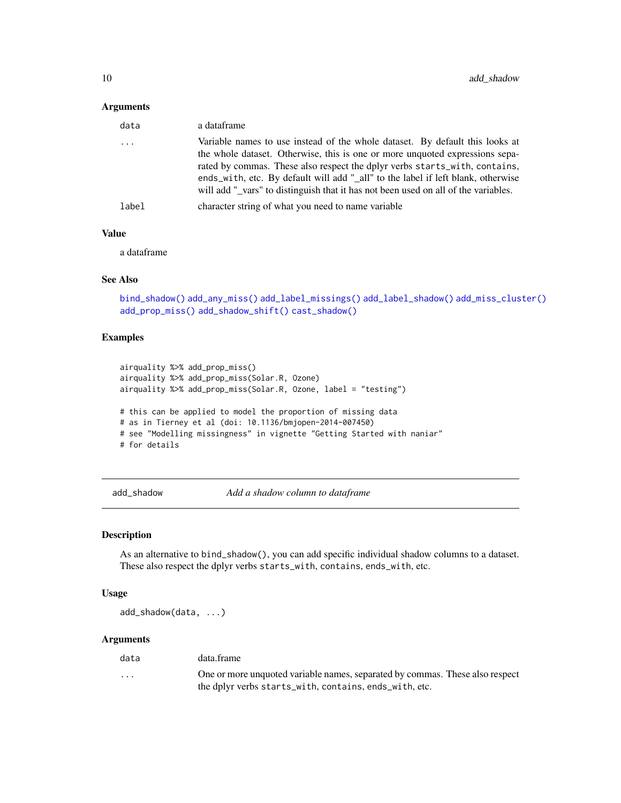#### <span id="page-9-0"></span>Arguments

| data     | a dataframe                                                                                                                                                                                                                                                                                                                                                                                                          |
|----------|----------------------------------------------------------------------------------------------------------------------------------------------------------------------------------------------------------------------------------------------------------------------------------------------------------------------------------------------------------------------------------------------------------------------|
| $\cdots$ | Variable names to use instead of the whole dataset. By default this looks at<br>the whole dataset. Otherwise, this is one or more unquoted expressions sepa-<br>rated by commas. These also respect the dplyr verbs starts_with, contains,<br>ends_with, etc. By default will add "_all" to the label if left blank, otherwise<br>will add " vars" to distinguish that it has not been used on all of the variables. |
| label    | character string of what you need to name variable                                                                                                                                                                                                                                                                                                                                                                   |
|          |                                                                                                                                                                                                                                                                                                                                                                                                                      |

## Value

a dataframe

# See Also

[bind\\_shadow\(\)](#page-15-1) [add\\_any\\_miss\(\)](#page-3-1) [add\\_label\\_missings\(\)](#page-5-1) [add\\_label\\_shadow\(\)](#page-6-1) [add\\_miss\\_cluster\(\)](#page-7-1) [add\\_prop\\_miss\(\)](#page-8-1) [add\\_shadow\\_shift\(\)](#page-10-1) [cast\\_shadow\(\)](#page-16-1)

#### Examples

```
airquality %>% add_prop_miss()
airquality %>% add_prop_miss(Solar.R, Ozone)
airquality %>% add_prop_miss(Solar.R, Ozone, label = "testing")
# this can be applied to model the proportion of missing data
# as in Tierney et al (doi: 10.1136/bmjopen-2014-007450)
# see "Modelling missingness" in vignette "Getting Started with naniar"
# for details
```
add\_shadow *Add a shadow column to dataframe*

# Description

As an alternative to bind\_shadow(), you can add specific individual shadow columns to a dataset. These also respect the dplyr verbs starts\_with, contains, ends\_with, etc.

#### Usage

add\_shadow(data, ...)

#### Arguments

| data     | data.frame                                                                                                                             |
|----------|----------------------------------------------------------------------------------------------------------------------------------------|
| $\cdots$ | One or more unquoted variable names, separated by commas. These also respect<br>the dplyr verbs starts_with, contains, ends_with, etc. |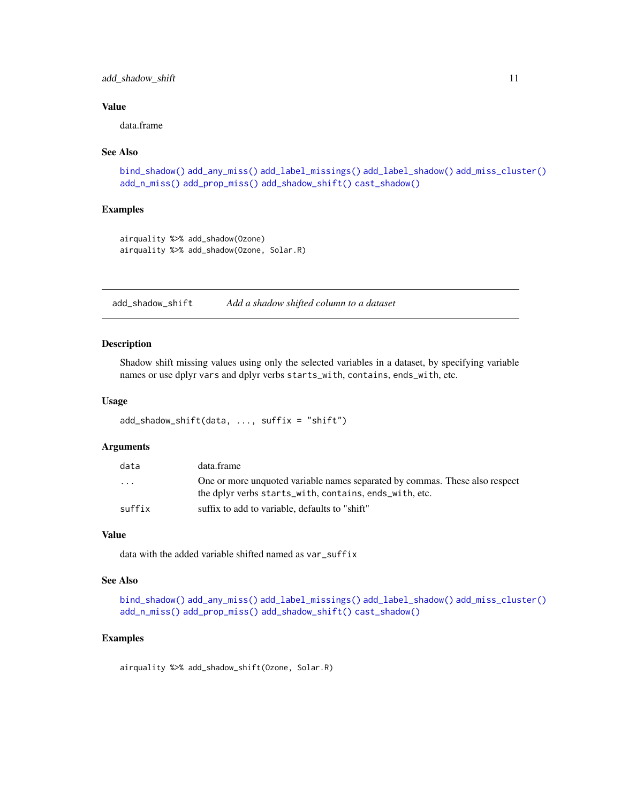# <span id="page-10-0"></span>add\_shadow\_shift 11

#### Value

data.frame

#### See Also

```
bind_shadow() add_any_miss() add_label_missings() add_label_shadow() add_miss_cluster()
add_n_miss() add_prop_miss() add_shadow_shift() cast_shadow()
```
## Examples

```
airquality %>% add_shadow(Ozone)
airquality %>% add_shadow(Ozone, Solar.R)
```
<span id="page-10-1"></span>add\_shadow\_shift *Add a shadow shifted column to a dataset*

#### Description

Shadow shift missing values using only the selected variables in a dataset, by specifying variable names or use dplyr vars and dplyr verbs starts\_with, contains, ends\_with, etc.

#### Usage

```
add_shadow_shift(data, ..., suffix = "shift")
```
#### Arguments

| data                    | data.frame                                                                                                                            |
|-------------------------|---------------------------------------------------------------------------------------------------------------------------------------|
| $\cdot$ $\cdot$ $\cdot$ | One or more unquoted variable names separated by commas. These also respect<br>the dplyr verbs starts_with, contains, ends_with, etc. |
| suffix                  | suffix to add to variable, defaults to "shift"                                                                                        |

#### Value

data with the added variable shifted named as var\_suffix

#### See Also

```
bind_shadow() add_any_miss() add_label_missings() add_label_shadow() add_miss_cluster()
add_n_miss() add_prop_miss() add_shadow_shift() cast_shadow()
```
#### Examples

airquality %>% add\_shadow\_shift(Ozone, Solar.R)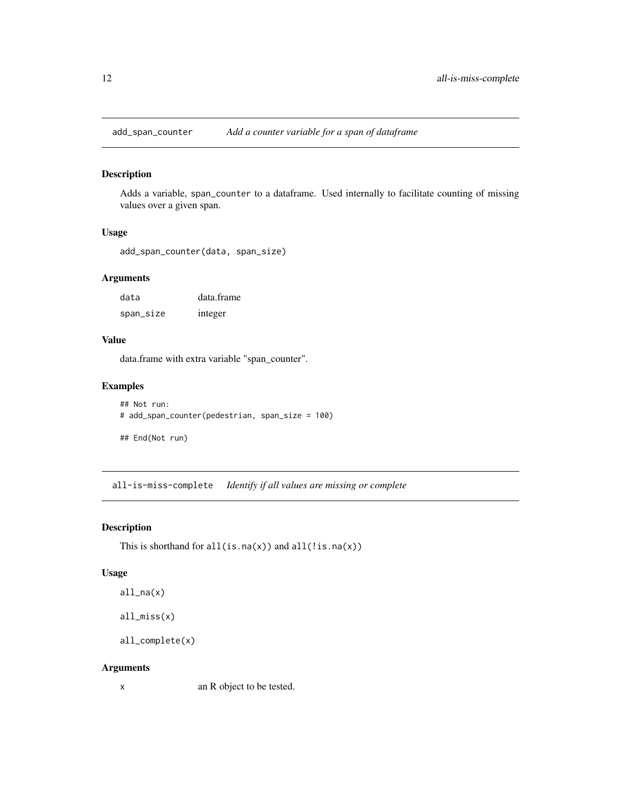<span id="page-11-0"></span>add\_span\_counter *Add a counter variable for a span of dataframe*

# Description

Adds a variable, span\_counter to a dataframe. Used internally to facilitate counting of missing values over a given span.

#### Usage

```
add_span_counter(data, span_size)
```
# Arguments

| data      | data.frame |  |
|-----------|------------|--|
| span_size | integer    |  |

## Value

data.frame with extra variable "span\_counter".

# Examples

```
## Not run:
# add_span_counter(pedestrian, span_size = 100)
```
## End(Not run)

all-is-miss-complete *Identify if all values are missing or complete*

#### <span id="page-11-1"></span>Description

This is shorthand for  $all(is.na(x))$  and  $all(!is.na(x))$ 

#### Usage

```
all_na(x)
```
all\_miss(x)

```
all_complete(x)
```
#### Arguments

x an R object to be tested.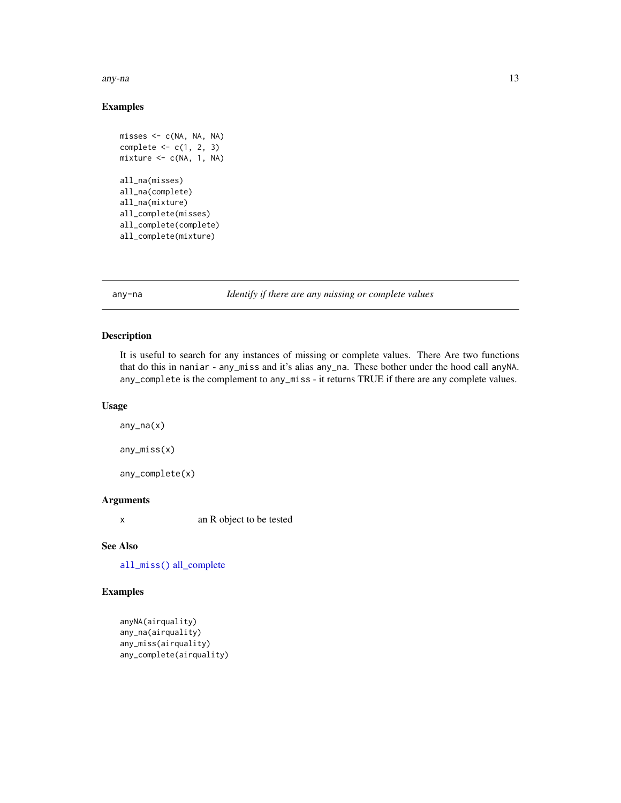<span id="page-12-0"></span>any-na 2008–2014. Ilaa ku siyaasaa 13 maanda 13 maanda 13 maanda 13 maanda 13 maanda 13 maanda 13 maanda 13 maanda 13 maanda 13 maanda 13 maanda 13 maanda 13 maanda 13 maanda 13 maanda 13 maanda 13 maanda 13 maanda 13 maan

# Examples

```
misses <- c(NA, NA, NA)
complete <-c(1, 2, 3)mixture <- c(NA, 1, NA)
all_na(misses)
all_na(complete)
all_na(mixture)
all_complete(misses)
all_complete(complete)
all_complete(mixture)
```
any-na *Identify if there are any missing or complete values*

# Description

It is useful to search for any instances of missing or complete values. There Are two functions that do this in naniar - any\_miss and it's alias any\_na. These bother under the hood call anyNA. any\_complete is the complement to any\_miss - it returns TRUE if there are any complete values.

## Usage

 $any\_na(x)$ any\_miss(x)

any\_complete(x)

#### Arguments

x an R object to be tested

## See Also

[all\\_miss\(\)](#page-11-1) [all\\_complete](#page-11-1)

# Examples

```
anyNA(airquality)
any_na(airquality)
any_miss(airquality)
any_complete(airquality)
```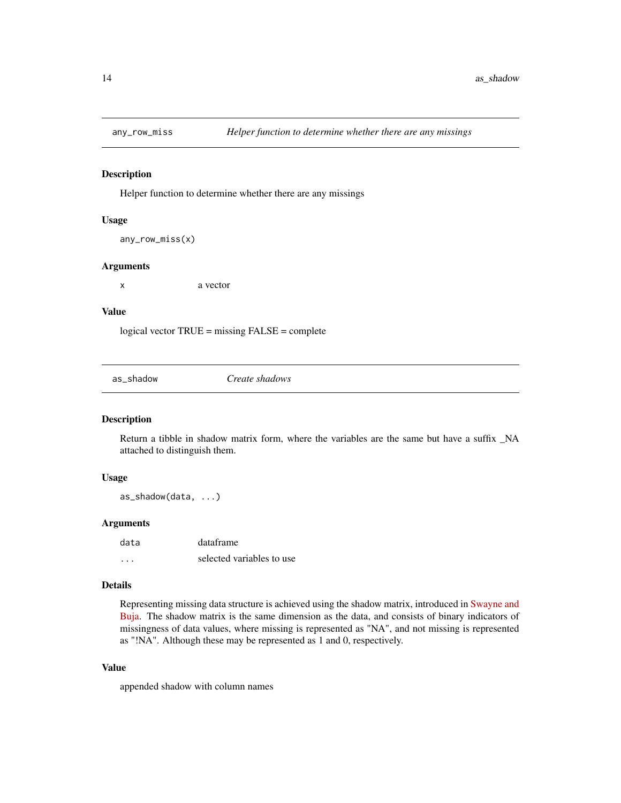<span id="page-13-0"></span>

Helper function to determine whether there are any missings

#### Usage

```
any_row_miss(x)
```
#### Arguments

x a vector

#### Value

logical vector TRUE = missing FALSE = complete

as\_shadow *Create shadows*

## Description

Return a tibble in shadow matrix form, where the variables are the same but have a suffix \_NA attached to distinguish them.

#### Usage

as\_shadow(data, ...)

## Arguments

| data | dataframe                 |
|------|---------------------------|
| .    | selected variables to use |

# Details

Representing missing data structure is achieved using the shadow matrix, introduced in [Swayne and](https://www.researchgate.net/publication/2758672_Missing_Data_in_Interactive_High-Dimensional_Data_Visualization) [Buja.](https://www.researchgate.net/publication/2758672_Missing_Data_in_Interactive_High-Dimensional_Data_Visualization) The shadow matrix is the same dimension as the data, and consists of binary indicators of missingness of data values, where missing is represented as "NA", and not missing is represented as "!NA". Although these may be represented as 1 and 0, respectively.

# Value

appended shadow with column names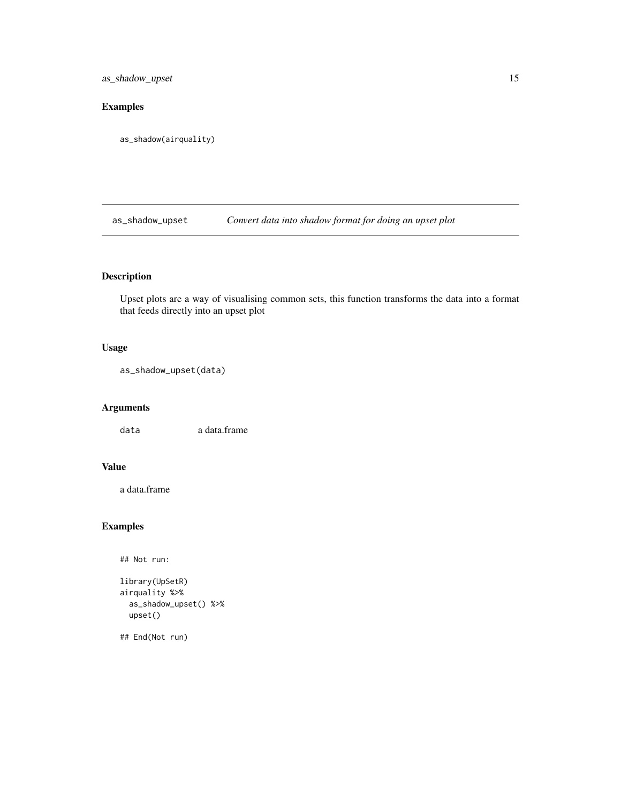<span id="page-14-0"></span>as\_shadow\_upset 15

# Examples

as\_shadow(airquality)

as\_shadow\_upset *Convert data into shadow format for doing an upset plot*

# Description

Upset plots are a way of visualising common sets, this function transforms the data into a format that feeds directly into an upset plot

# Usage

as\_shadow\_upset(data)

# Arguments

data a data.frame

## Value

a data.frame

# Examples

## Not run:

```
library(UpSetR)
airquality %>%
  as_shadow_upset() %>%
  upset()
```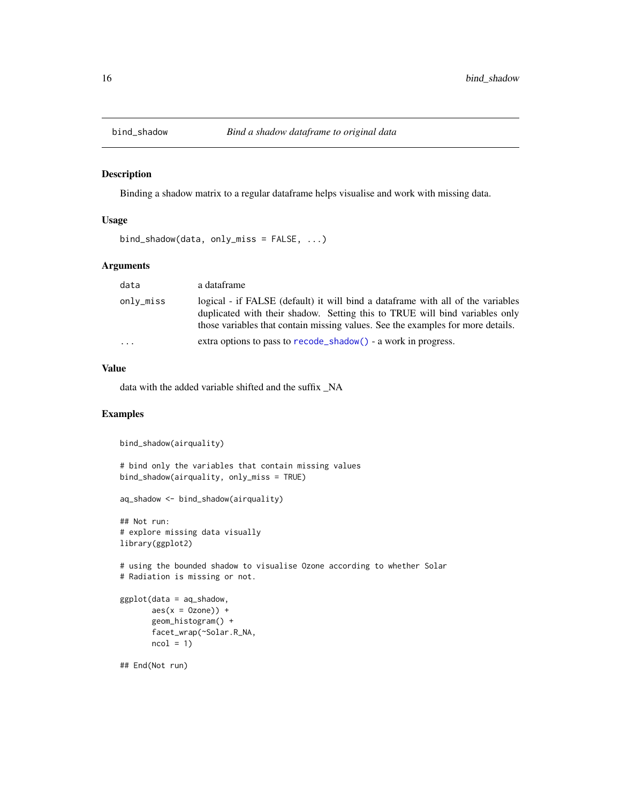<span id="page-15-1"></span><span id="page-15-0"></span>

Binding a shadow matrix to a regular dataframe helps visualise and work with missing data.

#### Usage

```
bind_shadow(data, only_miss = FALSE, ...)
```
# Arguments

| data      | a dataframe                                                                                                                                                                                                                                       |
|-----------|---------------------------------------------------------------------------------------------------------------------------------------------------------------------------------------------------------------------------------------------------|
| only_miss | logical - if FALSE (default) it will bind a dataframe with all of the variables<br>duplicated with their shadow. Setting this to TRUE will bind variables only<br>those variables that contain missing values. See the examples for more details. |
| $\cdot$   | extra options to pass to recode_shadow() - a work in progress.                                                                                                                                                                                    |

## Value

data with the added variable shifted and the suffix \_NA

#### Examples

```
bind_shadow(airquality)
```

```
# bind only the variables that contain missing values
bind_shadow(airquality, only_miss = TRUE)
```

```
aq_shadow <- bind_shadow(airquality)
```

```
## Not run:
# explore missing data visually
library(ggplot2)
```
# using the bounded shadow to visualise Ozone according to whether Solar # Radiation is missing or not.

```
ggplot(data = aq_shadow,
       \text{aes}(x = 0 \text{zone}) +
       geom_histogram() +
       facet_wrap(~Solar.R_NA,
       ncol = 1
```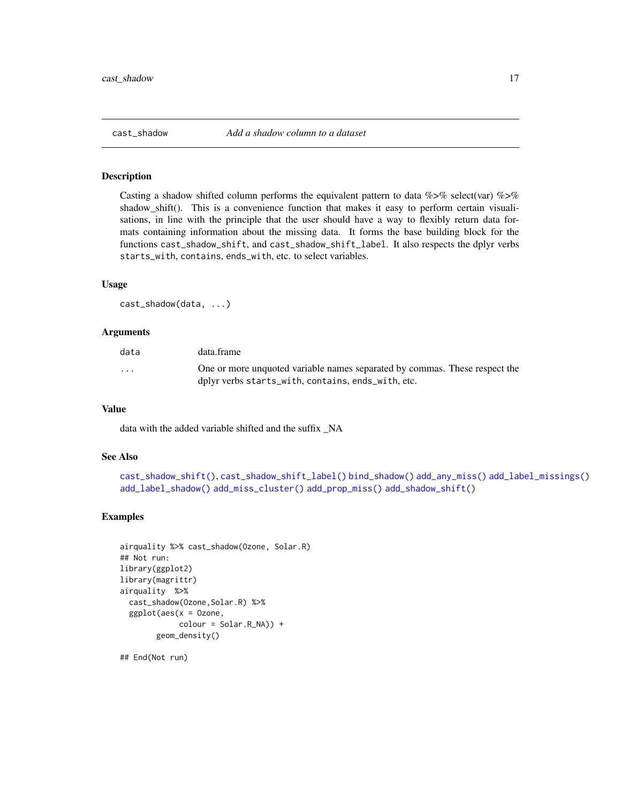<span id="page-16-1"></span><span id="page-16-0"></span>Casting a shadow shifted column performs the equivalent pattern to data  $\%>$ % select(var)  $\%>$ % shadow\_shift(). This is a convenience function that makes it easy to perform certain visualisations, in line with the principle that the user should have a way to flexibly return data formats containing information about the missing data. It forms the base building block for the functions cast\_shadow\_shift, and cast\_shadow\_shift\_label. It also respects the dplyr verbs starts\_with, contains, ends\_with, etc. to select variables.

#### Usage

```
cast_shadow(data, ...)
```
#### Arguments

| data                    | data.frame                                                                                                                       |
|-------------------------|----------------------------------------------------------------------------------------------------------------------------------|
| $\cdot$ $\cdot$ $\cdot$ | One or more unquoted variable names separated by commas. These respect the<br>dplyr verbs starts_with, contains, ends_with, etc. |

#### Value

data with the added variable shifted and the suffix \_NA

## See Also

```
cast_shadow_shift(), cast_shadow_shift_label() bind_shadow() add_any_miss() add_label_missings()
add_label_shadow() add_miss_cluster() add_prop_miss() add_shadow_shift()
```
## Examples

```
airquality %>% cast_shadow(Ozone, Solar.R)
## Not run:
library(ggplot2)
library(magrittr)
airquality %>%
 cast_shadow(Ozone,Solar.R) %>%
 ggplot(aes(x = Ozone,
            colour = Solar.R_NA)) +
        geom_density()
```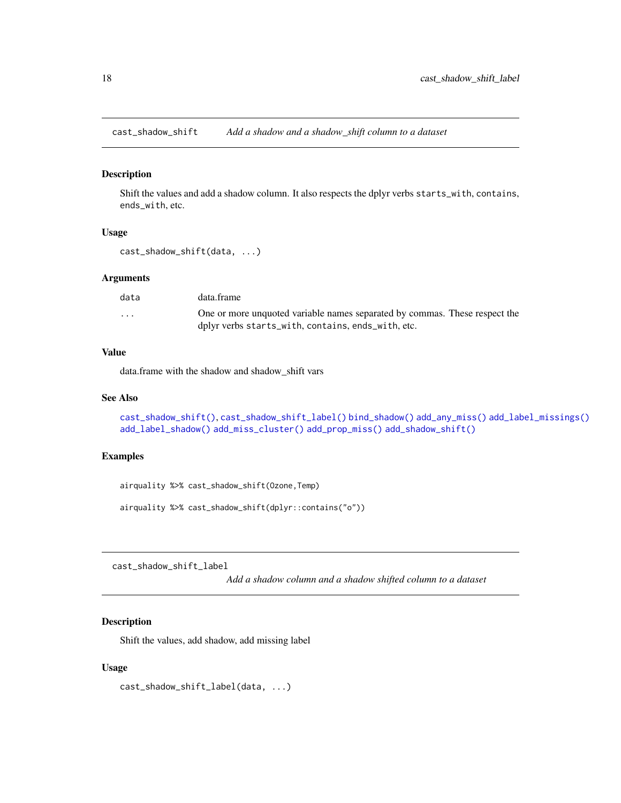<span id="page-17-1"></span><span id="page-17-0"></span>cast\_shadow\_shift *Add a shadow and a shadow\_shift column to a dataset*

## Description

Shift the values and add a shadow column. It also respects the dplyr verbs starts\_with, contains, ends\_with, etc.

#### Usage

```
cast_shadow_shift(data, ...)
```
# Arguments

| data                    | data.frame                                                                 |
|-------------------------|----------------------------------------------------------------------------|
| $\cdot$ $\cdot$ $\cdot$ | One or more unquoted variable names separated by commas. These respect the |
|                         | dplyr verbs starts_with, contains, ends_with, etc.                         |

## Value

data.frame with the shadow and shadow\_shift vars

#### See Also

```
cast_shadow_shift(), cast_shadow_shift_label() bind_shadow() add_any_miss() add_label_missings()
add_label_shadow() add_miss_cluster() add_prop_miss() add_shadow_shift()
```
## Examples

airquality %>% cast\_shadow\_shift(Ozone,Temp)

airquality %>% cast\_shadow\_shift(dplyr::contains("o"))

<span id="page-17-2"></span>cast\_shadow\_shift\_label

*Add a shadow column and a shadow shifted column to a dataset*

# Description

Shift the values, add shadow, add missing label

#### Usage

cast\_shadow\_shift\_label(data, ...)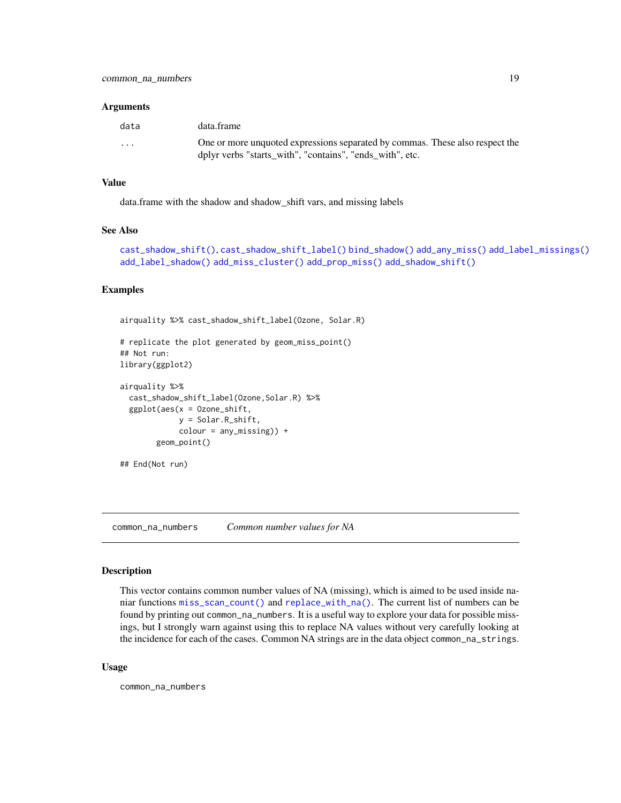#### <span id="page-18-0"></span>Arguments

| data     | data.frame                                                                                                                               |
|----------|------------------------------------------------------------------------------------------------------------------------------------------|
| $\cdots$ | One or more unquoted expressions separated by commas. These also respect the<br>dplyr verbs "starts with", "contains", "ends with", etc. |

#### Value

data.frame with the shadow and shadow\_shift vars, and missing labels

#### See Also

```
cast_shadow_shift(), cast_shadow_shift_label() bind_shadow() add_any_miss() add_label_missings()
add_label_shadow() add_miss_cluster() add_prop_miss() add_shadow_shift()
```
# Examples

airquality %>% cast\_shadow\_shift\_label(Ozone, Solar.R)

```
# replicate the plot generated by geom_miss_point()
## Not run:
library(ggplot2)
```

```
airquality %>%
 cast_shadow_shift_label(Ozone,Solar.R) %>%
 ggplot(aes(x = 0zone\_shift,y = Solar.R_shift,
            color = any_missing) +
       geom_point()
```

```
## End(Not run)
```
common\_na\_numbers *Common number values for NA*

#### Description

This vector contains common number values of NA (missing), which is aimed to be used inside naniar functions [miss\\_scan\\_count\(\)](#page-45-1) and [replace\\_with\\_na\(\)](#page-71-1). The current list of numbers can be found by printing out common\_na\_numbers. It is a useful way to explore your data for possible missings, but I strongly warn against using this to replace NA values without very carefully looking at the incidence for each of the cases. Common NA strings are in the data object common\_na\_strings.

#### Usage

common\_na\_numbers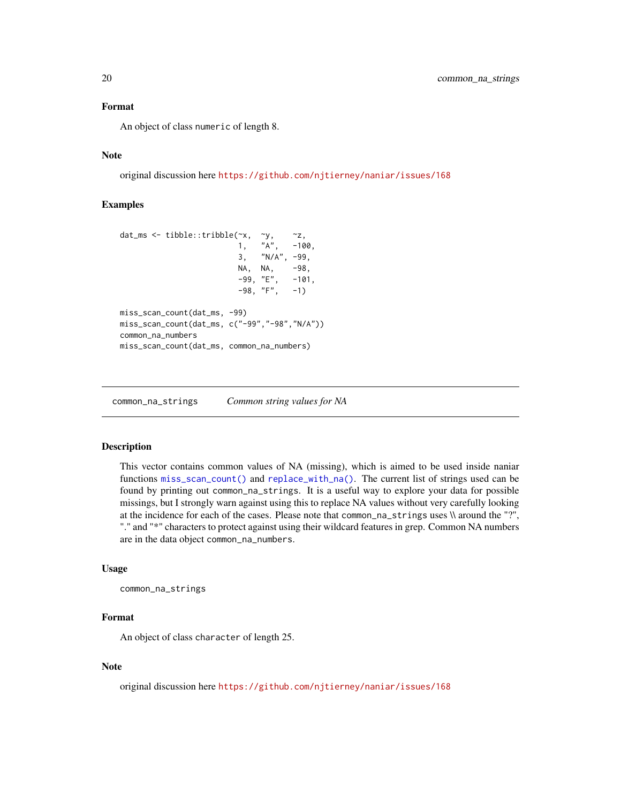#### <span id="page-19-0"></span>Format

An object of class numeric of length 8.

# Note

original discussion here <https://github.com/njtierney/naniar/issues/168>

## Examples

```
dat_ms <- tibble::tribble(\alphax, \alphay, \alphaz, \alpha)<br>1, "A", -10
                              1, "A", -100,
                              3, "N/A", -99,
                              NA, NA, -98,<br>-99, "E", -101,
                              -99, "E", -101,
                              -98, "F", -1)miss_scan_count(dat_ms, -99)
miss_scan_count(dat_ms, c("-99","-98","N/A"))
common_na_numbers
miss_scan_count(dat_ms, common_na_numbers)
```
common\_na\_strings *Common string values for NA*

#### **Description**

This vector contains common values of NA (missing), which is aimed to be used inside naniar functions [miss\\_scan\\_count\(\)](#page-45-1) and [replace\\_with\\_na\(\)](#page-71-1). The current list of strings used can be found by printing out common\_na\_strings. It is a useful way to explore your data for possible missings, but I strongly warn against using this to replace NA values without very carefully looking at the incidence for each of the cases. Please note that common\_na\_strings uses \\ around the "?", "." and "\*" characters to protect against using their wildcard features in grep. Common NA numbers are in the data object common\_na\_numbers.

#### Usage

```
common_na_strings
```
#### Format

An object of class character of length 25.

#### Note

original discussion here <https://github.com/njtierney/naniar/issues/168>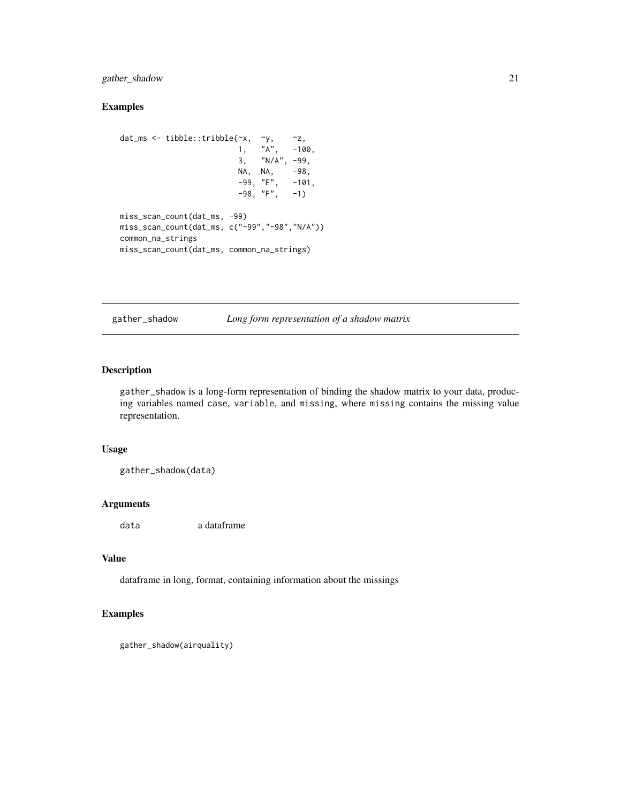# <span id="page-20-0"></span>gather\_shadow 21

# Examples

```
dat_ms <- tibble::tribble(~x, ~y, ~z,
                        1, "A", -100,
                        3, "N/A", -99,
                        NA, NA, -98,
                        -99, "E", -101,-98, "F", -1)miss_scan_count(dat_ms, -99)
miss_scan_count(dat_ms, c("-99","-98","N/A"))
common_na_strings
miss_scan_count(dat_ms, common_na_strings)
```
gather\_shadow *Long form representation of a shadow matrix*

#### Description

gather\_shadow is a long-form representation of binding the shadow matrix to your data, producing variables named case, variable, and missing, where missing contains the missing value representation.

#### Usage

gather\_shadow(data)

### Arguments

data a dataframe

## Value

dataframe in long, format, containing information about the missings

# Examples

```
gather_shadow(airquality)
```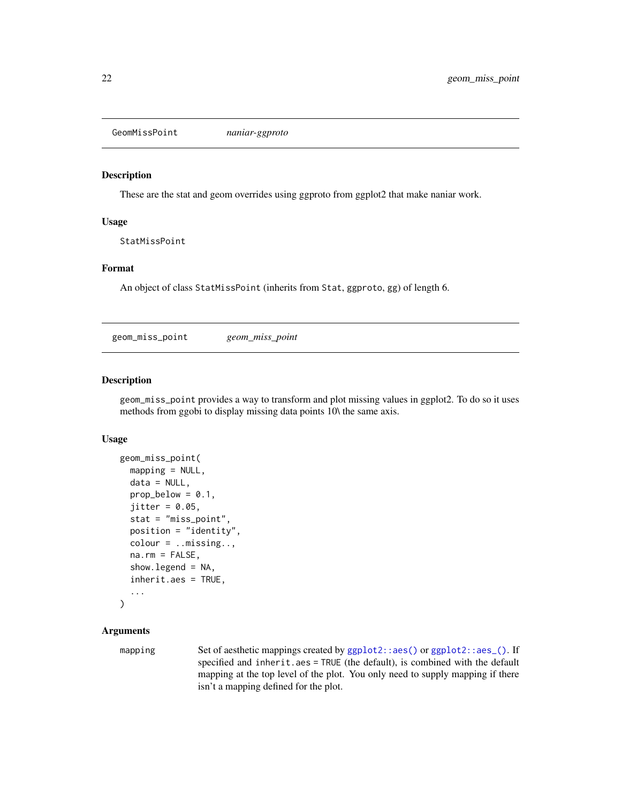<span id="page-21-0"></span>GeomMissPoint *naniar-ggproto*

#### Description

These are the stat and geom overrides using ggproto from ggplot2 that make naniar work.

#### Usage

StatMissPoint

#### Format

An object of class StatMissPoint (inherits from Stat, ggproto, gg) of length 6.

<span id="page-21-1"></span>geom\_miss\_point *geom\_miss\_point*

## Description

geom\_miss\_point provides a way to transform and plot missing values in ggplot2. To do so it uses methods from ggobi to display missing data points 10\ the same axis.

#### Usage

```
geom_miss_point(
  mapping = NULL,
  data = NULL,
  prop\_below = 0.1,
  jitter = 0.05,stat = "miss_point",
  position = "identity",
  colour = ..missing..,
  na.rm = FALSE,show.legend = NA,
  inherit.aes = TRUE,
  ...
```

```
)
```
## Arguments

mapping Set of aesthetic mappings created by [ggplot2::aes\(\)](#page-0-0) or [ggplot2::aes\\_\(\)](#page-0-0). If specified and inherit.aes = TRUE (the default), is combined with the default mapping at the top level of the plot. You only need to supply mapping if there isn't a mapping defined for the plot.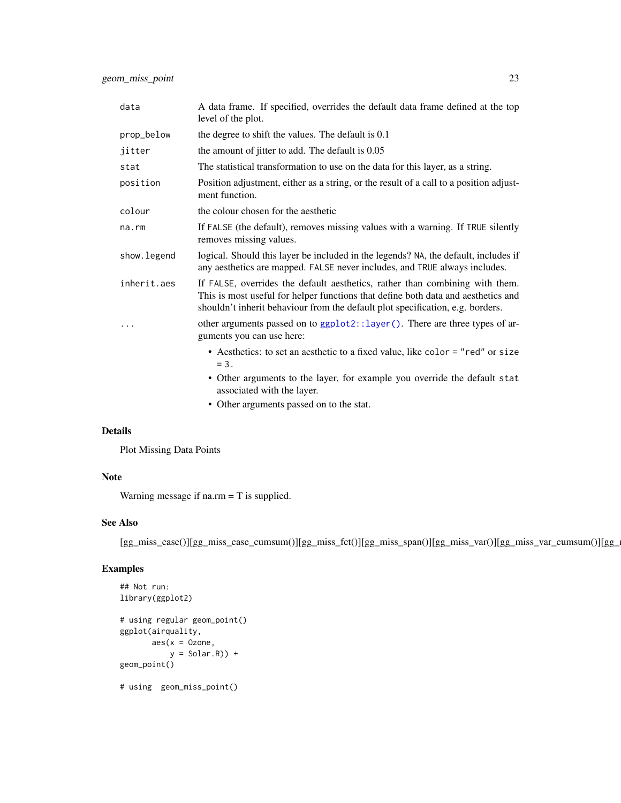geom\_miss\_point 23

| data        | A data frame. If specified, overrides the default data frame defined at the top<br>level of the plot.                                                                                                                                               |
|-------------|-----------------------------------------------------------------------------------------------------------------------------------------------------------------------------------------------------------------------------------------------------|
| prop_below  | the degree to shift the values. The default is 0.1                                                                                                                                                                                                  |
| jitter      | the amount of jitter to add. The default is 0.05                                                                                                                                                                                                    |
| stat        | The statistical transformation to use on the data for this layer, as a string.                                                                                                                                                                      |
| position    | Position adjustment, either as a string, or the result of a call to a position adjust-<br>ment function.                                                                                                                                            |
| colour      | the colour chosen for the aesthetic                                                                                                                                                                                                                 |
| na.rm       | If FALSE (the default), removes missing values with a warning. If TRUE silently<br>removes missing values.                                                                                                                                          |
| show.legend | logical. Should this layer be included in the legends? NA, the default, includes if<br>any aesthetics are mapped. FALSE never includes, and TRUE always includes.                                                                                   |
| inherit.aes | If FALSE, overrides the default aesthetics, rather than combining with them.<br>This is most useful for helper functions that define both data and aesthetics and<br>shouldn't inherit behaviour from the default plot specification, e.g. borders. |
|             | other arguments passed on to ggplot2::layer(). There are three types of ar-<br>guments you can use here:                                                                                                                                            |
|             | • Aesthetics: to set an aesthetic to a fixed value, like color = "red" or size<br>$= 3.$                                                                                                                                                            |
|             | • Other arguments to the layer, for example you override the default stat<br>associated with the layer.                                                                                                                                             |
|             | • Other arguments passed on to the stat.                                                                                                                                                                                                            |

## Details

Plot Missing Data Points

# Note

Warning message if na.rm = T is supplied.

## See Also

[gg\_miss\_case()][gg\_miss\_case\_cumsum()][gg\_miss\_fct()][gg\_miss\_span()][gg\_miss\_var()][gg\_miss\_var\_cumsum()][gg\_miss\_which()]

# Examples

```
## Not run:
library(ggplot2)
# using regular geom_point()
ggplot(airquality,
       \text{aes}(x = 0 \text{zone},y = Solar.R() +geom_point()
# using geom_miss_point()
```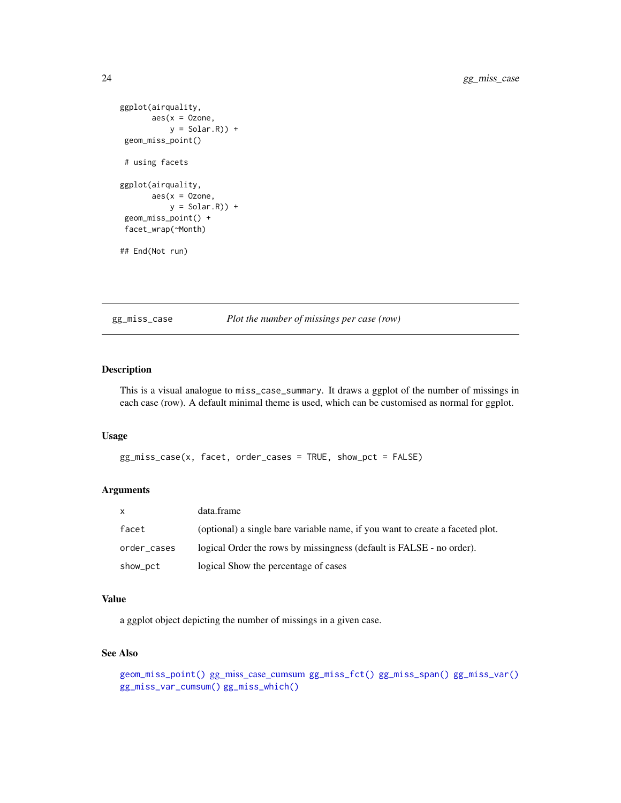```
ggplot(airquality,
       \text{aes}(x = 0 \text{zone})y = Solar.R) +
geom_miss_point()
# using facets
ggplot(airquality,
        \text{aes}(x = 0 \text{zone},y = Solar.R)) +
geom_miss_point() +
facet_wrap(~Month)
## End(Not run)
```
<span id="page-23-1"></span>gg\_miss\_case *Plot the number of missings per case (row)*

## Description

This is a visual analogue to miss\_case\_summary. It draws a ggplot of the number of missings in each case (row). A default minimal theme is used, which can be customised as normal for ggplot.

#### Usage

```
gg_miss_case(x, facet, order_cases = TRUE, show_pct = FALSE)
```
# Arguments

| $\mathsf{x}$ | data.frame                                                                    |
|--------------|-------------------------------------------------------------------------------|
| facet        | (optional) a single bare variable name, if you want to create a faceted plot. |
| order_cases  | logical Order the rows by missingness (default is FALSE - no order).          |
| show_pct     | logical Show the percentage of cases                                          |

#### Value

a ggplot object depicting the number of missings in a given case.

## See Also

```
geom_miss_point() gg_miss_case_cumsum gg_miss_fct() gg_miss_span() gg_miss_var()
gg_miss_var_cumsum() gg_miss_which()
```
<span id="page-23-0"></span>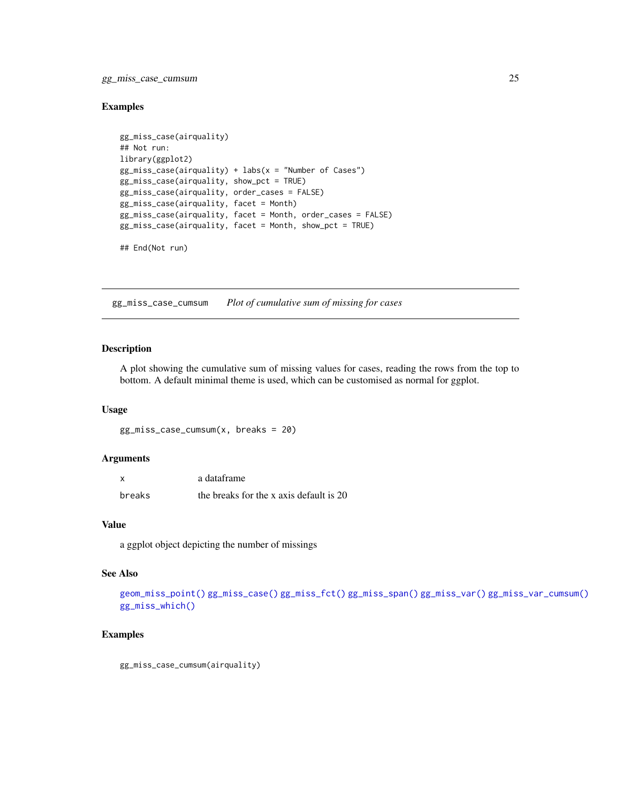<span id="page-24-0"></span>gg\_miss\_case\_cumsum 25

#### Examples

```
gg_miss_case(airquality)
## Not run:
library(ggplot2)
gg\_miss\_case(airquality) + labs(x = "Number of Cases")gg_miss_case(airquality, show_pct = TRUE)
gg_miss_case(airquality, order_cases = FALSE)
gg_miss_case(airquality, facet = Month)
gg_miss_case(airquality, facet = Month, order_cases = FALSE)
gg_miss_case(airquality, facet = Month, show_pct = TRUE)
## End(Not run)
```
<span id="page-24-1"></span>gg\_miss\_case\_cumsum *Plot of cumulative sum of missing for cases*

# Description

A plot showing the cumulative sum of missing values for cases, reading the rows from the top to bottom. A default minimal theme is used, which can be customised as normal for ggplot.

#### Usage

gg\_miss\_case\_cumsum(x, breaks = 20)

# Arguments

| X      | a dataframe                             |
|--------|-----------------------------------------|
| breaks | the breaks for the x axis default is 20 |

## Value

a ggplot object depicting the number of missings

## See Also

[geom\\_miss\\_point\(\)](#page-21-1) [gg\\_miss\\_case\(\)](#page-23-1) [gg\\_miss\\_fct\(\)](#page-25-1) [gg\\_miss\\_span\(\)](#page-26-1) [gg\\_miss\\_var\(\)](#page-28-1) [gg\\_miss\\_var\\_cumsum\(\)](#page-29-1) [gg\\_miss\\_which\(\)](#page-29-2)

# Examples

gg\_miss\_case\_cumsum(airquality)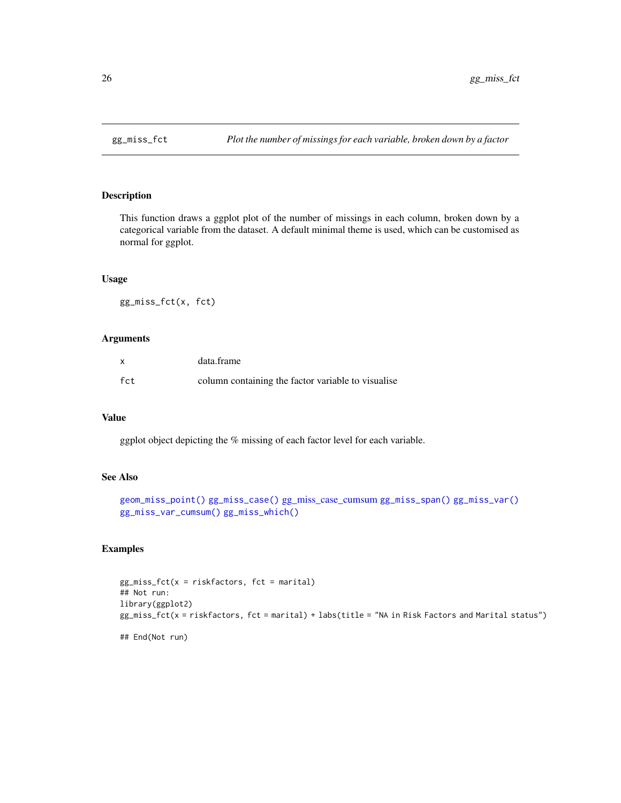<span id="page-25-1"></span><span id="page-25-0"></span>

This function draws a ggplot plot of the number of missings in each column, broken down by a categorical variable from the dataset. A default minimal theme is used, which can be customised as normal for ggplot.

# Usage

gg\_miss\_fct(x, fct)

#### Arguments

|     | data.frame                                         |
|-----|----------------------------------------------------|
| fct | column containing the factor variable to visualise |

#### Value

ggplot object depicting the % missing of each factor level for each variable.

## See Also

```
geom_miss_point() gg_miss_case() gg_miss_case_cumsum gg_miss_span() gg_miss_var()
gg_miss_var_cumsum() gg_miss_which()
```
## Examples

```
gg\_miss\_fct(x = riskfactors, fct = marital)## Not run:
library(ggplot2)
gg_miss_fct(x = riskfactors, fct = marital) + labs(title = "NA in Risk Factors and Marital status")
## End(Not run)
```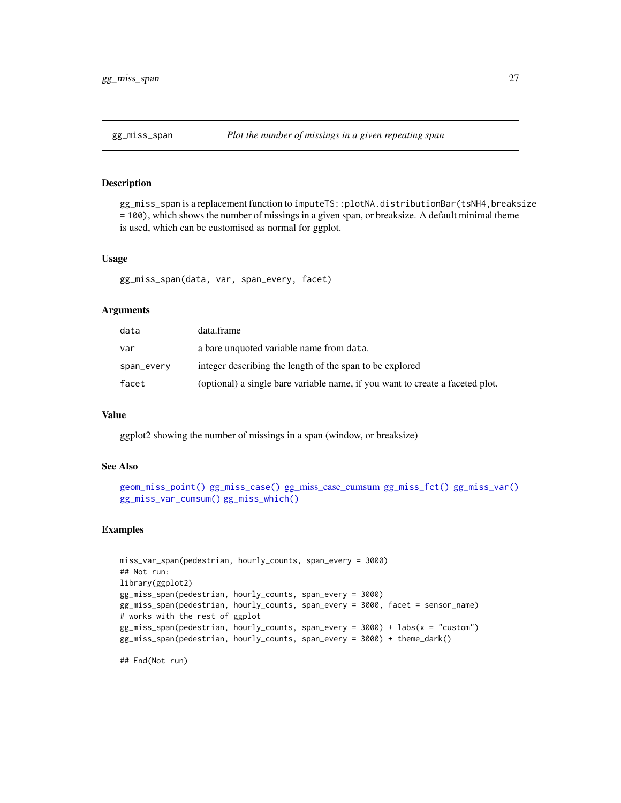<span id="page-26-1"></span><span id="page-26-0"></span>

gg\_miss\_span is a replacement function to imputeTS::plotNA.distributionBar(tsNH4,breaksize = 100), which shows the number of missings in a given span, or breaksize. A default minimal theme is used, which can be customised as normal for ggplot.

#### Usage

gg\_miss\_span(data, var, span\_every, facet)

#### Arguments

| data       | data.frame                                                                    |
|------------|-------------------------------------------------------------------------------|
| var        | a bare unquoted variable name from data.                                      |
| span_every | integer describing the length of the span to be explored                      |
| facet      | (optional) a single bare variable name, if you want to create a faceted plot. |

#### Value

ggplot2 showing the number of missings in a span (window, or breaksize)

#### See Also

```
geom_miss_point() gg_miss_case() gg_miss_case_cumsum gg_miss_fct() gg_miss_var()
gg_miss_var_cumsum() gg_miss_which()
```
## Examples

```
miss_var_span(pedestrian, hourly_counts, span_every = 3000)
## Not run:
library(ggplot2)
gg_miss_span(pedestrian, hourly_counts, span_every = 3000)
gg_miss_span(pedestrian, hourly_counts, span_every = 3000, facet = sensor_name)
# works with the rest of ggplot
gg_miss_span(pedestrian, hourly_counts, span_every = 3000) + labs(x = "custom")
gg_miss_span(pedestrian, hourly_counts, span_every = 3000) + theme_dark()
```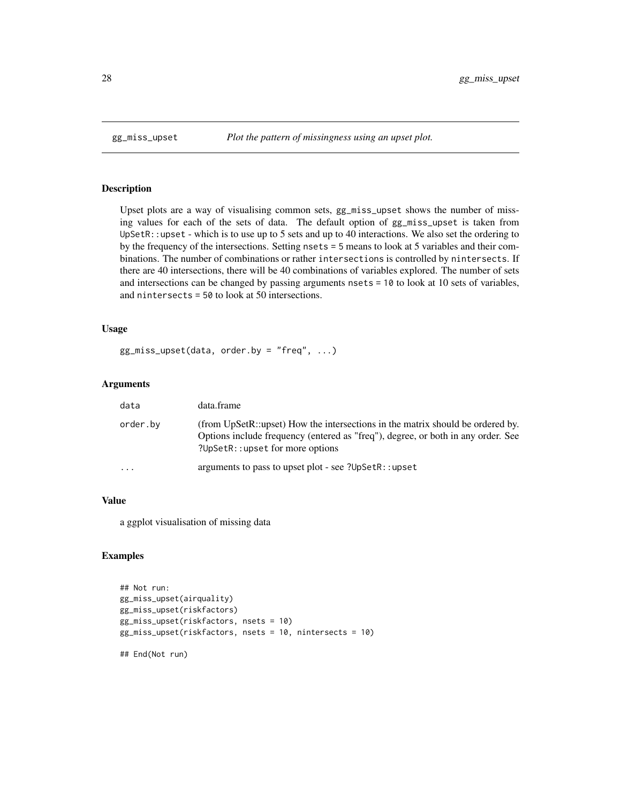Upset plots are a way of visualising common sets, gg\_miss\_upset shows the number of missing values for each of the sets of data. The default option of gg\_miss\_upset is taken from UpSetR::upset - which is to use up to 5 sets and up to 40 interactions. We also set the ordering to by the frequency of the intersections. Setting nsets = 5 means to look at 5 variables and their combinations. The number of combinations or rather intersections is controlled by nintersects. If there are 40 intersections, there will be 40 combinations of variables explored. The number of sets and intersections can be changed by passing arguments nsets = 10 to look at 10 sets of variables, and nintersects = 50 to look at 50 intersections.

# Usage

gg\_miss\_upset(data, order.by = "freq", ...)

# Arguments

| data     | data.frame                                                                                                                                                                                             |
|----------|--------------------------------------------------------------------------------------------------------------------------------------------------------------------------------------------------------|
| order.bv | (from UpSetR::upset) How the intersections in the matrix should be ordered by.<br>Options include frequency (entered as "freq"), degree, or both in any order. See<br>?UpSetR::upset for more options? |
| .        | arguments to pass to upset plot - see ?UpSetR::upset                                                                                                                                                   |

## Value

a ggplot visualisation of missing data

#### Examples

```
## Not run:
gg_miss_upset(airquality)
gg_miss_upset(riskfactors)
gg_miss_upset(riskfactors, nsets = 10)
gg_miss_upset(riskfactors, nsets = 10, nintersects = 10)
```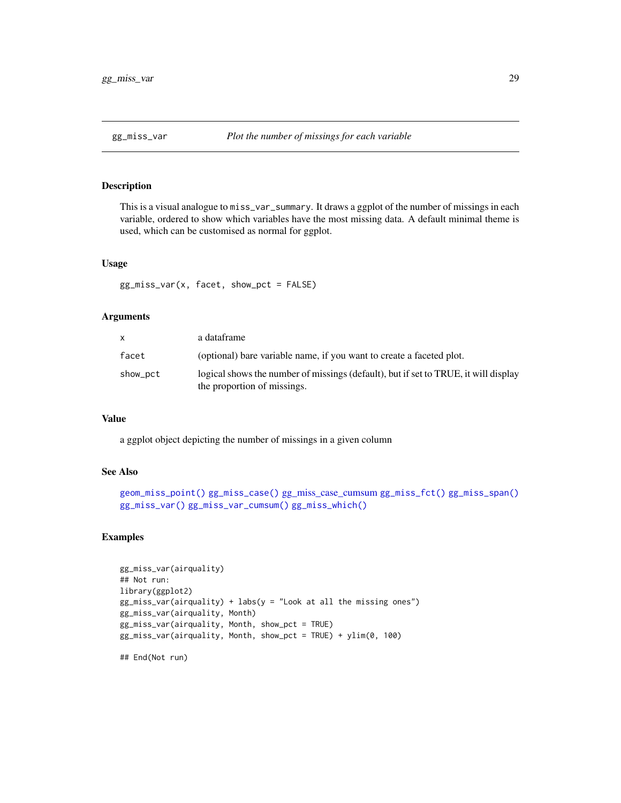<span id="page-28-1"></span><span id="page-28-0"></span>

This is a visual analogue to miss\_var\_summary. It draws a ggplot of the number of missings in each variable, ordered to show which variables have the most missing data. A default minimal theme is used, which can be customised as normal for ggplot.

#### Usage

```
gg_miss_var(x, facet, show_pct = FALSE)
```
# Arguments

|          | a dataframe                                                                                                        |
|----------|--------------------------------------------------------------------------------------------------------------------|
| facet    | (optional) bare variable name, if you want to create a faceted plot.                                               |
| show_pct | logical shows the number of missings (default), but if set to TRUE, it will display<br>the proportion of missings. |

# Value

a ggplot object depicting the number of missings in a given column

#### See Also

```
geom_miss_point() gg_miss_case() gg_miss_case_cumsum gg_miss_fct() gg_miss_span()
gg_miss_var() gg_miss_var_cumsum() gg_miss_which()
```
#### Examples

```
gg_miss_var(airquality)
## Not run:
library(ggplot2)
gg\_miss\_var(airquality) + labs(y = "Look at all the missing ones")gg_miss_var(airquality, Month)
gg_miss_var(airquality, Month, show_pct = TRUE)
gg_miss_var(airquality, Month, show_pct = TRUE) + ylim(0, 100)
```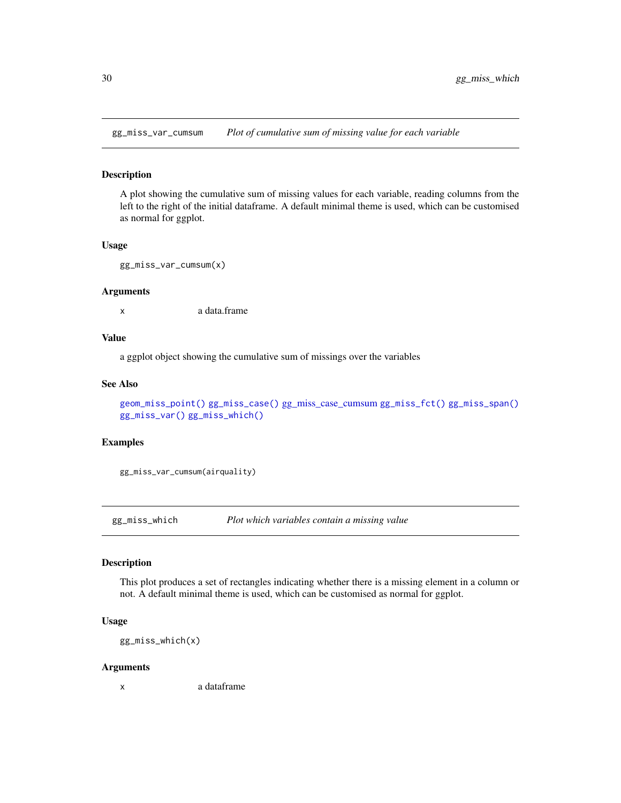<span id="page-29-1"></span><span id="page-29-0"></span>gg\_miss\_var\_cumsum *Plot of cumulative sum of missing value for each variable*

#### Description

A plot showing the cumulative sum of missing values for each variable, reading columns from the left to the right of the initial dataframe. A default minimal theme is used, which can be customised as normal for ggplot.

#### Usage

gg\_miss\_var\_cumsum(x)

#### Arguments

x a data.frame

## Value

a ggplot object showing the cumulative sum of missings over the variables

#### See Also

```
geom_miss_point() gg_miss_case() gg_miss_case_cumsum gg_miss_fct() gg_miss_span()
gg_miss_var() gg_miss_which()
```
## Examples

gg\_miss\_var\_cumsum(airquality)

<span id="page-29-2"></span>gg\_miss\_which *Plot which variables contain a missing value*

# Description

This plot produces a set of rectangles indicating whether there is a missing element in a column or not. A default minimal theme is used, which can be customised as normal for ggplot.

#### Usage

gg\_miss\_which(x)

#### Arguments

x a dataframe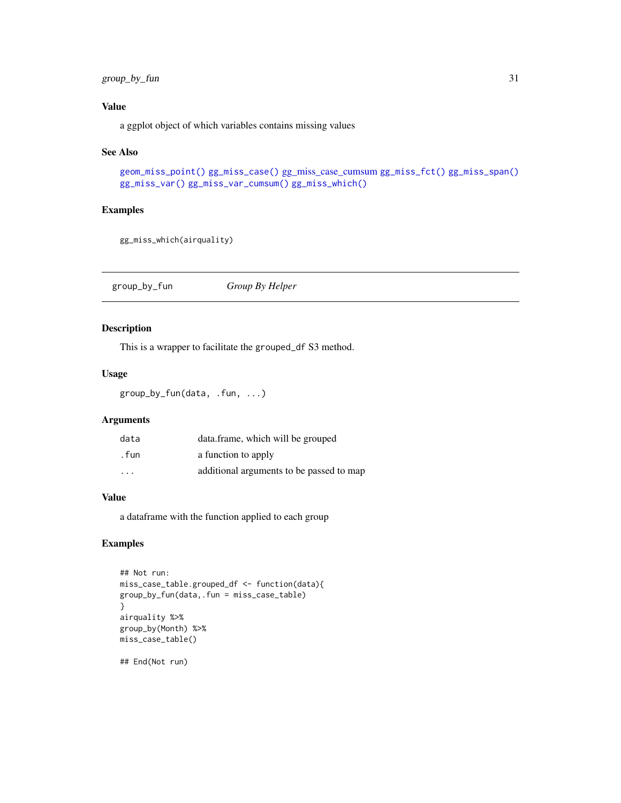# <span id="page-30-0"></span>group\_by\_fun 31

# Value

a ggplot object of which variables contains missing values

#### See Also

```
geom_miss_point() gg_miss_case() gg_miss_case_cumsum gg_miss_fct() gg_miss_span()
gg_miss_var() gg_miss_var_cumsum() gg_miss_which()
```
#### Examples

gg\_miss\_which(airquality)

group\_by\_fun *Group By Helper*

# Description

This is a wrapper to facilitate the grouped\_df S3 method.

# Usage

```
group_by_fun(data, .fun, ...)
```
## Arguments

| data                    | data.frame, which will be grouped        |
|-------------------------|------------------------------------------|
| . fun                   | a function to apply                      |
| $\cdot$ $\cdot$ $\cdot$ | additional arguments to be passed to map |

## Value

a dataframe with the function applied to each group

# Examples

```
## Not run:
miss_case_table.grouped_df <- function(data){
group_by_fun(data,.fun = miss_case_table)
}
airquality %>%
group_by(Month) %>%
miss_case_table()
```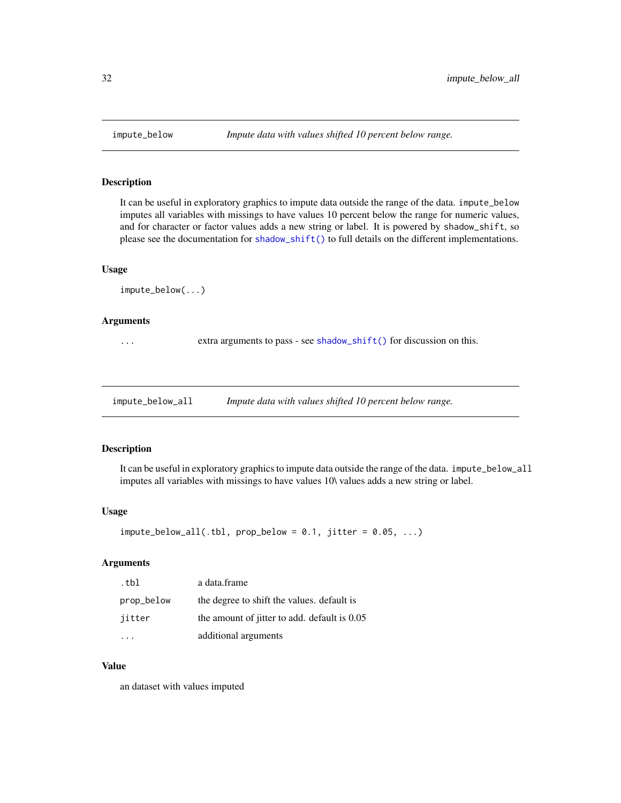<span id="page-31-0"></span>

It can be useful in exploratory graphics to impute data outside the range of the data. impute\_below imputes all variables with missings to have values 10 percent below the range for numeric values, and for character or factor values adds a new string or label. It is powered by shadow\_shift, so please see the documentation for [shadow\\_shift\(\)](#page-82-1) to full details on the different implementations.

#### Usage

impute\_below(...)

#### Arguments

... extra arguments to pass - see [shadow\\_shift\(\)](#page-82-1) for discussion on this.

impute\_below\_all *Impute data with values shifted 10 percent below range.*

#### Description

It can be useful in exploratory graphics to impute data outside the range of the data. impute\_below\_all imputes all variables with missings to have values 10\ values adds a new string or label.

#### Usage

```
impute_below_all(.thl, prop_below = 0.1, jitter = 0.05, ...)
```
## Arguments

| .tbl       | a data.frame                                 |
|------------|----------------------------------------------|
| prop_below | the degree to shift the values. default is   |
| iitter     | the amount of jitter to add. default is 0.05 |
|            | additional arguments                         |

#### Value

an dataset with values imputed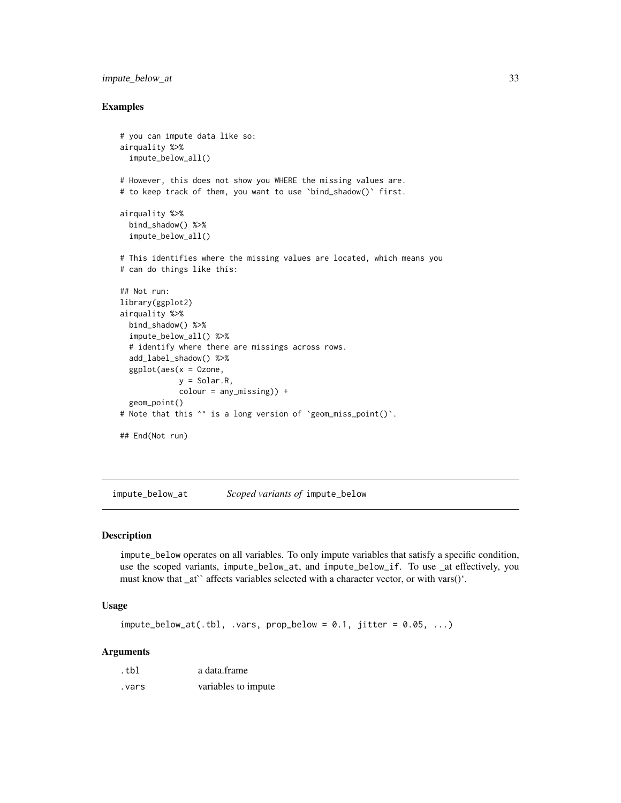# <span id="page-32-0"></span>impute\_below\_at 33

#### Examples

```
# you can impute data like so:
airquality %>%
 impute_below_all()
# However, this does not show you WHERE the missing values are.
# to keep track of them, you want to use `bind_shadow()` first.
airquality %>%
 bind_shadow() %>%
 impute_below_all()
# This identifies where the missing values are located, which means you
# can do things like this:
## Not run:
library(ggplot2)
airquality %>%
 bind_shadow() %>%
 impute_below_all() %>%
 # identify where there are missings across rows.
 add_label_shadow() %>%
 ggplot(aes(x = 0zone,y = Solar.R,
            colour = any_missing)) +
 geom_point()
# Note that this ^^ is a long version of `geom_miss_point()`.
## End(Not run)
```
impute\_below\_at *Scoped variants of* impute\_below

# Description

impute\_below operates on all variables. To only impute variables that satisfy a specific condition, use the scoped variants, impute\_below\_at, and impute\_below\_if. To use \_at effectively, you must know that \_at`` affects variables selected with a character vector, or with vars()'.

## Usage

```
impute_below_at(.th], .vars, prop_below = 0.1, jitter = 0.05, ...)
```
## Arguments

| .tbl   | a data frame        |  |
|--------|---------------------|--|
| vars . | variables to impute |  |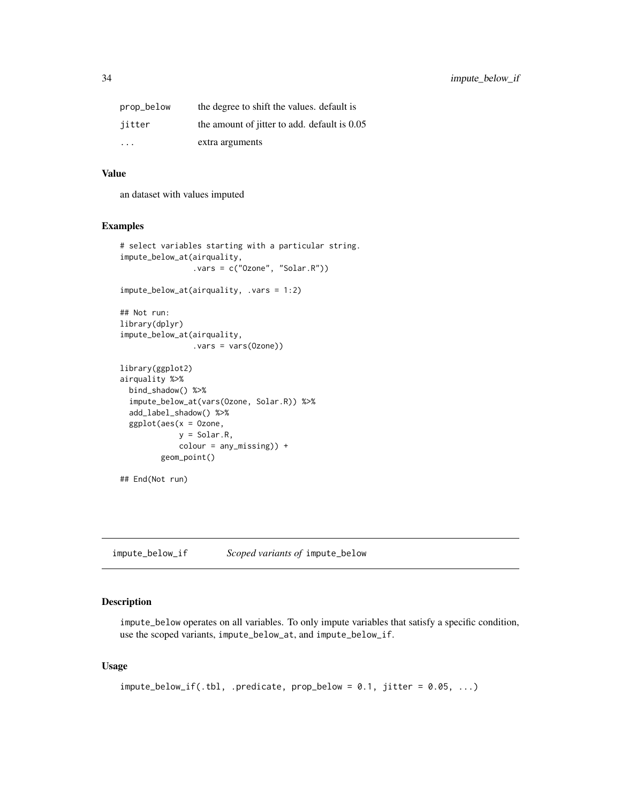<span id="page-33-0"></span>

| prop_below              | the degree to shift the values, default is     |
|-------------------------|------------------------------------------------|
| jitter                  | the amount of jitter to add. default is $0.05$ |
| $\cdot$ $\cdot$ $\cdot$ | extra arguments                                |

#### Value

an dataset with values imputed

## Examples

```
# select variables starting with a particular string.
impute_below_at(airquality,
                .vars = c("Ozone", "Solar.R"))
impute_below_at(airquality, .vars = 1:2)
## Not run:
library(dplyr)
impute_below_at(airquality,
                .vars = vars(Ozone))
library(ggplot2)
airquality %>%
 bind_shadow() %>%
 impute_below_at(vars(Ozone, Solar.R)) %>%
 add_label_shadow() %>%
 ggplot(aes(x = Ozone,
             y = Solar.R,
             colour = any_missing)) +
        geom_point()
## End(Not run)
```
impute\_below\_if *Scoped variants of* impute\_below

# Description

impute\_below operates on all variables. To only impute variables that satisfy a specific condition, use the scoped variants, impute\_below\_at, and impute\_below\_if.

#### Usage

```
impute_below_if(.th], .predicate, prop_below = 0.1, jitter = 0.05, ...)
```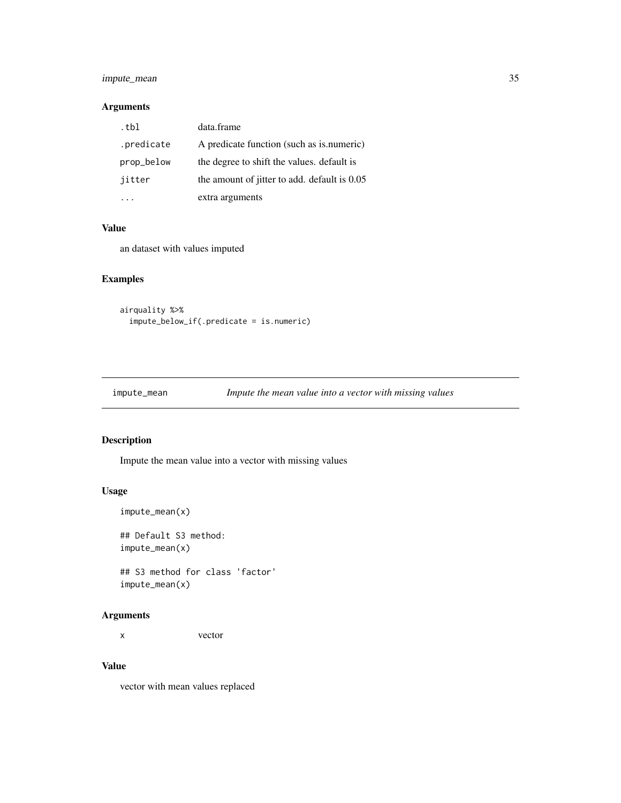# <span id="page-34-0"></span>impute\_mean 35

# Arguments

| .tbl       | data.frame                                   |
|------------|----------------------------------------------|
| .predicate | A predicate function (such as is numeric)    |
| prop_below | the degree to shift the values, default is   |
| jitter     | the amount of jitter to add. default is 0.05 |
|            | extra arguments                              |

## Value

an dataset with values imputed

# Examples

```
airquality %>%
  impute_below_if(.predicate = is.numeric)
```

| impute_mean | Impute the mean value into a vector with missing values |  |
|-------------|---------------------------------------------------------|--|
|             |                                                         |  |

# Description

Impute the mean value into a vector with missing values

# Usage

```
impute_mean(x)
## Default S3 method:
impute_mean(x)
## S3 method for class 'factor'
impute_mean(x)
```
#### Arguments

x vector

# Value

vector with mean values replaced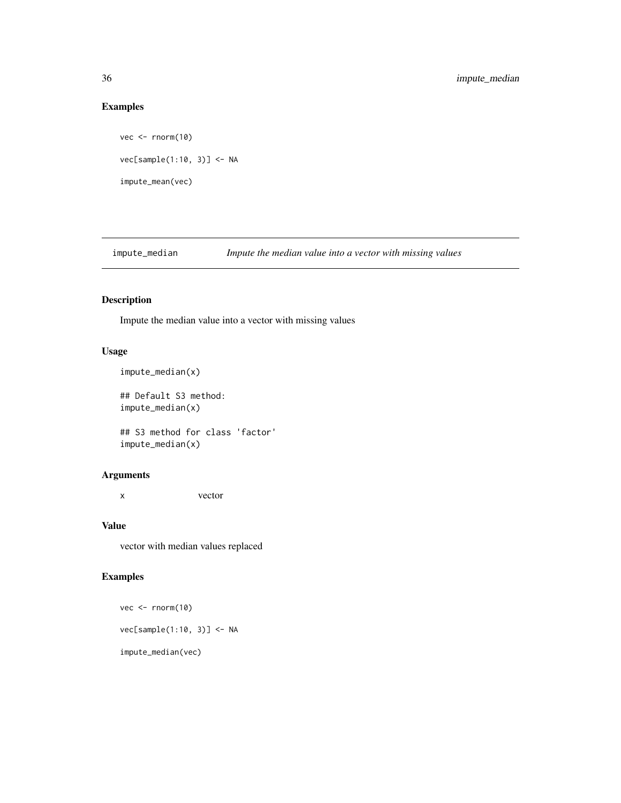# Examples

```
vec <- rnorm(10)
vec[sample(1:10, 3)] <- NA
impute_mean(vec)
```
impute\_median *Impute the median value into a vector with missing values*

# Description

Impute the median value into a vector with missing values

# Usage

```
impute_median(x)
```
## Default S3 method: impute\_median(x)

```
## S3 method for class 'factor'
impute_median(x)
```
# Arguments

x vector

# Value

vector with median values replaced

# Examples

vec <- rnorm(10) vec[sample(1:10, 3)] <- NA impute\_median(vec)

<span id="page-35-0"></span>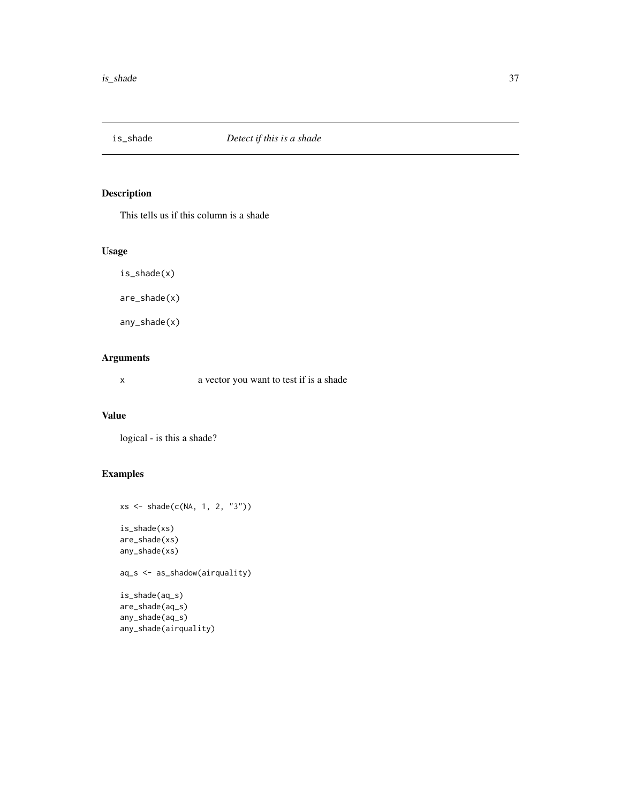This tells us if this column is a shade

## Usage

is\_shade(x)

are\_shade(x)

any\_shade(x)

# Arguments

x a vector you want to test if is a shade

## Value

logical - is this a shade?

# Examples

```
xs <- shade(c(NA, 1, 2, "3"))
is_shade(xs)
are_shade(xs)
any_shade(xs)
aq_s <- as_shadow(airquality)
is_shade(aq_s)
```
are\_shade(aq\_s) any\_shade(aq\_s) any\_shade(airquality)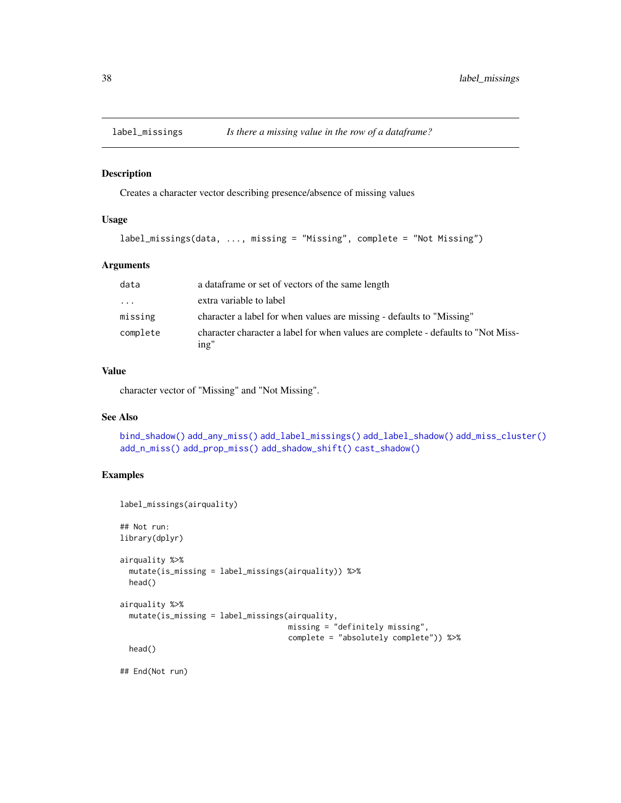<span id="page-37-0"></span>

Creates a character vector describing presence/absence of missing values

## Usage

```
label_missings(data, ..., missing = "Missing", complete = "Not Missing")
```
### Arguments

| data     | a data frame or set of vectors of the same length                                         |
|----------|-------------------------------------------------------------------------------------------|
| $\cdots$ | extra variable to label                                                                   |
| missing  | character a label for when values are missing - defaults to "Missing"                     |
| complete | character character a label for when values are complete - defaults to "Not Miss-<br>ing" |

## Value

character vector of "Missing" and "Not Missing".

## See Also

```
bind_shadow() add_any_miss() add_label_missings() add_label_shadow() add_miss_cluster()
add_n_miss() add_prop_miss() add_shadow_shift() cast_shadow()
```
# Examples

```
label_missings(airquality)
## Not run:
library(dplyr)
airquality %>%
  mutate(is_missing = label_missings(airquality)) %>%
  head()
airquality %>%
  mutate(is_missing = label_missings(airquality,
                                     missing = "definitely missing",
                                     complete = "absolutely complete")) %>%
  head()
## End(Not run)
```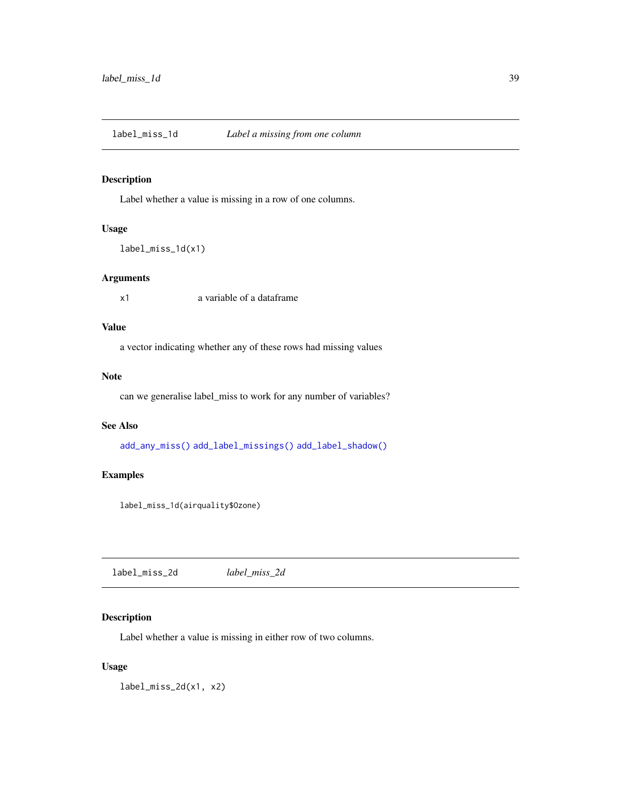<span id="page-38-0"></span>label\_miss\_1d *Label a missing from one column*

## Description

Label whether a value is missing in a row of one columns.

## Usage

```
label_miss_1d(x1)
```
# Arguments

x1 a variable of a dataframe

## Value

a vector indicating whether any of these rows had missing values

### Note

can we generalise label\_miss to work for any number of variables?

# See Also

[add\\_any\\_miss\(\)](#page-3-0) [add\\_label\\_missings\(\)](#page-5-0) [add\\_label\\_shadow\(\)](#page-6-0)

# Examples

label\_miss\_1d(airquality\$Ozone)

<span id="page-38-1"></span>label\_miss\_2d *label\_miss\_2d*

# Description

Label whether a value is missing in either row of two columns.

### Usage

label\_miss\_2d(x1, x2)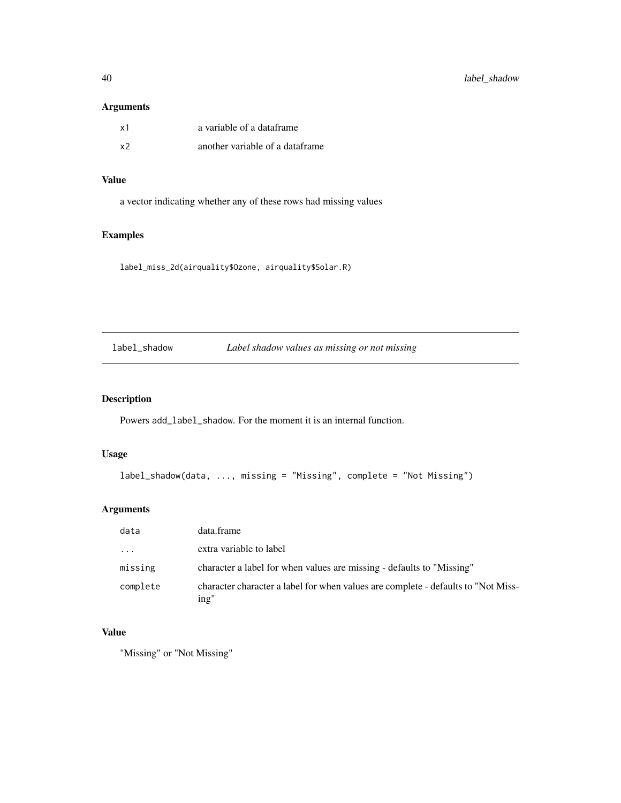40 label\_shadow

# Arguments

| x1 | a variable of a dataframe       |
|----|---------------------------------|
| x2 | another variable of a dataframe |

# Value

a vector indicating whether any of these rows had missing values

# Examples

label\_miss\_2d(airquality\$Ozone, airquality\$Solar.R)

label\_shadow *Label shadow values as missing or not missing*

# Description

Powers add\_label\_shadow. For the moment it is an internal function.

## Usage

```
label_shadow(data, ..., missing = "Missing", complete = "Not Missing")
```
# Arguments

| data     | data.frame                                                                                |
|----------|-------------------------------------------------------------------------------------------|
| $\cdots$ | extra variable to label                                                                   |
| missing  | character a label for when values are missing - defaults to "Missing"                     |
| complete | character character a label for when values are complete - defaults to "Not Miss-<br>ing" |

# Value

"Missing" or "Not Missing"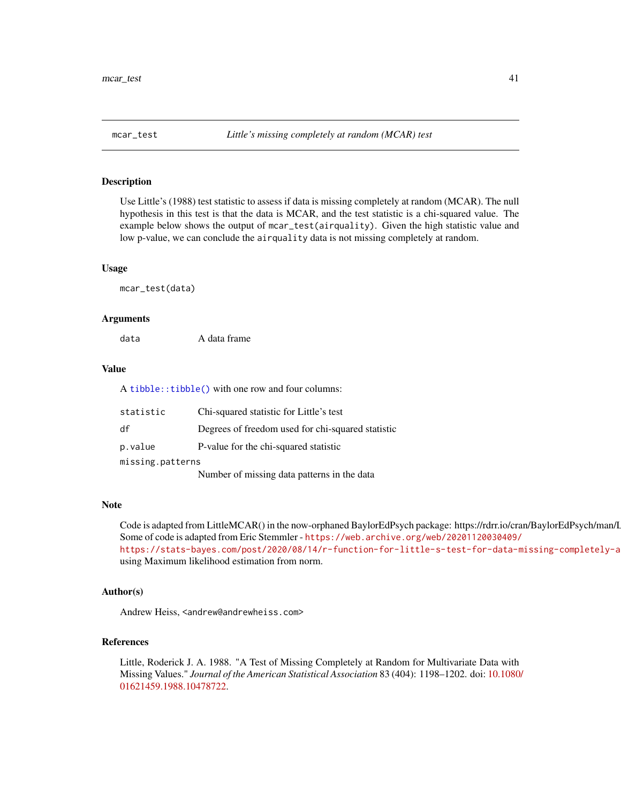Use Little's (1988) test statistic to assess if data is missing completely at random (MCAR). The null hypothesis in this test is that the data is MCAR, and the test statistic is a chi-squared value. The example below shows the output of mcar\_test(airquality). Given the high statistic value and low p-value, we can conclude the airquality data is not missing completely at random.

### Usage

mcar\_test(data)

## Arguments

| A data frame |
|--------------|
|              |

### Value

A [tibble::tibble\(\)](#page-0-0) with one row and four columns:

| statistic        | Chi-squared statistic for Little's test           |
|------------------|---------------------------------------------------|
| df               | Degrees of freedom used for chi-squared statistic |
| p.value          | P-value for the chi-squared statistic             |
| missing.patterns |                                                   |
|                  | Number of missing data patterns in the data       |

#### **Note**

Code is adapted from LittleMCAR() in the now-orphaned BaylorEdPsych package: https://rdrr.io/cran/BaylorEdPsych/man/I Some of code is adapted from Eric Stemmler - [https://web.archive.org/web/20201120030409/](https://web.archive.org/web/20201120030409/https://stats-bayes.com/post/2020/08/14/r-function-for-little-s-test-for-data-missing-completely-at-random/) https://stats-bayes.com/post/2020/08/14/r-function-for-little-s-test-for-data-missing-completely-a using Maximum likelihood estimation from norm.

## Author(s)

Andrew Heiss, <andrew@andrewheiss.com>

### References

Little, Roderick J. A. 1988. "A Test of Missing Completely at Random for Multivariate Data with Missing Values." *Journal of the American Statistical Association* 83 (404): 1198–1202. doi: [10.1080](https://doi.org/10.1080/01621459.1988.10478722)/ [01621459.1988.10478722.](https://doi.org/10.1080/01621459.1988.10478722)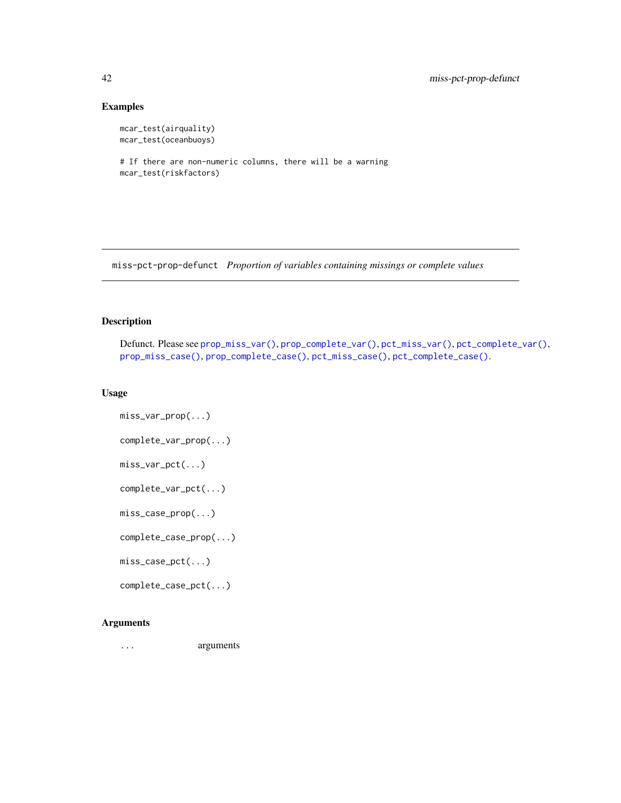# Examples

```
mcar_test(airquality)
mcar_test(oceanbuoys)
```

```
# If there are non-numeric columns, there will be a warning
mcar_test(riskfactors)
```
miss-pct-prop-defunct *Proportion of variables containing missings or complete values*

# <span id="page-41-0"></span>Description

```
Defunct. Please see prop_miss_var(), prop_complete_var(), pct_miss_var(), pct_complete_var(),
prop_miss_case(), prop_complete_case(), pct_miss_case(), pct_complete_case().
```
## Usage

```
miss_var_prop(...)
complete_var_prop(...)
miss_var_pct(...)
complete_var_pct(...)
miss_case_prop(...)
complete_case_prop(...)
miss_case_pct(...)
complete_case_pct(...)
```
# Arguments

... arguments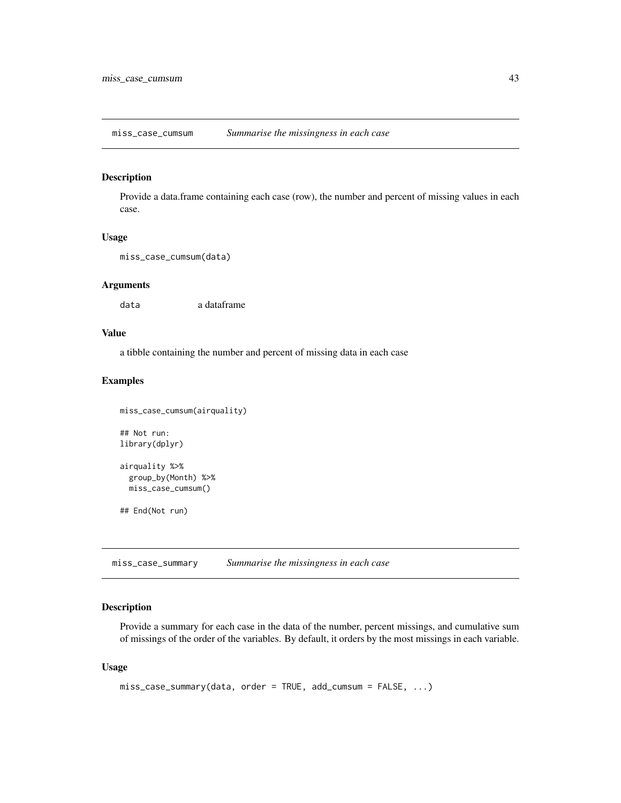miss\_case\_cumsum *Summarise the missingness in each case*

# Description

Provide a data.frame containing each case (row), the number and percent of missing values in each case.

### Usage

```
miss_case_cumsum(data)
```
## Arguments

data a dataframe

## Value

a tibble containing the number and percent of missing data in each case

## Examples

```
miss_case_cumsum(airquality)
## Not run:
library(dplyr)
airquality %>%
  group_by(Month) %>%
  miss_case_cumsum()
## End(Not run)
```
<span id="page-42-0"></span>miss\_case\_summary *Summarise the missingness in each case*

## Description

Provide a summary for each case in the data of the number, percent missings, and cumulative sum of missings of the order of the variables. By default, it orders by the most missings in each variable.

### Usage

```
miss_case_summary(data, order = TRUE, add_cumsum = FALSE, ...)
```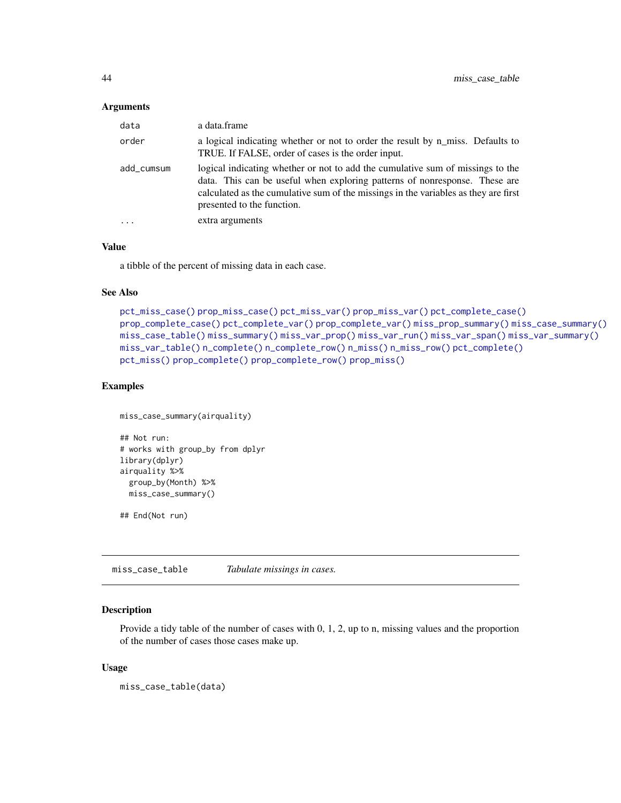### **Arguments**

| data       | a data.frame                                                                                                                                                                                                                                                                      |
|------------|-----------------------------------------------------------------------------------------------------------------------------------------------------------------------------------------------------------------------------------------------------------------------------------|
| order      | a logical indicating whether or not to order the result by n_miss. Defaults to<br>TRUE. If FALSE, order of cases is the order input.                                                                                                                                              |
| add cumsum | logical indicating whether or not to add the cumulative sum of missings to the<br>data. This can be useful when exploring patterns of nonresponse. These are<br>calculated as the cumulative sum of the missings in the variables as they are first<br>presented to the function. |
| $\ddotsc$  | extra arguments                                                                                                                                                                                                                                                                   |

## Value

a tibble of the percent of missing data in each case.

## See Also

```
pct_miss_case() prop_miss_case() pct_miss_var() prop_miss_var() pct_complete_case()
prop_complete_case() pct_complete_var() prop_complete_var() miss_prop_summary() miss_case_summary()
miss_case_table() miss_summary() miss_var_prop() miss_var_run() miss_var_span() miss_var_summary()
miss_var_table() n_complete() n_complete_row() n_miss() n_miss_row() pct_complete()
pct_miss() prop_complete() prop_complete_row() prop_miss()
```
# Examples

```
miss_case_summary(airquality)
## Not run:
# works with group_by from dplyr
library(dplyr)
airquality %>%
 group_by(Month) %>%
 miss_case_summary()
```
## End(Not run)

<span id="page-43-0"></span>miss\_case\_table *Tabulate missings in cases.*

## Description

Provide a tidy table of the number of cases with 0, 1, 2, up to n, missing values and the proportion of the number of cases those cases make up.

### Usage

miss\_case\_table(data)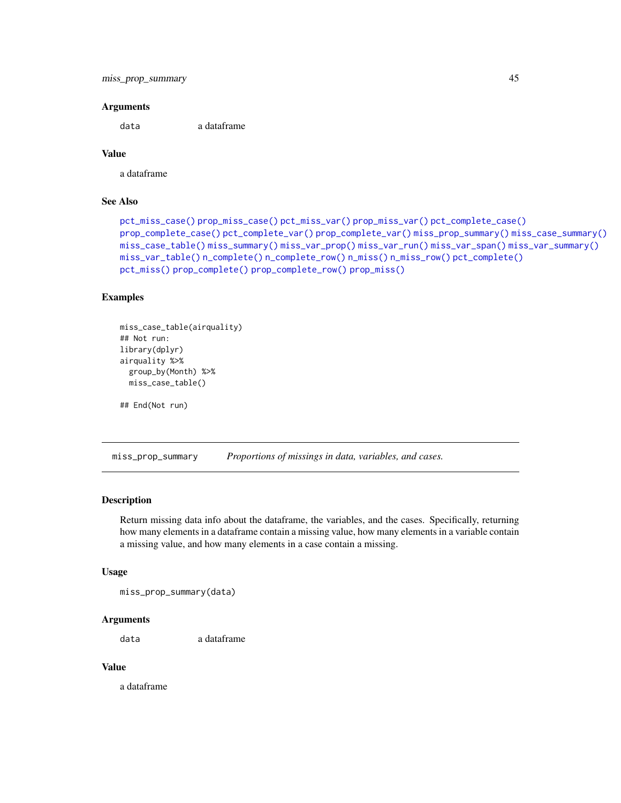```
miss_prop_summary 45
```
### Arguments

data a dataframe

# Value

a dataframe

# See Also

```
pct_miss_case() prop_miss_case() pct_miss_var() prop_miss_var() pct_complete_case()
prop_complete_case() pct_complete_var() prop_complete_var() miss_prop_summary() miss_case_summary()
miss_case_table() miss_summary() miss_var_prop() miss_var_run() miss_var_span() miss_var_summary()
miss_var_table() n_complete() n_complete_row() n_miss() n_miss_row() pct_complete()
pct_miss() prop_complete() prop_complete_row() prop_miss()
```
## Examples

```
miss_case_table(airquality)
## Not run:
library(dplyr)
airquality %>%
  group_by(Month) %>%
  miss_case_table()
```
## End(Not run)

<span id="page-44-0"></span>miss\_prop\_summary *Proportions of missings in data, variables, and cases.*

## **Description**

Return missing data info about the dataframe, the variables, and the cases. Specifically, returning how many elements in a dataframe contain a missing value, how many elements in a variable contain a missing value, and how many elements in a case contain a missing.

#### Usage

miss\_prop\_summary(data)

# Arguments

data a dataframe

# Value

a dataframe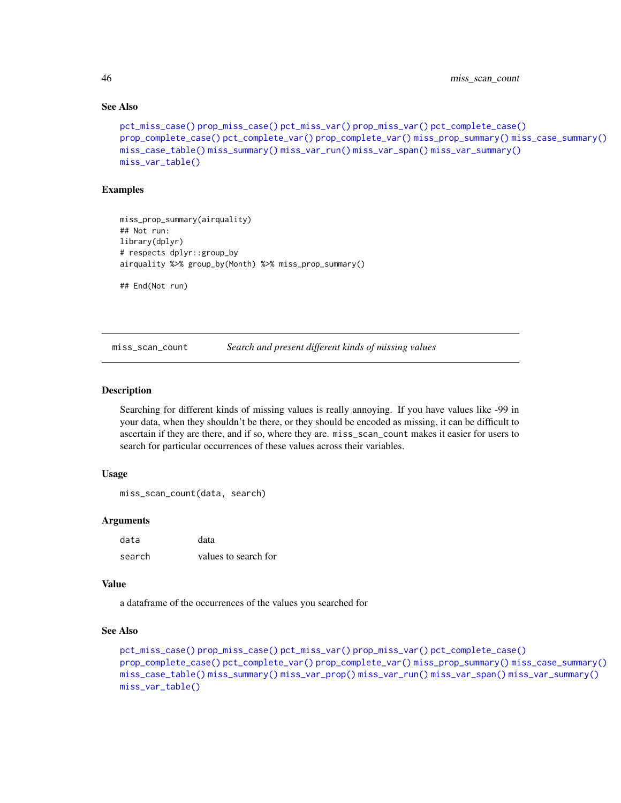## See Also

```
pct_miss_case() prop_miss_case() pct_miss_var() prop_miss_var() pct_complete_case()
prop_complete_case() pct_complete_var() prop_complete_var() miss_prop_summary() miss_case_summary()
miss_case_table() miss_summary() miss_var_run() miss_var_span() miss_var_summary()
miss_var_table()
```
## Examples

```
miss_prop_summary(airquality)
## Not run:
library(dplyr)
# respects dplyr::group_by
airquality %>% group_by(Month) %>% miss_prop_summary()
## End(Not run)
```
miss\_scan\_count *Search and present different kinds of missing values*

### Description

Searching for different kinds of missing values is really annoying. If you have values like -99 in your data, when they shouldn't be there, or they should be encoded as missing, it can be difficult to ascertain if they are there, and if so, where they are. miss\_scan\_count makes it easier for users to search for particular occurrences of these values across their variables.

## Usage

```
miss_scan_count(data, search)
```
### Arguments

| data   | data                 |
|--------|----------------------|
| search | values to search for |

#### Value

a dataframe of the occurrences of the values you searched for

```
pct_miss_case() prop_miss_case() pct_miss_var() prop_miss_var() pct_complete_case()
prop_complete_case() pct_complete_var() prop_complete_var() miss_prop_summary() miss_case_summary()
miss_case_table() miss_summary() miss_var_prop() miss_var_run() miss_var_span() miss_var_summary()
miss_var_table()
```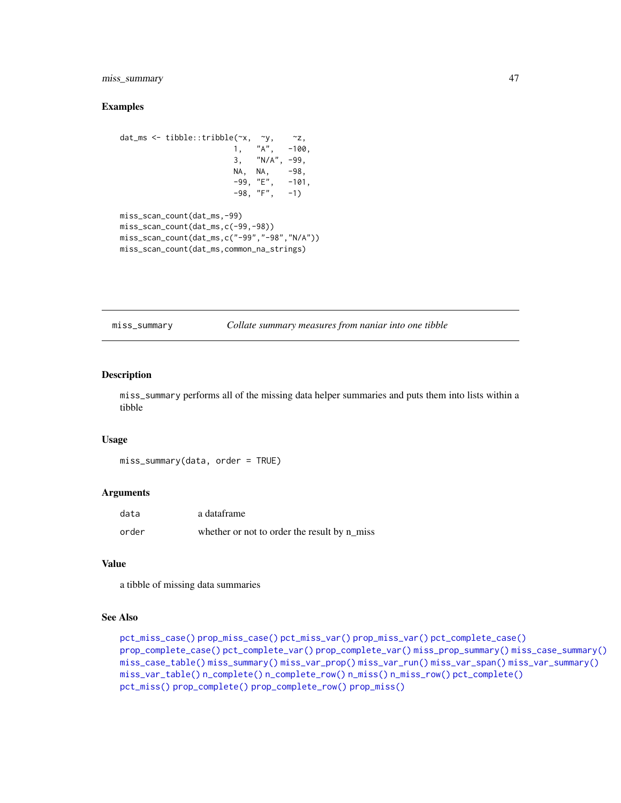# miss\_summary 47

### Examples

```
dat_ms <- tibble::tribble(~x, ~y, ~z,
                       1, "A", -100,3, "N/A", -99,
                       NA, NA, -98,
                       -99, "E", -101,-98, "F", -1)miss_scan_count(dat_ms,-99)
miss_scan_count(dat_ms,c(-99,-98))
miss_scan_count(dat_ms,c("-99","-98","N/A"))
miss_scan_count(dat_ms,common_na_strings)
```
<span id="page-46-0"></span>miss\_summary *Collate summary measures from naniar into one tibble*

## Description

miss\_summary performs all of the missing data helper summaries and puts them into lists within a tibble

#### Usage

miss\_summary(data, order = TRUE)

### Arguments

| data  | a dataframe                                  |
|-------|----------------------------------------------|
| order | whether or not to order the result by n_miss |

## Value

a tibble of missing data summaries

```
pct_miss_case() prop_miss_case() pct_miss_var() prop_miss_var() pct_complete_case()
prop_complete_case() pct_complete_var() prop_complete_var() miss_prop_summary() miss_case_summary()
miss_case_table() miss_summary() miss_var_prop() miss_var_run() miss_var_span() miss_var_summary()
miss_var_table() n_complete() n_complete_row() n_miss() n_miss_row() pct_complete()
pct_miss() prop_complete() prop_complete_row() prop_miss()
```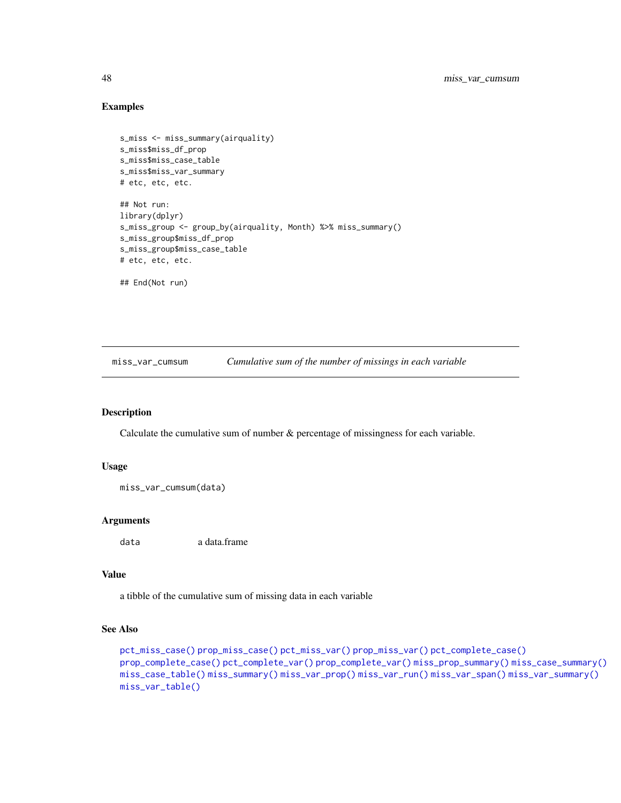## Examples

```
s_miss <- miss_summary(airquality)
s_miss$miss_df_prop
s_miss$miss_case_table
s_miss$miss_var_summary
# etc, etc, etc.
## Not run:
library(dplyr)
s_miss_group <- group_by(airquality, Month) %>% miss_summary()
s_miss_group$miss_df_prop
s_miss_group$miss_case_table
# etc, etc, etc.
## End(Not run)
```
miss\_var\_cumsum *Cumulative sum of the number of missings in each variable*

## Description

Calculate the cumulative sum of number  $\&$  percentage of missingness for each variable.

### Usage

```
miss_var_cumsum(data)
```
### Arguments

data a data.frame

## Value

a tibble of the cumulative sum of missing data in each variable

```
pct_miss_case() prop_miss_case() pct_miss_var() prop_miss_var() pct_complete_case()
prop_complete_case() pct_complete_var() prop_complete_var() miss_prop_summary() miss_case_summary()
miss_case_table() miss_summary() miss_var_prop() miss_var_run() miss_var_span() miss_var_summary()
miss_var_table()
```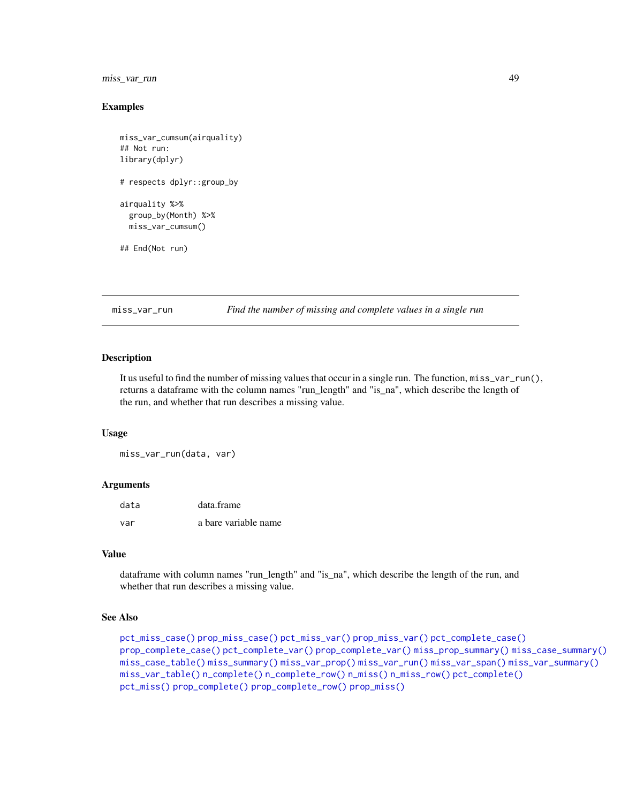# miss\_var\_run 49

## Examples

```
miss_var_cumsum(airquality)
## Not run:
library(dplyr)
# respects dplyr::group_by
airquality %>%
  group_by(Month) %>%
  miss_var_cumsum()
## End(Not run)
```
<span id="page-48-0"></span>miss\_var\_run *Find the number of missing and complete values in a single run*

### Description

It us useful to find the number of missing values that occur in a single run. The function, miss\_var\_run(), returns a dataframe with the column names "run\_length" and "is\_na", which describe the length of the run, and whether that run describes a missing value.

### Usage

miss\_var\_run(data, var)

## Arguments

| data | data.frame           |
|------|----------------------|
| var  | a bare variable name |

### Value

dataframe with column names "run\_length" and "is\_na", which describe the length of the run, and whether that run describes a missing value.

```
pct_miss_case() prop_miss_case() pct_miss_var() prop_miss_var() pct_complete_case()
prop_complete_case() pct_complete_var() prop_complete_var() miss_prop_summary() miss_case_summary()
miss_case_table() miss_summary() miss_var_prop() miss_var_run() miss_var_span() miss_var_summary()
miss_var_table() n_complete() n_complete_row() n_miss() n_miss_row() pct_complete()
pct_miss() prop_complete() prop_complete_row() prop_miss()
```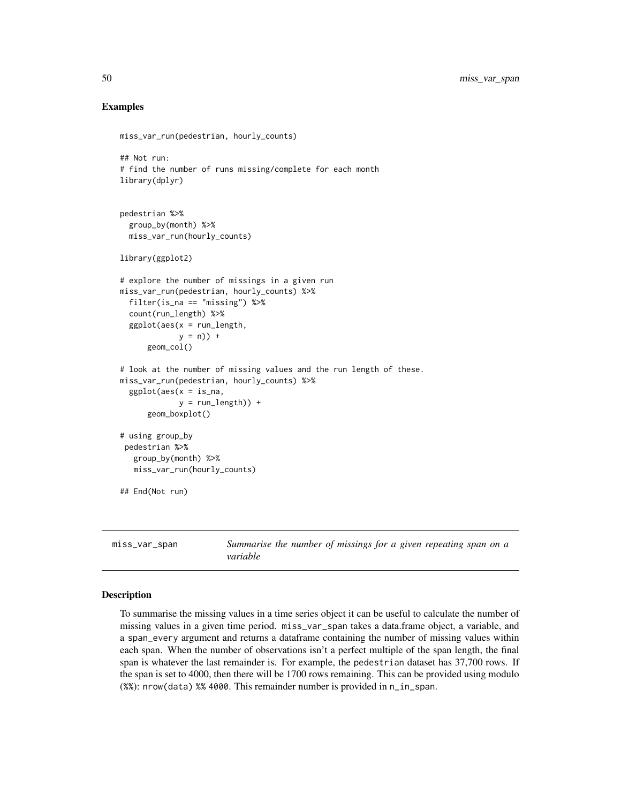### Examples

```
miss_var_run(pedestrian, hourly_counts)
## Not run:
# find the number of runs missing/complete for each month
library(dplyr)
pedestrian %>%
 group_by(month) %>%
 miss_var_run(hourly_counts)
library(ggplot2)
# explore the number of missings in a given run
miss_var_run(pedestrian, hourly_counts) %>%
 filter(is_na == "missing") %>%
 count(run_length) %>%
 ggplot(aes(x = run_length,y = n) +
      geom_col()
# look at the number of missing values and the run length of these.
miss_var_run(pedestrian, hourly_counts) %>%
 ggplot(aes(x = is_na,y = run_length) +
     geom_boxplot()
# using group_by
pedestrian %>%
  group_by(month) %>%
  miss_var_run(hourly_counts)
## End(Not run)
```
<span id="page-49-0"></span>miss\_var\_span *Summarise the number of missings for a given repeating span on a variable*

### Description

To summarise the missing values in a time series object it can be useful to calculate the number of missing values in a given time period. miss\_var\_span takes a data.frame object, a variable, and a span\_every argument and returns a dataframe containing the number of missing values within each span. When the number of observations isn't a perfect multiple of the span length, the final span is whatever the last remainder is. For example, the pedestrian dataset has 37,700 rows. If the span is set to 4000, then there will be 1700 rows remaining. This can be provided using modulo (%%): nrow(data) %% 4000. This remainder number is provided in n\_in\_span.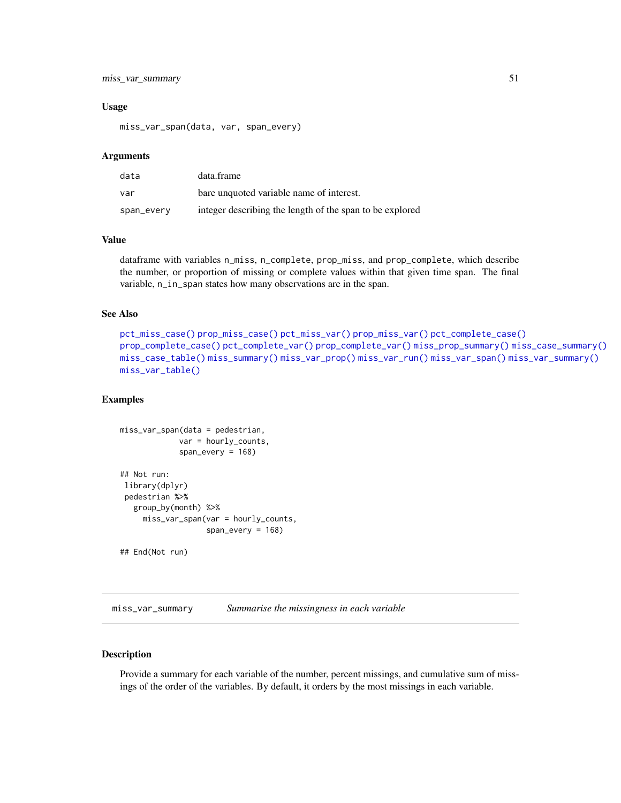# miss\_var\_summary 51

### Usage

miss\_var\_span(data, var, span\_every)

### Arguments

| data       | data.frame                                               |
|------------|----------------------------------------------------------|
| var        | bare unquoted variable name of interest.                 |
| span_every | integer describing the length of the span to be explored |

## Value

dataframe with variables n\_miss, n\_complete, prop\_miss, and prop\_complete, which describe the number, or proportion of missing or complete values within that given time span. The final variable, n\_in\_span states how many observations are in the span.

## See Also

```
pct_miss_case() prop_miss_case() pct_miss_var() prop_miss_var() pct_complete_case()
prop_complete_case() pct_complete_var() prop_complete_var() miss_prop_summary() miss_case_summary()
miss_case_table() miss_summary() miss_var_prop() miss_var_run() miss_var_span() miss_var_summary()
miss_var_table()
```
## Examples

```
miss_var_span(data = pedestrian,
            var = hourly_counts,
             span_every = 168)
## Not run:
library(dplyr)
pedestrian %>%
  group_by(month) %>%
    miss_var_span(var = hourly_counts,
                   span_every = 168)
## End(Not run)
```
<span id="page-50-0"></span>miss\_var\_summary *Summarise the missingness in each variable*

## Description

Provide a summary for each variable of the number, percent missings, and cumulative sum of missings of the order of the variables. By default, it orders by the most missings in each variable.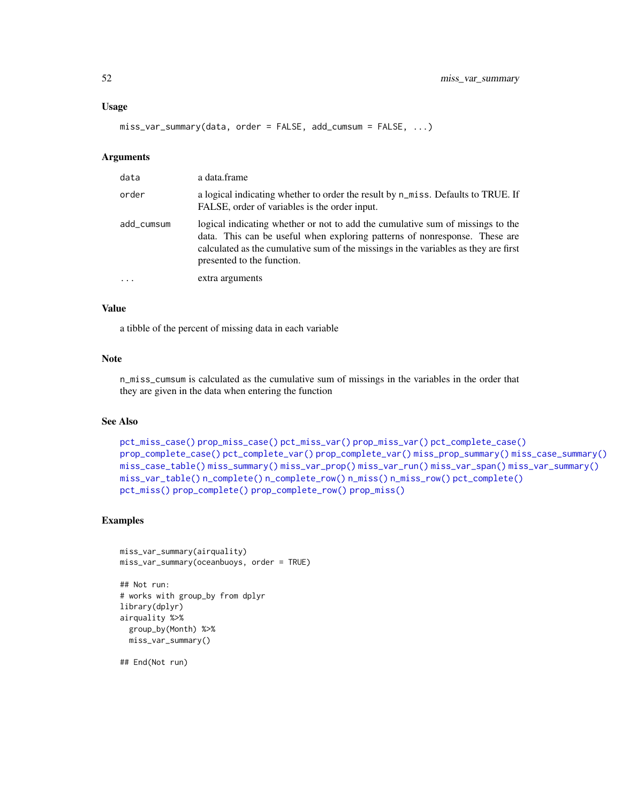### Usage

```
miss_var_summary(data, order = FALSE, add_cumsum = FALSE, ...)
```
#### Arguments

| data       | a data.frame                                                                                                                                                                                                                                                                      |
|------------|-----------------------------------------------------------------------------------------------------------------------------------------------------------------------------------------------------------------------------------------------------------------------------------|
| order      | a logical indicating whether to order the result by n_miss. Defaults to TRUE. If<br>FALSE, order of variables is the order input.                                                                                                                                                 |
| add cumsum | logical indicating whether or not to add the cumulative sum of missings to the<br>data. This can be useful when exploring patterns of nonresponse. These are<br>calculated as the cumulative sum of the missings in the variables as they are first<br>presented to the function. |
|            | extra arguments                                                                                                                                                                                                                                                                   |

# Value

a tibble of the percent of missing data in each variable

### Note

n\_miss\_cumsum is calculated as the cumulative sum of missings in the variables in the order that they are given in the data when entering the function

### See Also

```
pct_miss_case() prop_miss_case() pct_miss_var() prop_miss_var() pct_complete_case()
prop_complete_case() pct_complete_var() prop_complete_var() miss_prop_summary() miss_case_summary()
miss_case_table() miss_summary() miss_var_prop() miss_var_run() miss_var_span() miss_var_summary()
miss_var_table() n_complete() n_complete_row() n_miss() n_miss_row() pct_complete()
pct_miss() prop_complete() prop_complete_row() prop_miss()
```
# Examples

```
miss_var_summary(airquality)
miss_var_summary(oceanbuoys, order = TRUE)
## Not run:
# works with group_by from dplyr
library(dplyr)
airquality %>%
  group_by(Month) %>%
  miss_var_summary()
```
## End(Not run)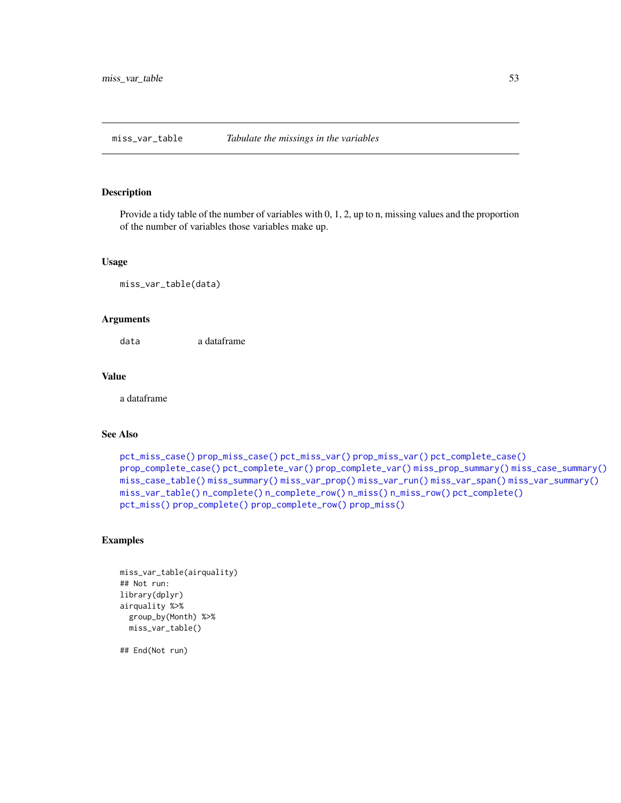<span id="page-52-0"></span>miss\_var\_table *Tabulate the missings in the variables*

### Description

Provide a tidy table of the number of variables with 0, 1, 2, up to n, missing values and the proportion of the number of variables those variables make up.

### Usage

```
miss_var_table(data)
```
## Arguments

data a dataframe

#### Value

a dataframe

# See Also

```
pct_miss_case() prop_miss_case() pct_miss_var() prop_miss_var() pct_complete_case()
prop_complete_case() pct_complete_var() prop_complete_var() miss_prop_summary() miss_case_summary()
miss_case_table() miss_summary() miss_var_prop() miss_var_run() miss_var_span() miss_var_summary()
miss_var_table() n_complete() n_complete_row() n_miss() n_miss_row() pct_complete()
pct_miss() prop_complete() prop_complete_row() prop_miss()
```
# Examples

```
miss_var_table(airquality)
## Not run:
library(dplyr)
airquality %>%
  group_by(Month) %>%
  miss_var_table()
```
## End(Not run)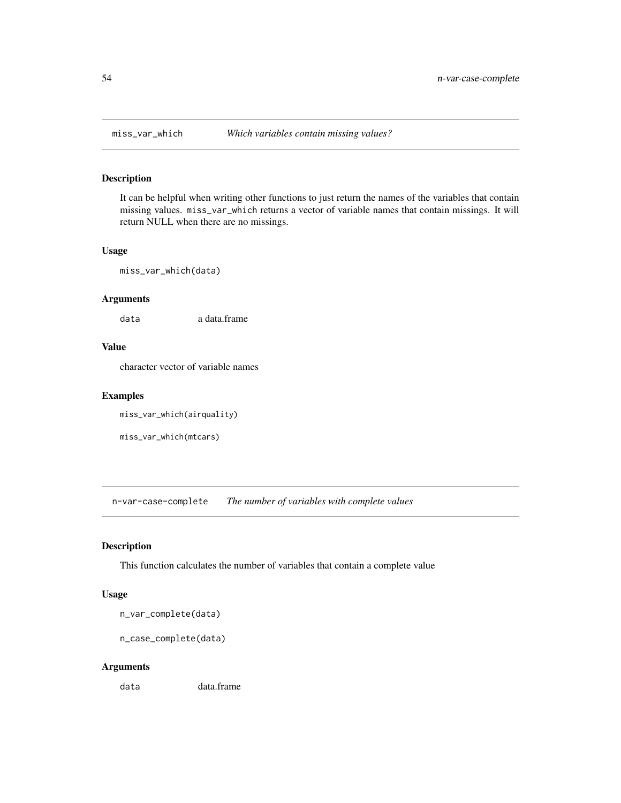It can be helpful when writing other functions to just return the names of the variables that contain missing values. miss\_var\_which returns a vector of variable names that contain missings. It will return NULL when there are no missings.

## Usage

miss\_var\_which(data)

#### Arguments

data a data.frame

# Value

character vector of variable names

# Examples

```
miss_var_which(airquality)
```

```
miss_var_which(mtcars)
```
n-var-case-complete *The number of variables with complete values*

# <span id="page-53-0"></span>Description

This function calculates the number of variables that contain a complete value

### Usage

n\_var\_complete(data)

n\_case\_complete(data)

## Arguments

data data.frame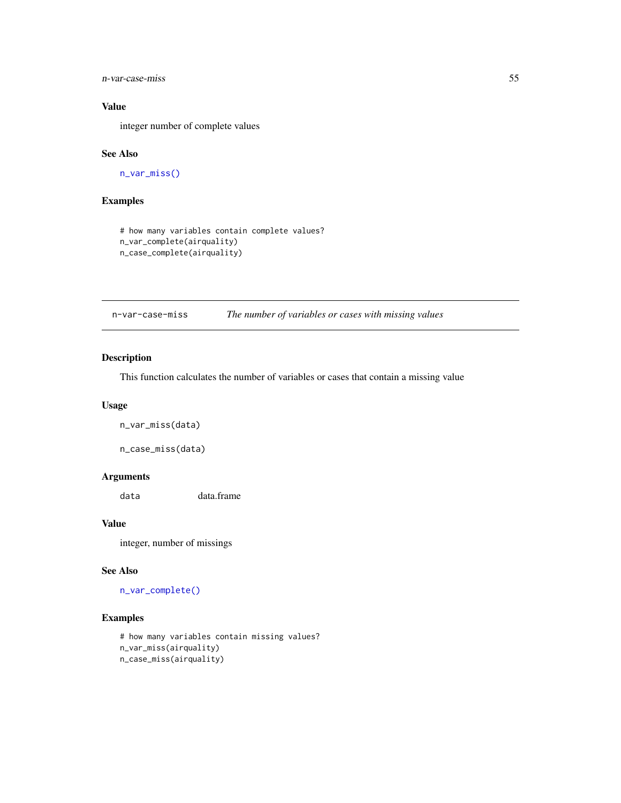n-var-case-miss 55

# Value

integer number of complete values

## See Also

[n\\_var\\_miss\(\)](#page-54-0)

# Examples

```
# how many variables contain complete values?
n_var_complete(airquality)
n_case_complete(airquality)
```
n-var-case-miss *The number of variables or cases with missing values*

# <span id="page-54-0"></span>Description

This function calculates the number of variables or cases that contain a missing value

### Usage

n\_var\_miss(data)

n\_case\_miss(data)

## Arguments

data data.frame

## Value

integer, number of missings

### See Also

[n\\_var\\_complete\(\)](#page-53-0)

# Examples

```
# how many variables contain missing values?
n_var_miss(airquality)
n_case_miss(airquality)
```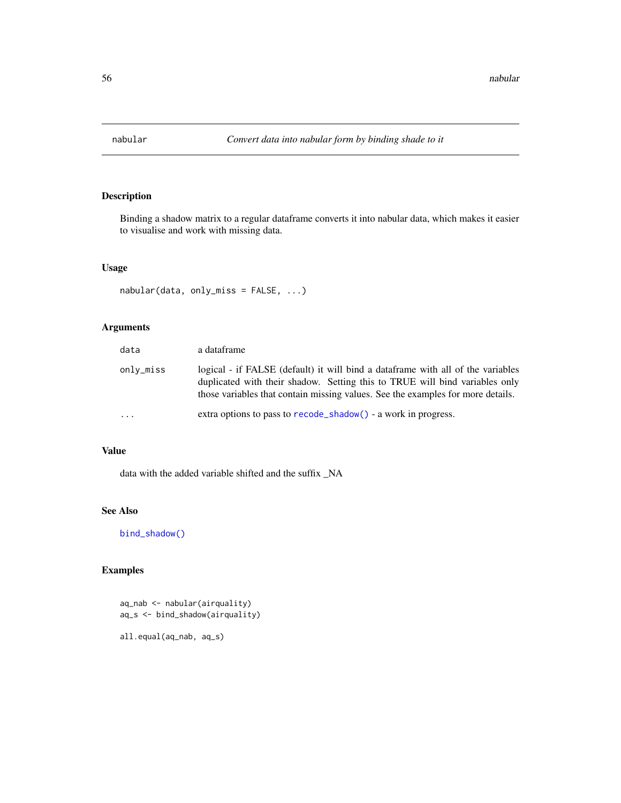Binding a shadow matrix to a regular dataframe converts it into nabular data, which makes it easier to visualise and work with missing data.

# Usage

```
nabular(data, only_miss = FALSE, ...)
```
# Arguments

| data      | a dataframe                                                                                                                                                                                                                                        |  |
|-----------|----------------------------------------------------------------------------------------------------------------------------------------------------------------------------------------------------------------------------------------------------|--|
| onlv_miss | logical - if FALSE (default) it will bind a data frame with all of the variables<br>duplicated with their shadow. Setting this to TRUE will bind variables only<br>those variables that contain missing values. See the examples for more details. |  |
| $\cdots$  | extra options to pass to recode_shadow() - a work in progress.                                                                                                                                                                                     |  |

# Value

data with the added variable shifted and the suffix \_NA

## See Also

[bind\\_shadow\(\)](#page-15-0)

# Examples

```
aq_nab <- nabular(airquality)
aq_s <- bind_shadow(airquality)
```
all.equal(aq\_nab, aq\_s)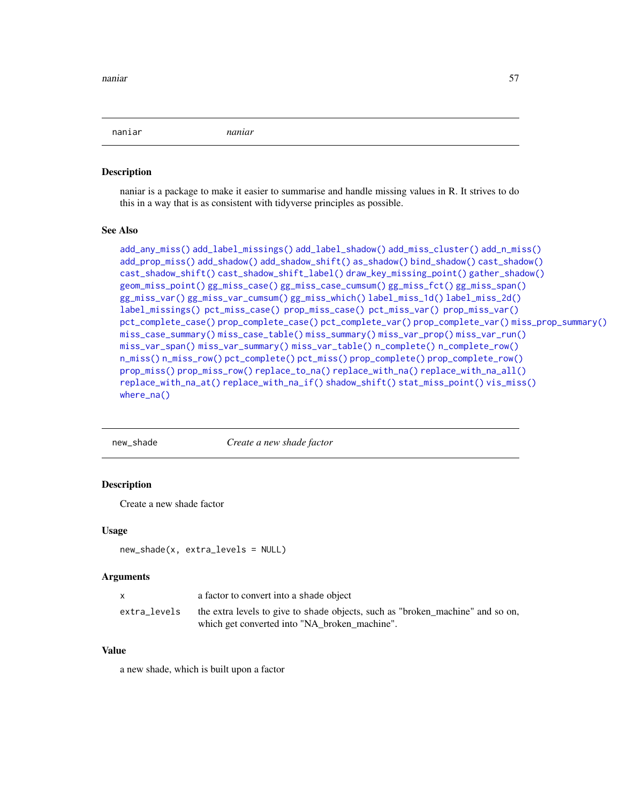naniar *naniar*

### Description

naniar is a package to make it easier to summarise and handle missing values in R. It strives to do this in a way that is as consistent with tidyverse principles as possible.

### See Also

```
add_any_miss() add_label_missings() add_label_shadow() add_miss_cluster() add_n_miss()
add_prop_miss() add_shadow() add_shadow_shift() as_shadow() bind_shadow() cast_shadow()
cast_shadow_shift() cast_shadow_shift_label() draw_key_missing_point() gather_shadow()
geom_miss_point() gg_miss_case() gg_miss_case_cumsum() gg_miss_fct() gg_miss_span()
gg_miss_var() gg_miss_var_cumsum() gg_miss_which() label_miss_1d() label_miss_2d()
label_missings() pct_miss_case() prop_miss_case() pct_miss_var() prop_miss_var()
pct_complete_case() prop_complete_case() pct_complete_var() prop_complete_var() miss_prop_summary()
miss_case_summary() miss_case_table() miss_summary() miss_var_prop() miss_var_run()
miss_var_span() miss_var_summary() miss_var_table() n_complete() n_complete_row()
n_miss() n_miss_row() pct_complete() pct_miss() prop_complete() prop_complete_row()
prop_miss() prop_miss_row() replace_to_na() replace_with_na() replace_with_na_all()
replace_with_na_at() replace_with_na_if() shadow_shift() stat_miss_point() vis_miss()
where_na()
```
new\_shade *Create a new shade factor*

### **Description**

Create a new shade factor

#### Usage

new\_shade(x, extra\_levels = NULL)

#### **Arguments**

| X            | a factor to convert into a shade object                                                                                         |
|--------------|---------------------------------------------------------------------------------------------------------------------------------|
| extra_levels | the extra levels to give to shade objects, such as "broken_machine" and so on,<br>which get converted into "NA broken machine". |

## Value

a new shade, which is built upon a factor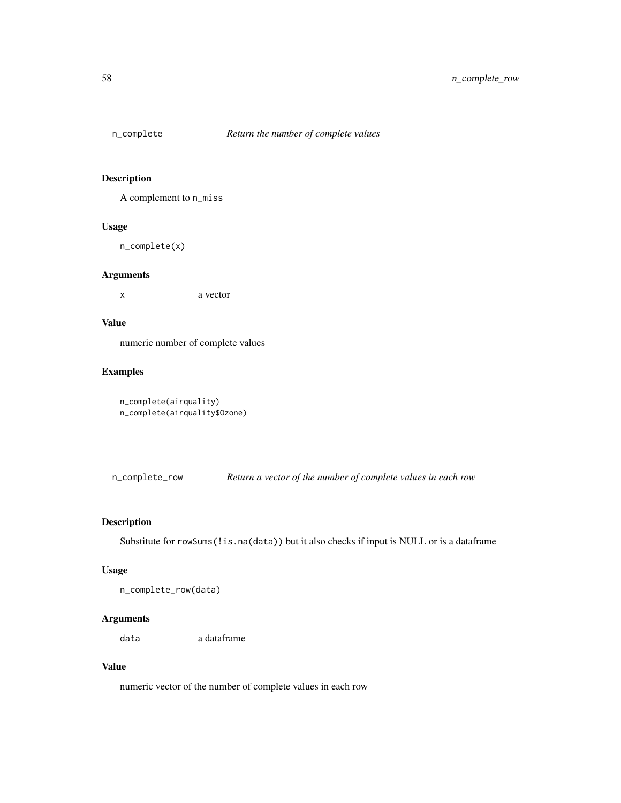<span id="page-57-0"></span>

A complement to n\_miss

## Usage

n\_complete(x)

## Arguments

x a vector

## Value

numeric number of complete values

# Examples

n\_complete(airquality) n\_complete(airquality\$Ozone)

<span id="page-57-1"></span>n\_complete\_row *Return a vector of the number of complete values in each row*

# Description

Substitute for rowSums(!is.na(data)) but it also checks if input is NULL or is a dataframe

## Usage

n\_complete\_row(data)

# Arguments

data a dataframe

## Value

numeric vector of the number of complete values in each row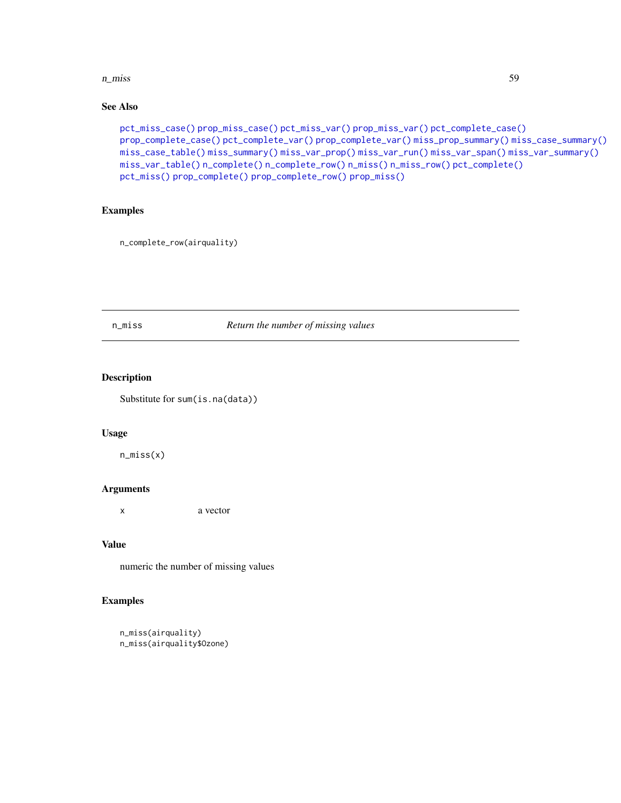### n\_miss 59

# See Also

```
pct_miss_case() prop_miss_case() pct_miss_var() prop_miss_var() pct_complete_case()
prop_complete_case() pct_complete_var() prop_complete_var() miss_prop_summary() miss_case_summary()
miss_case_table() miss_summary() miss_var_prop() miss_var_run() miss_var_span() miss_var_summary()
miss_var_table() n_complete() n_complete_row() n_miss() n_miss_row() pct_complete()
pct_miss() prop_complete() prop_complete_row() prop_miss()
```
# Examples

n\_complete\_row(airquality)

### <span id="page-58-0"></span>n\_miss *Return the number of missing values*

### Description

Substitute for sum(is.na(data))

### Usage

n\_miss(x)

### Arguments

x a vector

## Value

numeric the number of missing values

# Examples

```
n_miss(airquality)
n_miss(airquality$Ozone)
```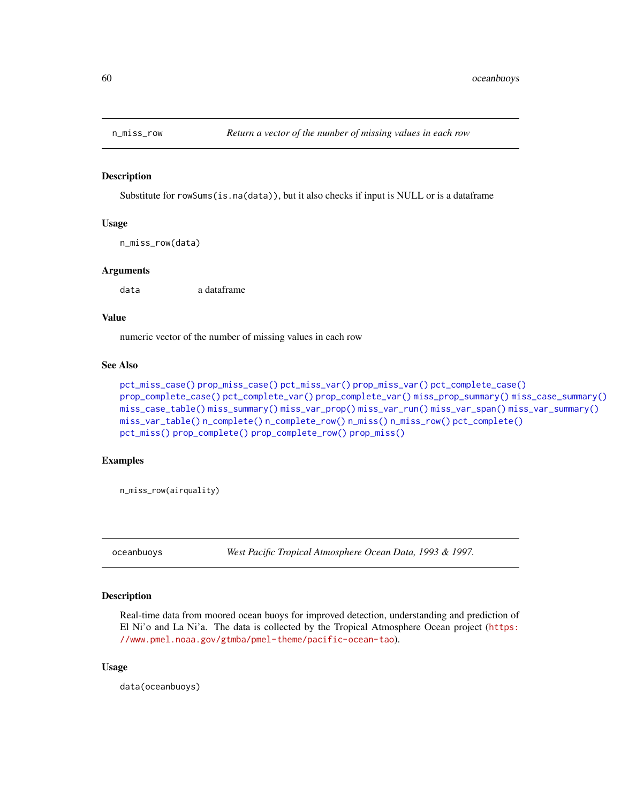<span id="page-59-0"></span>

Substitute for rowSums(is.na(data)), but it also checks if input is NULL or is a dataframe

# Usage

n\_miss\_row(data)

### Arguments

data a dataframe

## Value

numeric vector of the number of missing values in each row

### See Also

```
pct_miss_case() prop_miss_case() pct_miss_var() prop_miss_var() pct_complete_case()
prop_complete_case() pct_complete_var() prop_complete_var() miss_prop_summary() miss_case_summary()
miss_case_table() miss_summary() miss_var_prop() miss_var_run() miss_var_span() miss_var_summary()
miss_var_table() n_complete() n_complete_row() n_miss() n_miss_row() pct_complete()
pct_miss() prop_complete() prop_complete_row() prop_miss()
```
### Examples

n\_miss\_row(airquality)

oceanbuoys *West Pacific Tropical Atmosphere Ocean Data, 1993 & 1997.*

## Description

Real-time data from moored ocean buoys for improved detection, understanding and prediction of El Ni'o and La Ni'a. The data is collected by the Tropical Atmosphere Ocean project ([https:](https://www.pmel.noaa.gov/gtmba/pmel-theme/pacific-ocean-tao) [//www.pmel.noaa.gov/gtmba/pmel-theme/pacific-ocean-tao](https://www.pmel.noaa.gov/gtmba/pmel-theme/pacific-ocean-tao)).

### Usage

data(oceanbuoys)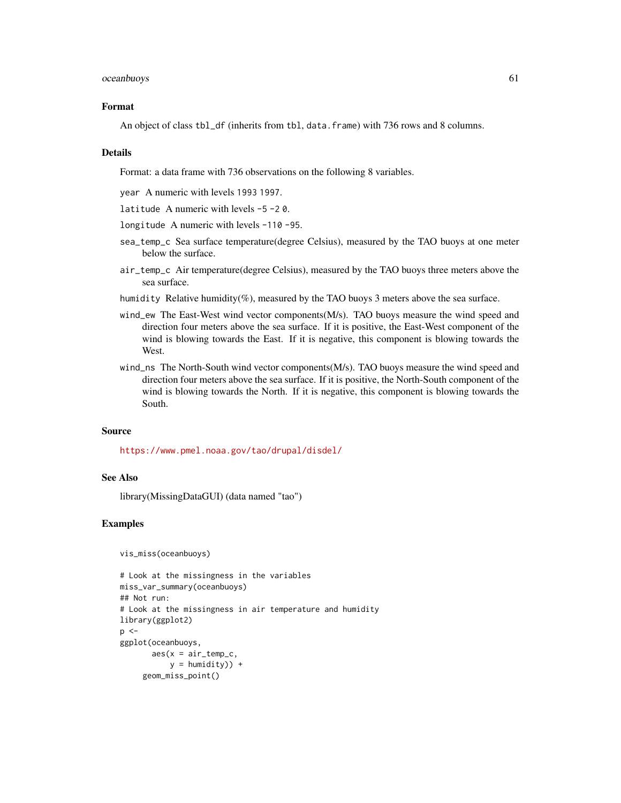### oceanbuoys 61

### Format

An object of class tbl\_df (inherits from tbl, data.frame) with 736 rows and 8 columns.

### Details

Format: a data frame with 736 observations on the following 8 variables.

year A numeric with levels 1993 1997.

latitude A numeric with levels -5 -2 0.

longitude A numeric with levels -110 -95.

- sea\_temp\_c Sea surface temperature(degree Celsius), measured by the TAO buoys at one meter below the surface.
- air\_temp\_c Air temperature(degree Celsius), measured by the TAO buoys three meters above the sea surface.
- humidity Relative humidity(%), measured by the TAO buoys 3 meters above the sea surface.
- wind\_ew The East-West wind vector components(M/s). TAO buoys measure the wind speed and direction four meters above the sea surface. If it is positive, the East-West component of the wind is blowing towards the East. If it is negative, this component is blowing towards the West.
- wind\_ns The North-South wind vector components(M/s). TAO buoys measure the wind speed and direction four meters above the sea surface. If it is positive, the North-South component of the wind is blowing towards the North. If it is negative, this component is blowing towards the South.

### Source

<https://www.pmel.noaa.gov/tao/drupal/disdel/>

# See Also

library(MissingDataGUI) (data named "tao")

## Examples

```
vis_miss(oceanbuoys)
```

```
# Look at the missingness in the variables
miss_var_summary(oceanbuoys)
## Not run:
# Look at the missingness in air temperature and humidity
library(ggplot2)
p \leq -ggplot(oceanbuoys,
       aes(x = air_temp_c,y = humidity)) +
     geom_miss_point()
```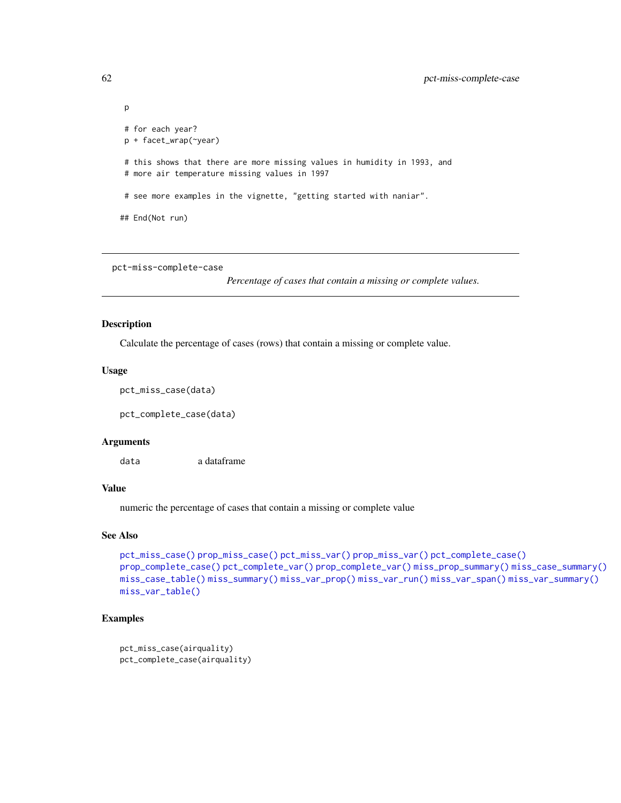```
# for each year?
p + facet_wrap(~year)
 # this shows that there are more missing values in humidity in 1993, and
 # more air temperature missing values in 1997
# see more examples in the vignette, "getting started with naniar".
## End(Not run)
```

```
pct-miss-complete-case
```
*Percentage of cases that contain a missing or complete values.*

### <span id="page-61-0"></span>Description

Calculate the percentage of cases (rows) that contain a missing or complete value.

### Usage

```
pct_miss_case(data)
```
pct\_complete\_case(data)

### **Arguments**

data a dataframe

### Value

numeric the percentage of cases that contain a missing or complete value

### See Also

```
pct_miss_case() prop_miss_case() pct_miss_var() prop_miss_var() pct_complete_case()
prop_complete_case() pct_complete_var() prop_complete_var() miss_prop_summary() miss_case_summary()
miss_case_table() miss_summary() miss_var_prop() miss_var_run() miss_var_span() miss_var_summary()
miss_var_table()
```
# Examples

```
pct_miss_case(airquality)
pct_complete_case(airquality)
```
p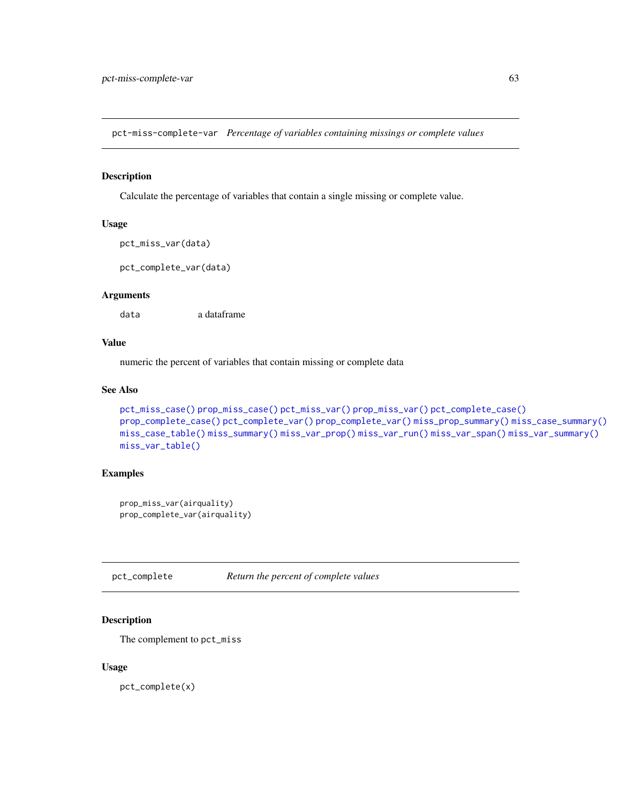pct-miss-complete-var *Percentage of variables containing missings or complete values*

### <span id="page-62-0"></span>Description

Calculate the percentage of variables that contain a single missing or complete value.

### Usage

```
pct_miss_var(data)
```
pct\_complete\_var(data)

# Arguments

data a dataframe

### Value

numeric the percent of variables that contain missing or complete data

## See Also

```
pct_miss_case() prop_miss_case() pct_miss_var() prop_miss_var() pct_complete_case()
prop_complete_case() pct_complete_var() prop_complete_var() miss_prop_summary() miss_case_summary()
miss_case_table() miss_summary() miss_var_prop() miss_var_run() miss_var_span() miss_var_summary()
miss_var_table()
```
# Examples

```
prop_miss_var(airquality)
prop_complete_var(airquality)
```
<span id="page-62-1"></span>pct\_complete *Return the percent of complete values*

## Description

The complement to pct\_miss

### Usage

pct\_complete(x)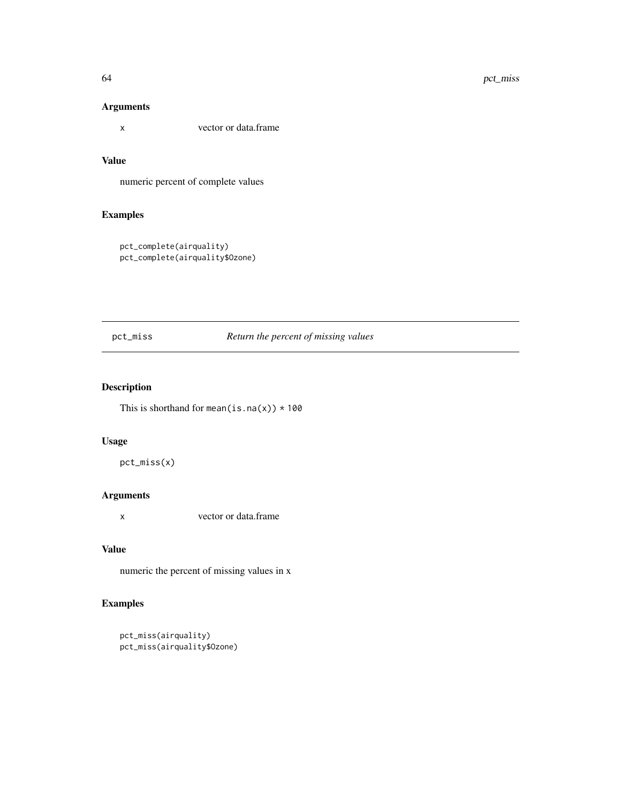# Arguments

x vector or data.frame

# Value

numeric percent of complete values

# Examples

```
pct_complete(airquality)
pct_complete(airquality$Ozone)
```
<span id="page-63-0"></span>pct\_miss *Return the percent of missing values*

# Description

This is shorthand for mean(is.na(x))  $*100$ 

### Usage

pct\_miss(x)

# Arguments

x vector or data.frame

### Value

numeric the percent of missing values in x

# Examples

```
pct_miss(airquality)
pct_miss(airquality$Ozone)
```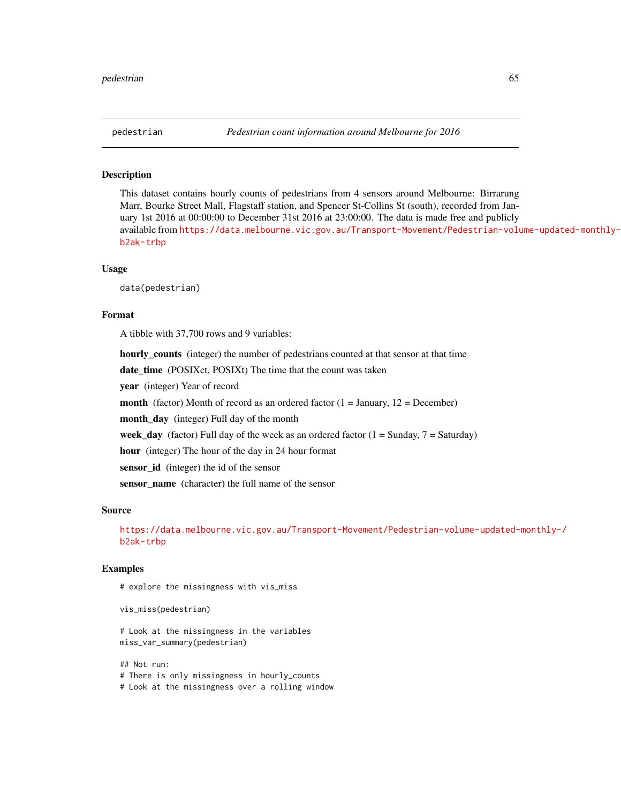This dataset contains hourly counts of pedestrians from 4 sensors around Melbourne: Birrarung Marr, Bourke Street Mall, Flagstaff station, and Spencer St-Collins St (south), recorded from January 1st 2016 at 00:00:00 to December 31st 2016 at 23:00:00. The data is made free and publicly available from [https://data.melbourne.vic.gov.au/Transport-Movement/Pedestrian-volu](https://data.melbourne.vic.gov.au/Transport-Movement/Pedestrian-volume-updated-monthly-/b2ak-trbp)me-updated-monthly-/ [b2ak-trbp](https://data.melbourne.vic.gov.au/Transport-Movement/Pedestrian-volume-updated-monthly-/b2ak-trbp)

### Usage

data(pedestrian)

### Format

A tibble with 37,700 rows and 9 variables:

hourly\_counts (integer) the number of pedestrians counted at that sensor at that time date\_time (POSIXct, POSIXt) The time that the count was taken year (integer) Year of record **month** (factor) Month of record as an ordered factor  $(1 = January, 12 = December)$ month\_day (integer) Full day of the month week\_day (factor) Full day of the week as an ordered factor  $(1 =$  Sunday,  $7 =$  Saturday) hour (integer) The hour of the day in 24 hour format sensor\_id (integer) the id of the sensor sensor\_name (character) the full name of the sensor

#### Source

[https://data.melbourne.vic.gov.au/Transport-Movement/Pedestrian-volume-updated-](https://data.melbourne.vic.gov.au/Transport-Movement/Pedestrian-volume-updated-monthly-/b2ak-trbp)monthly-/ [b2ak-trbp](https://data.melbourne.vic.gov.au/Transport-Movement/Pedestrian-volume-updated-monthly-/b2ak-trbp)

### Examples

# explore the missingness with vis\_miss

```
vis_miss(pedestrian)
```
# Look at the missingness in the variables miss\_var\_summary(pedestrian)

## Not run: # There is only missingness in hourly\_counts # Look at the missingness over a rolling window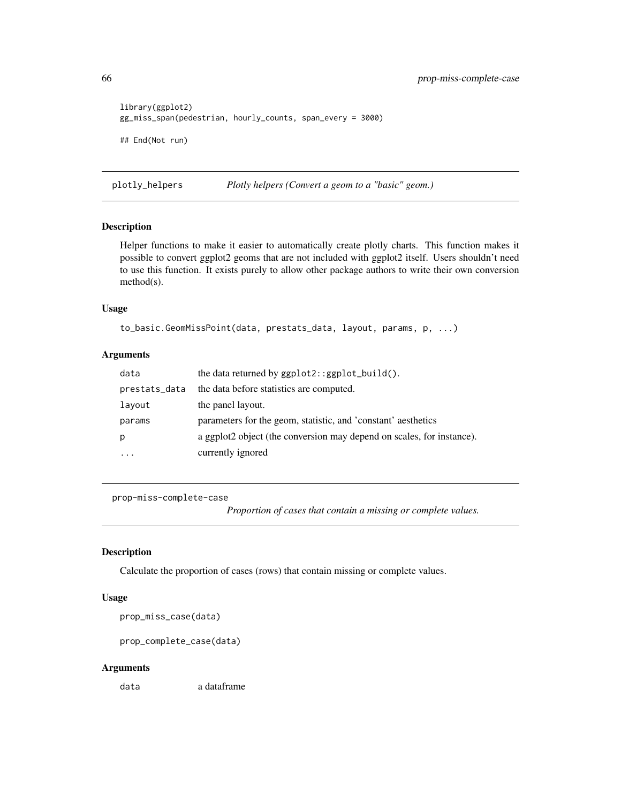```
library(ggplot2)
gg_miss_span(pedestrian, hourly_counts, span_every = 3000)
## End(Not run)
```
plotly\_helpers *Plotly helpers (Convert a geom to a "basic" geom.)*

## Description

Helper functions to make it easier to automatically create plotly charts. This function makes it possible to convert ggplot2 geoms that are not included with ggplot2 itself. Users shouldn't need to use this function. It exists purely to allow other package authors to write their own conversion method(s).

### Usage

```
to_basic.GeomMissPoint(data, prestats_data, layout, params, p, ...)
```
### Arguments

| data          | the data returned by $ggplot2::ggplot_buid()$ .                       |
|---------------|-----------------------------------------------------------------------|
| prestats_data | the data before statistics are computed.                              |
| layout        | the panel layout.                                                     |
| params        | parameters for the geom, statistic, and 'constant' aesthetics         |
| p             | a ggplot2 object (the conversion may depend on scales, for instance). |
| .             | currently ignored                                                     |

```
prop-miss-complete-case
```
*Proportion of cases that contain a missing or complete values.*

## <span id="page-65-0"></span>Description

Calculate the proportion of cases (rows) that contain missing or complete values.

## Usage

prop\_miss\_case(data)

prop\_complete\_case(data)

#### Arguments

data a dataframe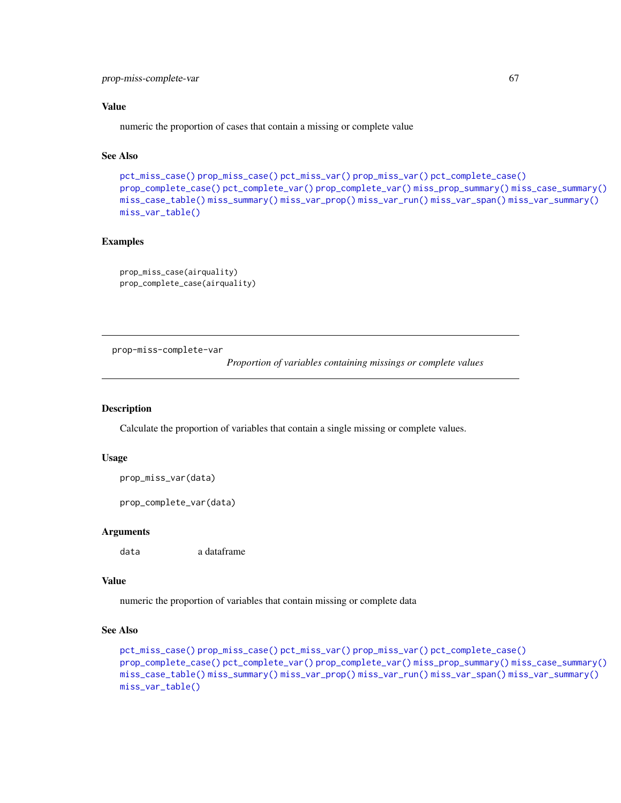## Value

numeric the proportion of cases that contain a missing or complete value

# See Also

```
pct_miss_case() prop_miss_case() pct_miss_var() prop_miss_var() pct_complete_case()
prop_complete_case() pct_complete_var() prop_complete_var() miss_prop_summary() miss_case_summary()
miss_case_table() miss_summary() miss_var_prop() miss_var_run() miss_var_span() miss_var_summary()
miss_var_table()
```
## Examples

```
prop_miss_case(airquality)
prop_complete_case(airquality)
```
prop-miss-complete-var

*Proportion of variables containing missings or complete values*

### <span id="page-66-0"></span>Description

Calculate the proportion of variables that contain a single missing or complete values.

### Usage

```
prop_miss_var(data)
```
prop\_complete\_var(data)

### Arguments

data a dataframe

### Value

numeric the proportion of variables that contain missing or complete data

```
pct_miss_case() prop_miss_case() pct_miss_var() prop_miss_var() pct_complete_case()
prop_complete_case() pct_complete_var() prop_complete_var() miss_prop_summary() miss_case_summary()
miss_case_table() miss_summary() miss_var_prop() miss_var_run() miss_var_span() miss_var_summary()
miss_var_table()
```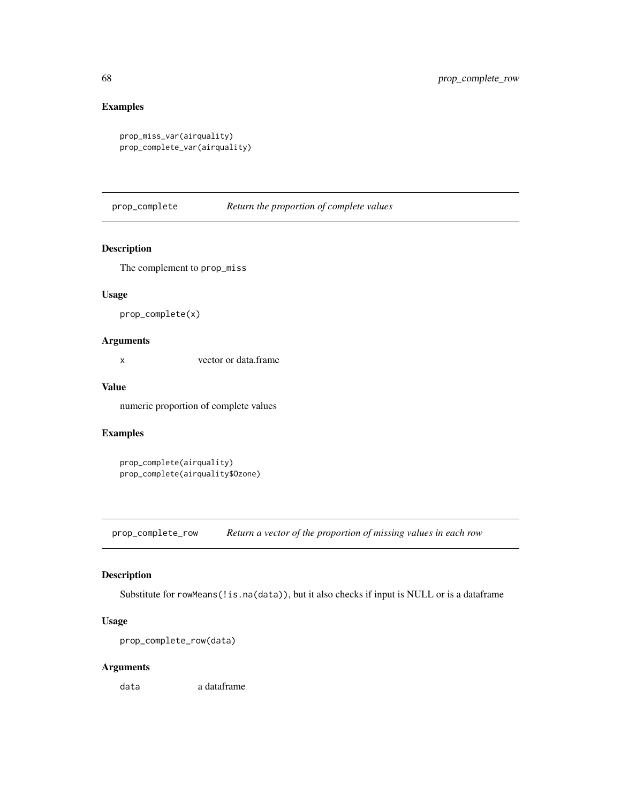# Examples

```
prop_miss_var(airquality)
prop_complete_var(airquality)
```
<span id="page-67-0"></span>prop\_complete *Return the proportion of complete values*

# Description

The complement to prop\_miss

# Usage

prop\_complete(x)

## Arguments

x vector or data.frame

# Value

numeric proportion of complete values

### Examples

```
prop_complete(airquality)
prop_complete(airquality$Ozone)
```
<span id="page-67-1"></span>prop\_complete\_row *Return a vector of the proportion of missing values in each row*

# Description

Substitute for rowMeans(!is.na(data)), but it also checks if input is NULL or is a dataframe

# Usage

```
prop_complete_row(data)
```
## Arguments

data a dataframe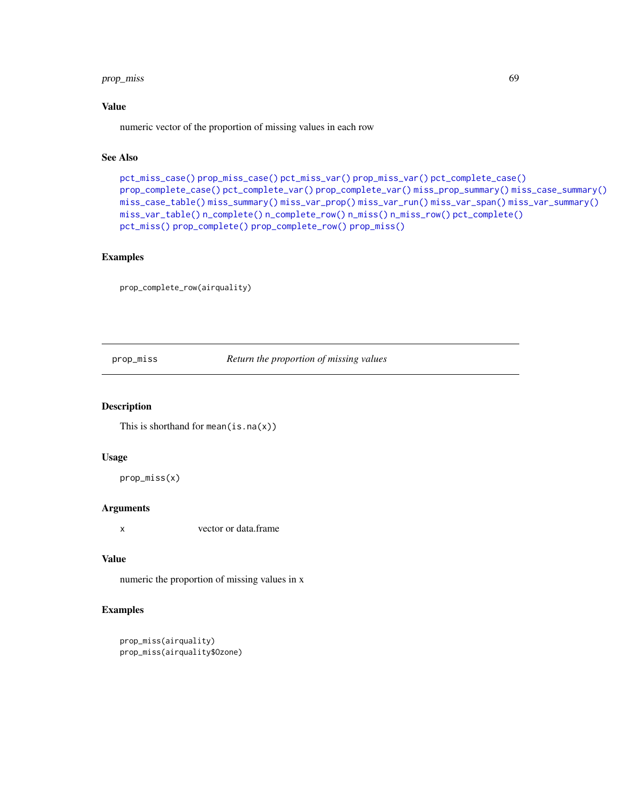# prop\_miss 69

## Value

numeric vector of the proportion of missing values in each row

# See Also

```
pct_miss_case() prop_miss_case() pct_miss_var() prop_miss_var() pct_complete_case()
prop_complete_case() pct_complete_var() prop_complete_var() miss_prop_summary() miss_case_summary()
miss_case_table() miss_summary() miss_var_prop() miss_var_run() miss_var_span() miss_var_summary()
miss_var_table() n_complete() n_complete_row() n_miss() n_miss_row() pct_complete()
pct_miss() prop_complete() prop_complete_row() prop_miss()
```
# Examples

prop\_complete\_row(airquality)

<span id="page-68-0"></span>prop\_miss *Return the proportion of missing values*

# Description

This is shorthand for mean $(is.na(x))$ 

## Usage

prop\_miss(x)

### Arguments

x vector or data.frame

### Value

numeric the proportion of missing values in x

## Examples

```
prop_miss(airquality)
prop_miss(airquality$Ozone)
```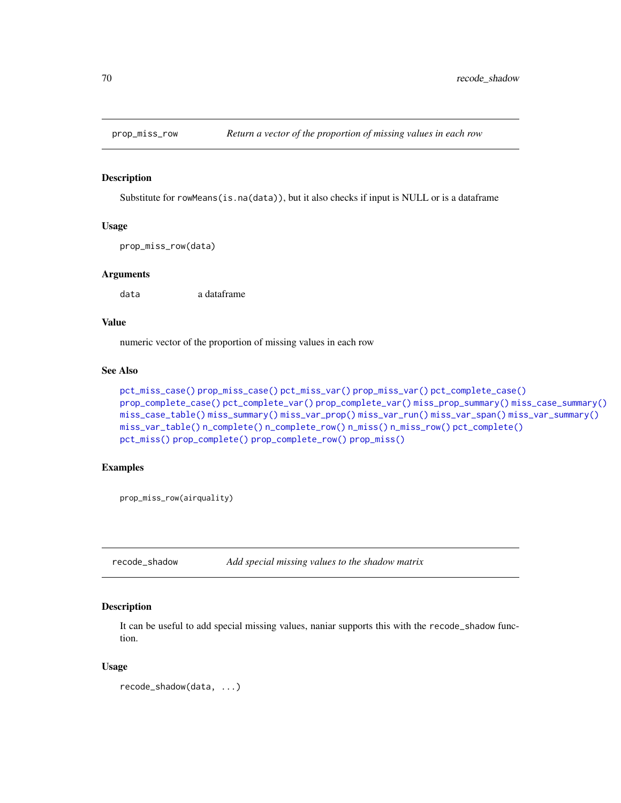<span id="page-69-1"></span>

Substitute for rowMeans(is.na(data)), but it also checks if input is NULL or is a dataframe

### Usage

prop\_miss\_row(data)

### **Arguments**

data a dataframe

## Value

numeric vector of the proportion of missing values in each row

## See Also

```
pct_miss_case() prop_miss_case() pct_miss_var() prop_miss_var() pct_complete_case()
prop_complete_case() pct_complete_var() prop_complete_var() miss_prop_summary() miss_case_summary()
miss_case_table() miss_summary() miss_var_prop() miss_var_run() miss_var_span() miss_var_summary()
miss_var_table() n_complete() n_complete_row() n_miss() n_miss_row() pct_complete()
pct_miss() prop_complete() prop_complete_row() prop_miss()
```
### Examples

prop\_miss\_row(airquality)

<span id="page-69-0"></span>recode\_shadow *Add special missing values to the shadow matrix*

### Description

It can be useful to add special missing values, naniar supports this with the recode\_shadow function.

### Usage

```
recode_shadow(data, ...)
```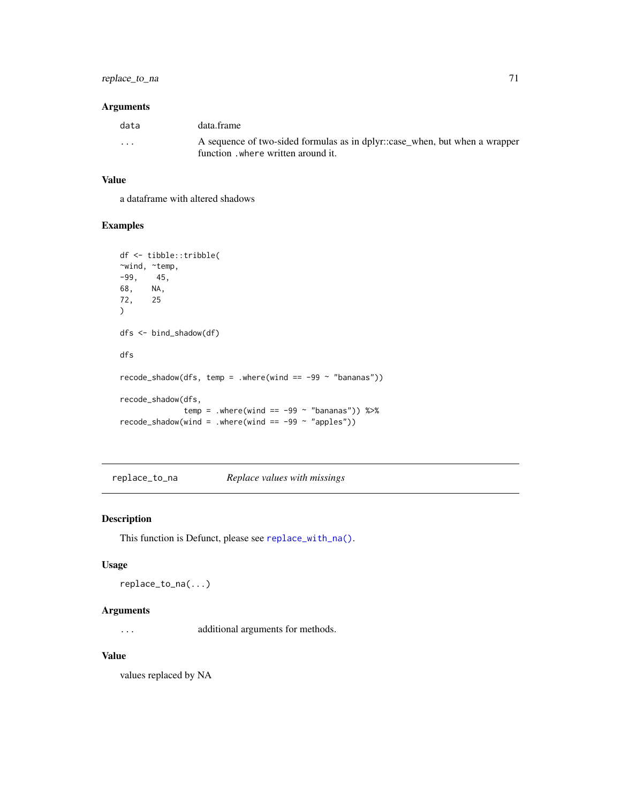# replace\_to\_na 71

## Arguments

| data                    | data.frame                                                                  |
|-------------------------|-----------------------------------------------------------------------------|
| $\cdot$ $\cdot$ $\cdot$ | A sequence of two-sided formulas as in dplyr::case_when, but when a wrapper |
|                         | function. where written around it.                                          |

## Value

a dataframe with altered shadows

# Examples

```
df <- tibble::tribble(
~wind, ~temp,
-99, 45,
68, NA,
72, 25
)
dfs <- bind_shadow(df)
dfs
recode_shadow(dfs, temp = .where(wind == -99 \sim "bananas"))
recode_shadow(dfs,
             temp = .where(wind == -99 \sim "bananas")) %>%
recode\_shadow(wind = .where(wind == -99 ~ "apples"))
```
<span id="page-70-0"></span>replace\_to\_na *Replace values with missings*

# Description

This function is Defunct, please see [replace\\_with\\_na\(\)](#page-71-0).

## Usage

```
replace_to_na(...)
```
## Arguments

... additional arguments for methods.

### Value

values replaced by NA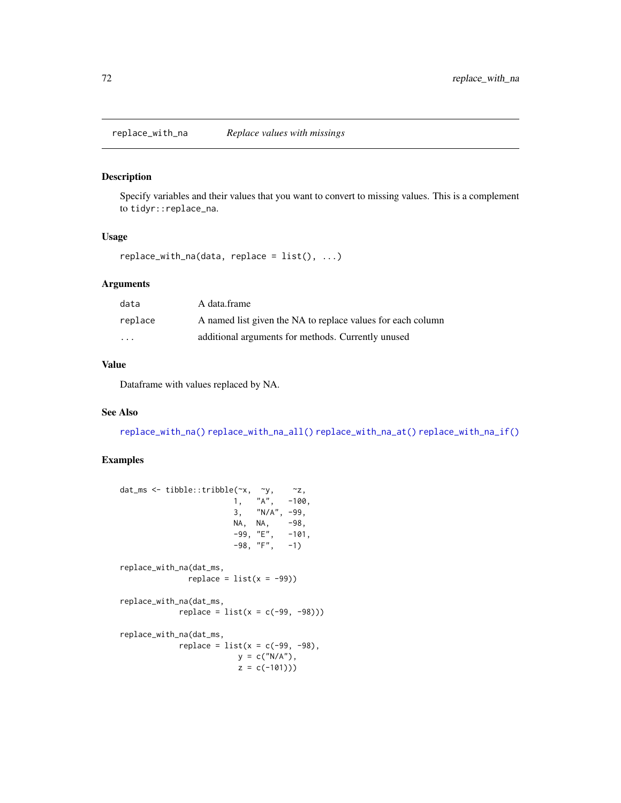<span id="page-71-0"></span>replace\_with\_na *Replace values with missings*

### Description

Specify variables and their values that you want to convert to missing values. This is a complement to tidyr::replace\_na.

### Usage

```
replace\_with\_na(data, replace = list(), ...)
```
# Arguments

| data                    | A data.frame                                                |
|-------------------------|-------------------------------------------------------------|
| replace                 | A named list given the NA to replace values for each column |
| $\cdot$ $\cdot$ $\cdot$ | additional arguments for methods. Currently unused          |

## Value

Dataframe with values replaced by NA.

# See Also

[replace\\_with\\_na\(\)](#page-71-0) [replace\\_with\\_na\\_all\(\)](#page-72-0) [replace\\_with\\_na\\_at\(\)](#page-73-0) [replace\\_with\\_na\\_if\(\)](#page-74-0)

## Examples

```
dat_ms <- tibble::tribble(~x, ~y, ~z,
                        1, "A", -100,3, "N/A", -99,
                        NA, NA, -98,<br>-99, "E", -101,
                        -99, "E",
                        -98, "F", -1)replace_with_na(dat_ms,
              replace = list(x = -99))replace_with_na(dat_ms,
            replace = list(x = c(-99, -98)))replace_with_na(dat_ms,
            replace = list(x = c(-99, -98),y = c("N/A"),
                         z = c(-101))
```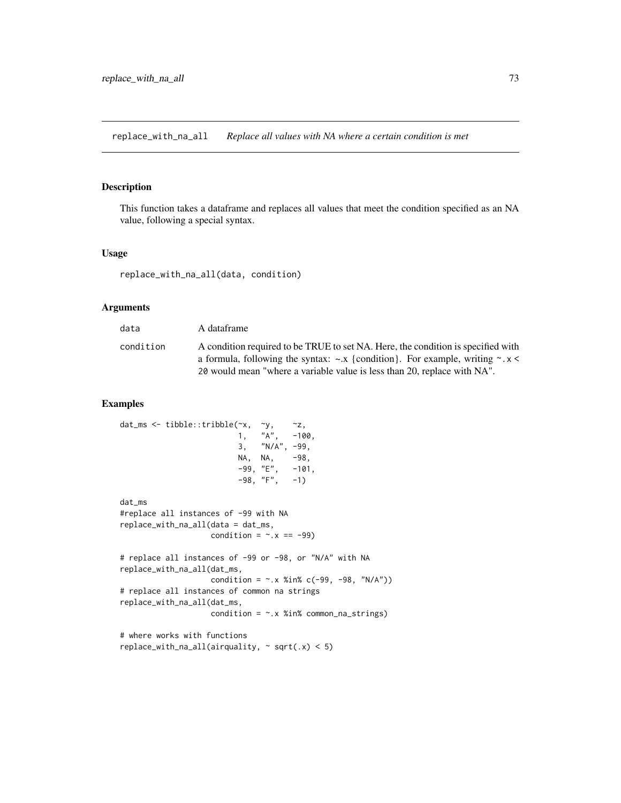<span id="page-72-0"></span>replace\_with\_na\_all *Replace all values with NA where a certain condition is met*

# Description

This function takes a dataframe and replaces all values that meet the condition specified as an NA value, following a special syntax.

#### Usage

replace\_with\_na\_all(data, condition)

#### Arguments

| data      | A dataframe                                                                                                                                                                |
|-----------|----------------------------------------------------------------------------------------------------------------------------------------------------------------------------|
| condition | A condition required to be TRUE to set NA. Here, the condition is specified with<br>a formula, following the syntax: $\sim x$ {condition}. For example, writing $\sim x$ < |
|           | 20 would mean "where a variable value is less than 20, replace with NA".                                                                                                   |

```
dat_ms <- tibble::tribble(~x, ~y, ~z,
                         1, "A", -100,3, "N/A", -99,
                         NA, NA, -98,
                         -99, "E", -101,-98, "F", -1)dat_ms
#replace all instances of -99 with NA
replace_with_na_all(data = dat_ms,
                   condition = \sim. x == -99)
# replace all instances of -99 or -98, or "N/A" with NA
replace_with_na_all(dat_ms,
                   condition = \sim.x %in% c(-99, -98, "N/A"))
# replace all instances of common na strings
replace_with_na_all(dat_ms,
                   condition = -x %in% common_na_strings)
# where works with functions
replace_with_na_all(airquality, \sim sqrt(.x) < 5)
```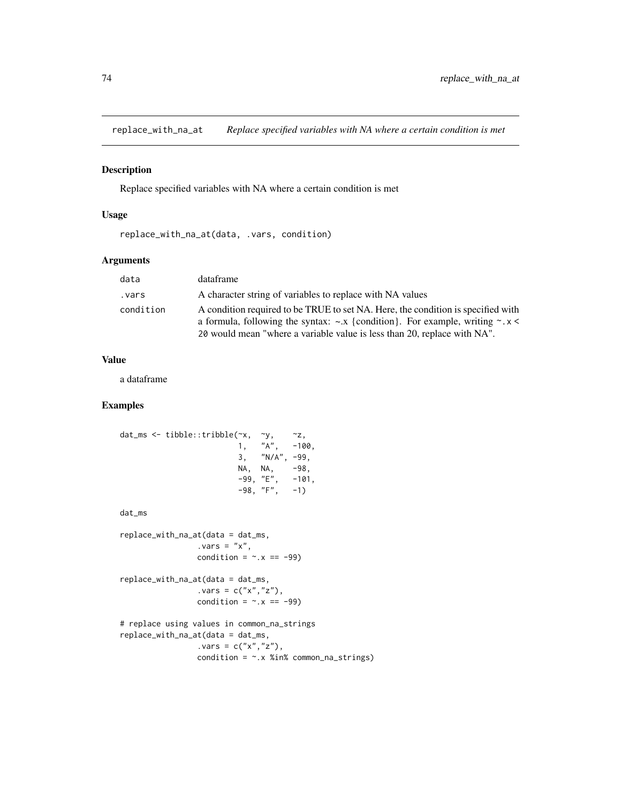<span id="page-73-0"></span>replace\_with\_na\_at *Replace specified variables with NA where a certain condition is met*

## Description

Replace specified variables with NA where a certain condition is met

#### Usage

replace\_with\_na\_at(data, .vars, condition)

# Arguments

| data      | dataframe                                                                                                                                                                                                                                              |
|-----------|--------------------------------------------------------------------------------------------------------------------------------------------------------------------------------------------------------------------------------------------------------|
| vars .    | A character string of variables to replace with NA values                                                                                                                                                                                              |
| condition | A condition required to be TRUE to set NA. Here, the condition is specified with<br>a formula, following the syntax: $\sim x$ {condition}. For example, writing $\sim x$ <<br>20 would mean "where a variable value is less than 20, replace with NA". |

#### Value

a dataframe

```
dat_ms <- tibble::tribble(\alpha x, \alpha y, \alpha z, \alpha, \alpha, \alpha, \alpha, \alpha, \alpha, \alpha, \alpha, \alpha, \alpha, \alpha, \alpha, \alpha, \alpha, \alpha, \alpha, \alpha, \alpha, \alpha, \alpha, \alpha, \alpha, \alpha, \alpha, \alpha, \alpha, \alpha, \alpha, \alpha, 
                                         1, \quad "A",3, "N/A", -99,
                                         NA, NA, -98,
                                         -99, "E", -101,-98, "F", -1)dat_ms
replace_with_na_at(data = dat_ms,
                           .vars = "x",condition = \sim. x == -99)
replace_with_na_at(data = dat_ms,
                           .vars = c("x", "z"),
                           condition = \sim.x == -99)
# replace using values in common_na_strings
replace_with_na_at(data = dat_ms,
                           vars = c("x", "z"),
                           condition = \sim.x %in% common_na_strings)
```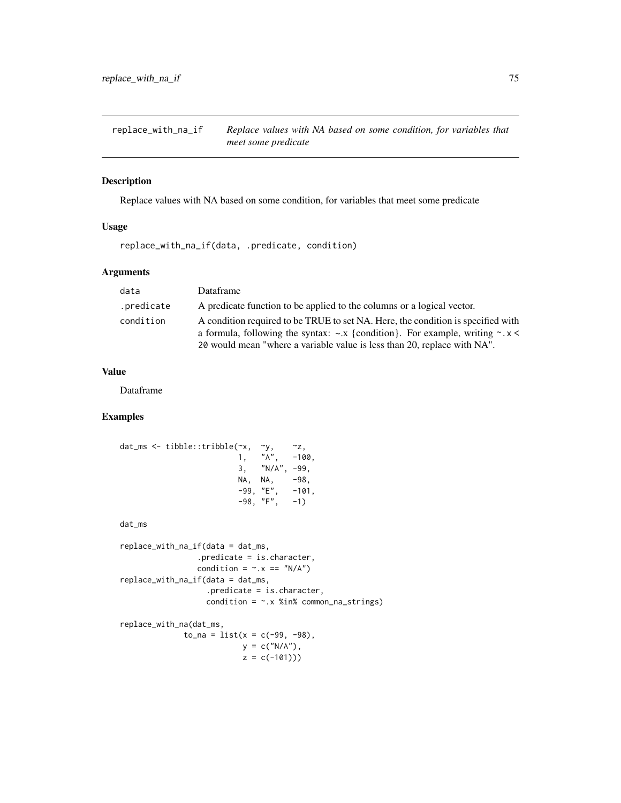<span id="page-74-0"></span>replace\_with\_na\_if *Replace values with NA based on some condition, for variables that meet some predicate*

#### Description

Replace values with NA based on some condition, for variables that meet some predicate

# Usage

replace\_with\_na\_if(data, .predicate, condition)

#### Arguments

| data       | Dataframe                                                                                                                                                                                                                                              |
|------------|--------------------------------------------------------------------------------------------------------------------------------------------------------------------------------------------------------------------------------------------------------|
| .predicate | A predicate function to be applied to the columns or a logical vector.                                                                                                                                                                                 |
| condition  | A condition required to be TRUE to set NA. Here, the condition is specified with<br>a formula, following the syntax: $\sim x$ {condition}. For example, writing $\sim x$ <<br>20 would mean "where a variable value is less than 20, replace with NA". |

# Value

Dataframe

## Examples

```
dat_ms <- tibble::tribble(\alphax, \gamma, \alphaz, \alpha, \alpha, \alpha, \alpha, \alpha, \alpha, \alpha, \alpha, \alpha, \alpha, \alpha, \alpha, \alpha, \alpha, \alpha, \alpha, \alpha, \alpha, \alpha, \alpha, \alpha, \alpha, \alpha, \alpha, \alpha, \alpha, \alpha, \alpha, \alpha, 1, "A", -100,3, "N/A", -99,
                                          NA, NA, -98,<br>-99, "E", -101,
                                           -99, "E",-98, "F", -1)dat_ms
replace_with_na_if(data = dat_ms,
                            .predicate = is.character,
                            condition = \sim. x == "N/A")
replace_with_na_if(data = dat_ms,
                               .predicate = is.character,
                               condition = -x %in% common_na_strings)
replace_with_na(dat_ms,
                       to_n = 1ist(x = c(-99, -98),y = c("N/A"),
```
 $z = c(-101))$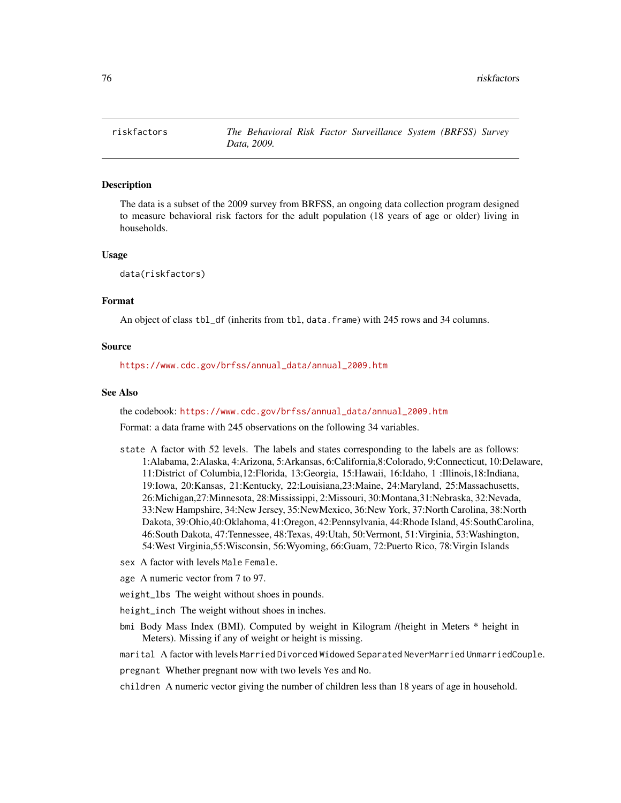<span id="page-75-0"></span>

The data is a subset of the 2009 survey from BRFSS, an ongoing data collection program designed to measure behavioral risk factors for the adult population (18 years of age or older) living in households.

# Usage

data(riskfactors)

#### Format

An object of class tbl\_df (inherits from tbl, data.frame) with 245 rows and 34 columns.

#### Source

[https://www.cdc.gov/brfss/annual\\_data/annual\\_2009.htm](https://www.cdc.gov/brfss/annual_data/annual_2009.htm)

## See Also

the codebook: [https://www.cdc.gov/brfss/annual\\_data/annual\\_2009.htm](https://www.cdc.gov/brfss/annual_data/annual_2009.htm)

Format: a data frame with 245 observations on the following 34 variables.

- state A factor with 52 levels. The labels and states corresponding to the labels are as follows: 1:Alabama, 2:Alaska, 4:Arizona, 5:Arkansas, 6:California,8:Colorado, 9:Connecticut, 10:Delaware, 11:District of Columbia,12:Florida, 13:Georgia, 15:Hawaii, 16:Idaho, 1 :Illinois,18:Indiana, 19:Iowa, 20:Kansas, 21:Kentucky, 22:Louisiana,23:Maine, 24:Maryland, 25:Massachusetts, 26:Michigan,27:Minnesota, 28:Mississippi, 2:Missouri, 30:Montana,31:Nebraska, 32:Nevada, 33:New Hampshire, 34:New Jersey, 35:NewMexico, 36:New York, 37:North Carolina, 38:North Dakota, 39:Ohio,40:Oklahoma, 41:Oregon, 42:Pennsylvania, 44:Rhode Island, 45:SouthCarolina, 46:South Dakota, 47:Tennessee, 48:Texas, 49:Utah, 50:Vermont, 51:Virginia, 53:Washington, 54:West Virginia,55:Wisconsin, 56:Wyoming, 66:Guam, 72:Puerto Rico, 78:Virgin Islands
- sex A factor with levels Male Female.
- age A numeric vector from 7 to 97.

weight\_lbs The weight without shoes in pounds.

height\_inch The weight without shoes in inches.

- bmi Body Mass Index (BMI). Computed by weight in Kilogram /(height in Meters \* height in Meters). Missing if any of weight or height is missing.
- marital A factor with levels Married Divorced Widowed Separated NeverMarried UnmarriedCouple.

pregnant Whether pregnant now with two levels Yes and No.

children A numeric vector giving the number of children less than 18 years of age in household.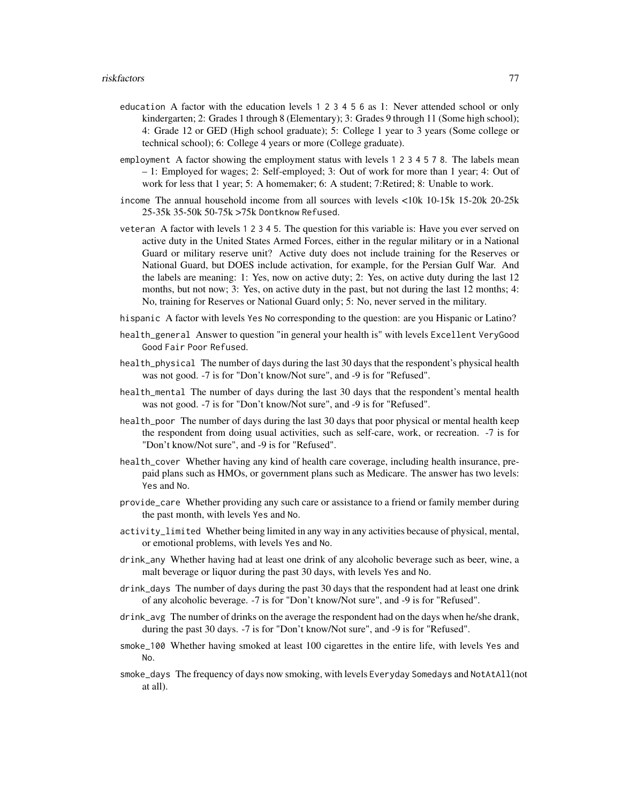- education A factor with the education levels 1 2 3 4 5 6 as 1: Never attended school or only kindergarten; 2: Grades 1 through 8 (Elementary); 3: Grades 9 through 11 (Some high school); 4: Grade 12 or GED (High school graduate); 5: College 1 year to 3 years (Some college or technical school); 6: College 4 years or more (College graduate).
- employment A factor showing the employment status with levels 1 2 3 4 5 7 8. The labels mean – 1: Employed for wages; 2: Self-employed; 3: Out of work for more than 1 year; 4: Out of work for less that 1 year; 5: A homemaker; 6: A student; 7:Retired; 8: Unable to work.
- income The annual household income from all sources with levels <10k 10-15k 15-20k 20-25k 25-35k 35-50k 50-75k >75k Dontknow Refused.
- veteran A factor with levels 1 2 3 4 5. The question for this variable is: Have you ever served on active duty in the United States Armed Forces, either in the regular military or in a National Guard or military reserve unit? Active duty does not include training for the Reserves or National Guard, but DOES include activation, for example, for the Persian Gulf War. And the labels are meaning: 1: Yes, now on active duty; 2: Yes, on active duty during the last 12 months, but not now; 3: Yes, on active duty in the past, but not during the last 12 months; 4: No, training for Reserves or National Guard only; 5: No, never served in the military.
- hispanic A factor with levels Yes No corresponding to the question: are you Hispanic or Latino?
- health\_general Answer to question "in general your health is" with levels Excellent VeryGood Good Fair Poor Refused.
- health\_physical The number of days during the last 30 days that the respondent's physical health was not good. -7 is for "Don't know/Not sure", and -9 is for "Refused".
- health\_mental The number of days during the last 30 days that the respondent's mental health was not good. -7 is for "Don't know/Not sure", and -9 is for "Refused".
- health\_poor The number of days during the last 30 days that poor physical or mental health keep the respondent from doing usual activities, such as self-care, work, or recreation. -7 is for "Don't know/Not sure", and -9 is for "Refused".
- health\_cover Whether having any kind of health care coverage, including health insurance, prepaid plans such as HMOs, or government plans such as Medicare. The answer has two levels: Yes and No.
- provide\_care Whether providing any such care or assistance to a friend or family member during the past month, with levels Yes and No.
- activity\_limited Whether being limited in any way in any activities because of physical, mental, or emotional problems, with levels Yes and No.
- drink\_any Whether having had at least one drink of any alcoholic beverage such as beer, wine, a malt beverage or liquor during the past 30 days, with levels Yes and No.
- drink\_days The number of days during the past 30 days that the respondent had at least one drink of any alcoholic beverage. -7 is for "Don't know/Not sure", and -9 is for "Refused".
- drink\_avg The number of drinks on the average the respondent had on the days when he/she drank, during the past 30 days. -7 is for "Don't know/Not sure", and -9 is for "Refused".
- smoke\_100 Whether having smoked at least 100 cigarettes in the entire life, with levels Yes and No.
- smoke\_days The frequency of days now smoking, with levels Everyday Somedays and NotAtAll(not at all).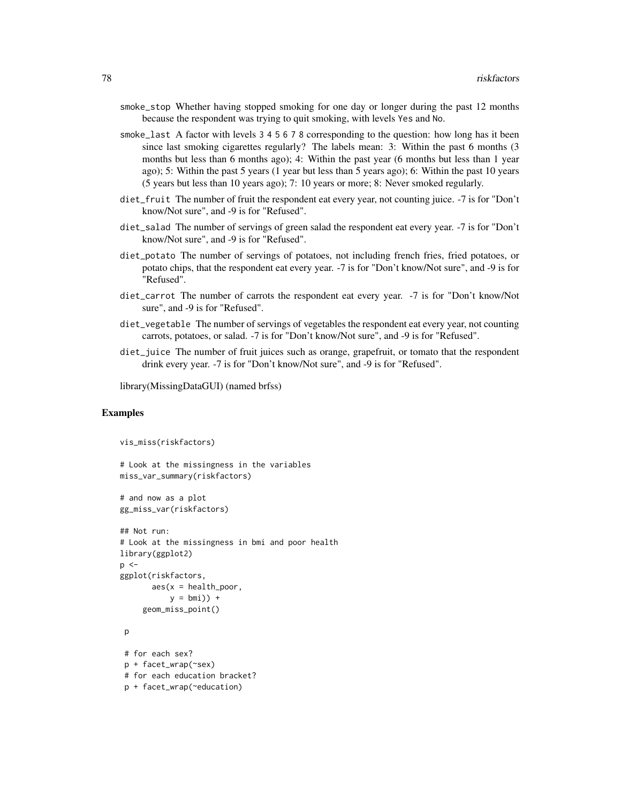- smoke\_stop Whether having stopped smoking for one day or longer during the past 12 months because the respondent was trying to quit smoking, with levels Yes and No.
- smoke\_last A factor with levels 3 4 5 6 7 8 corresponding to the question: how long has it been since last smoking cigarettes regularly? The labels mean: 3: Within the past 6 months (3 months but less than 6 months ago); 4: Within the past year (6 months but less than 1 year ago); 5: Within the past 5 years (1 year but less than 5 years ago); 6: Within the past 10 years (5 years but less than 10 years ago); 7: 10 years or more; 8: Never smoked regularly.
- diet\_fruit The number of fruit the respondent eat every year, not counting juice. -7 is for "Don't know/Not sure", and -9 is for "Refused".
- diet\_salad The number of servings of green salad the respondent eat every year. -7 is for "Don't know/Not sure", and -9 is for "Refused".
- diet\_potato The number of servings of potatoes, not including french fries, fried potatoes, or potato chips, that the respondent eat every year. -7 is for "Don't know/Not sure", and -9 is for "Refused".
- diet\_carrot The number of carrots the respondent eat every year. -7 is for "Don't know/Not sure", and -9 is for "Refused".
- diet\_vegetable The number of servings of vegetables the respondent eat every year, not counting carrots, potatoes, or salad. -7 is for "Don't know/Not sure", and -9 is for "Refused".
- diet\_juice The number of fruit juices such as orange, grapefruit, or tomato that the respondent drink every year. -7 is for "Don't know/Not sure", and -9 is for "Refused".

library(MissingDataGUI) (named brfss)

```
vis_miss(riskfactors)
# Look at the missingness in the variables
miss_var_summary(riskfactors)
# and now as a plot
gg_miss_var(riskfactors)
## Not run:
# Look at the missingness in bmi and poor health
library(ggplot2)
p \leq -
```

```
ggplot(riskfactors,
      aes(x = health\_poor,y = bmi) +
     geom_miss_point()
```

```
p
```

```
# for each sex?
p + facet_wrap(~sex)
# for each education bracket?
p + facet_wrap(~education)
```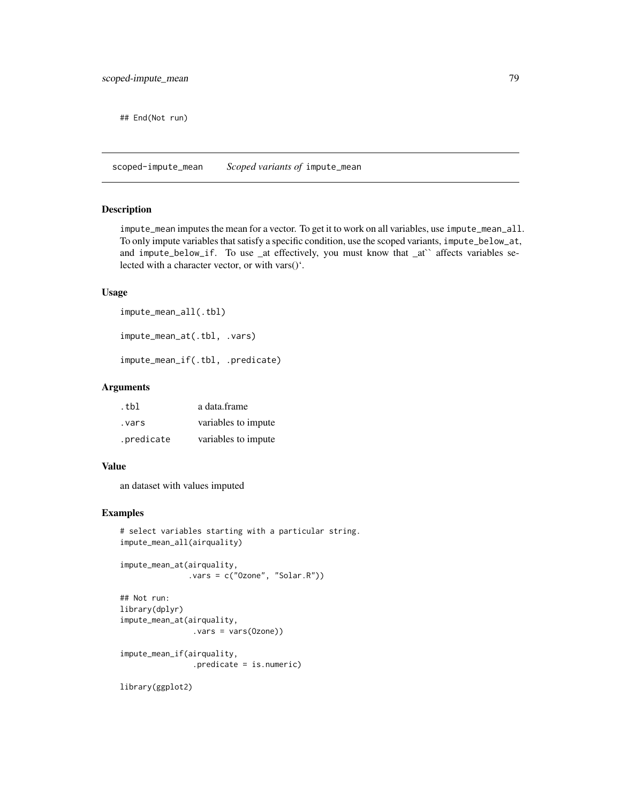<span id="page-78-0"></span>## End(Not run)

scoped-impute\_mean *Scoped variants of* impute\_mean

# Description

impute\_mean imputes the mean for a vector. To get it to work on all variables, use impute\_mean\_all. To only impute variables that satisfy a specific condition, use the scoped variants, impute\_below\_at, and impute\_below\_if. To use \_at effectively, you must know that \_at`` affects variables selected with a character vector, or with vars()'.

#### Usage

```
impute_mean_all(.tbl)
impute_mean_at(.tbl, .vars)
```
impute\_mean\_if(.tbl, .predicate)

#### Arguments

| .tbl       | a data.frame        |
|------------|---------------------|
| vars.      | variables to impute |
| .predicate | variables to impute |

#### Value

an dataset with values imputed

# Examples

```
# select variables starting with a particular string.
impute_mean_all(airquality)
```

```
impute_mean_at(airquality,
              .vars = c("Ozone", "Solar.R"))
```

```
## Not run:
library(dplyr)
impute_mean_at(airquality,
                .vars = vars(Ozone))
impute_mean_if(airquality,
                .predicate = is.numeric)
```
library(ggplot2)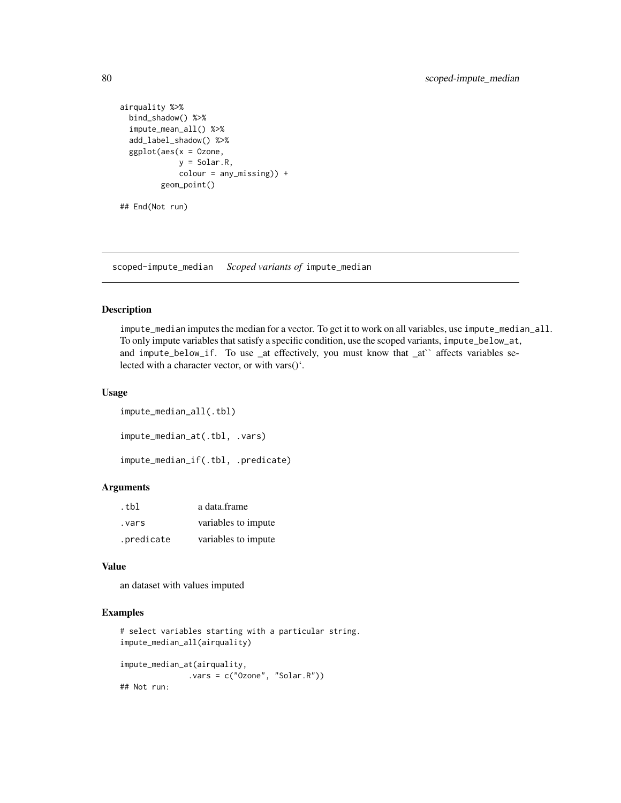```
airquality %>%
 bind_shadow() %>%
 impute_mean_all() %>%
 add_label_shadow() %>%
 ggplot(aes(x = 0zone,y = Solar.R,
            colour = any_missing)) +
        geom_point()
## End(Not run)
```
scoped-impute\_median *Scoped variants of* impute\_median

#### Description

impute\_median imputes the median for a vector. To get it to work on all variables, use impute\_median\_all. To only impute variables that satisfy a specific condition, use the scoped variants, impute\_below\_at, and impute\_below\_if. To use \_at effectively, you must know that \_at'` affects variables selected with a character vector, or with vars()'.

# Usage

```
impute_median_all(.tbl)
impute_median_at(.tbl, .vars)
impute_median_if(.tbl, .predicate)
```
#### Arguments

| .tbl       | a data.frame        |
|------------|---------------------|
| vars .     | variables to impute |
| .predicate | variables to impute |

# Value

an dataset with values imputed

```
# select variables starting with a particular string.
impute_median_all(airquality)
impute_median_at(airquality,
              .vars = c("Ozone", "Solar.R"))
## Not run:
```
<span id="page-79-0"></span>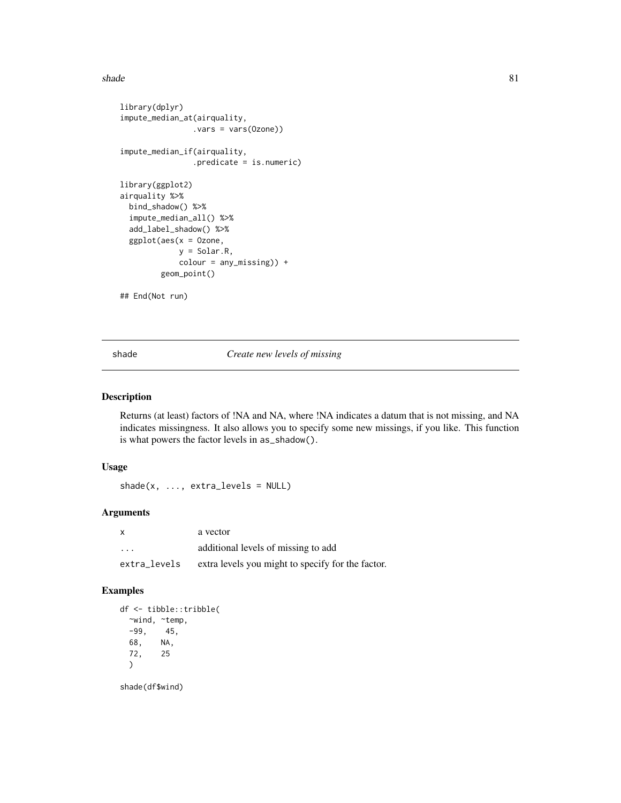<span id="page-80-0"></span>shade 81

```
library(dplyr)
impute_median_at(airquality,
                .vars = vars(Ozone))
impute_median_if(airquality,
                .predicate = is.numeric)
library(ggplot2)
airquality %>%
 bind_shadow() %>%
 impute_median_all() %>%
 add_label_shadow() %>%
 ggplot(aes(x = 0zone,y = Solar.R,
            colour = any_missing)) +
        geom_point()
```
## End(Not run)

shade *Create new levels of missing*

# Description

Returns (at least) factors of !NA and NA, where !NA indicates a datum that is not missing, and NA indicates missingness. It also allows you to specify some new missings, if you like. This function is what powers the factor levels in as\_shadow().

#### Usage

 $shade(x, ..., extra\_levels = NULL)$ 

# Arguments

| $\mathsf{x}$            | a vector                                          |
|-------------------------|---------------------------------------------------|
| $\cdot$ $\cdot$ $\cdot$ | additional levels of missing to add               |
| extra_levels            | extra levels you might to specify for the factor. |

# Examples

df <- tibble::tribble( ~wind, ~temp, -99, 45, 68, NA, 72, 25 )

shade(df\$wind)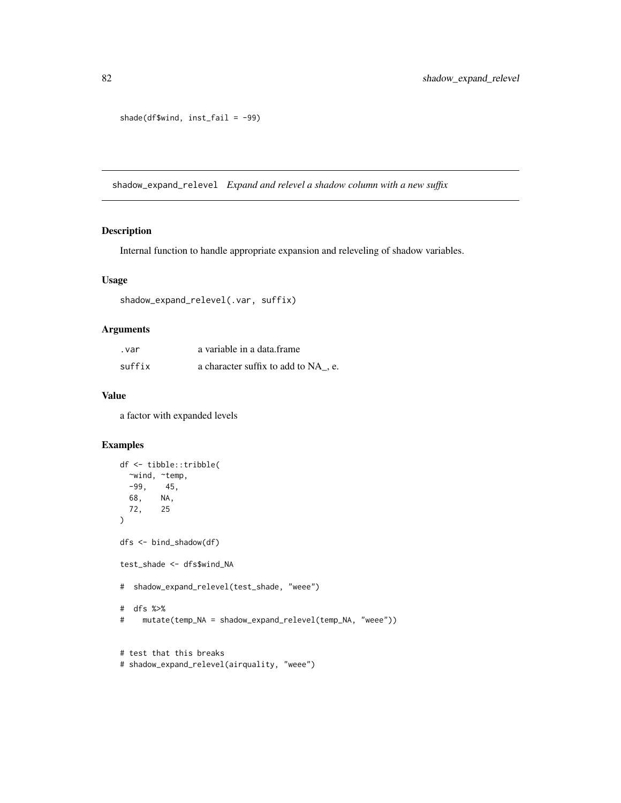shade(df\$wind, inst\_fail = -99)

shadow\_expand\_relevel *Expand and relevel a shadow column with a new suffix*

#### Description

Internal function to handle appropriate expansion and releveling of shadow variables.

#### Usage

```
shadow_expand_relevel(.var, suffix)
```
# Arguments

| .var   | a variable in a data.frame          |
|--------|-------------------------------------|
| suffix | a character suffix to add to NA, e. |

# Value

a factor with expanded levels

```
df <- tibble::tribble(
 ~wind, ~temp,
 -99, 45,
 68, NA,
 72, 25
)
dfs <- bind_shadow(df)
test_shade <- dfs$wind_NA
# shadow_expand_relevel(test_shade, "weee")
# dfs %>%
# mutate(temp_NA = shadow_expand_relevel(temp_NA, "weee"))
# test that this breaks
```

```
# shadow_expand_relevel(airquality, "weee")
```
<span id="page-81-0"></span>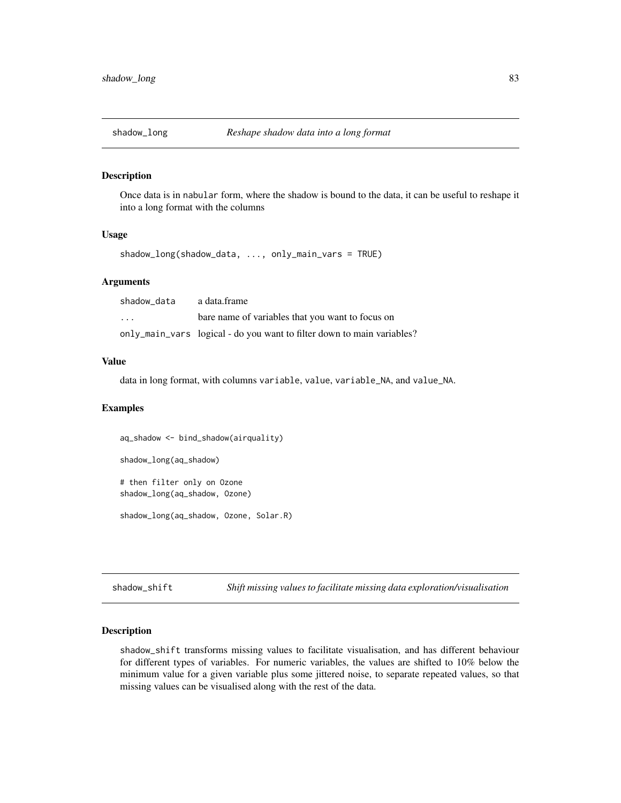<span id="page-82-0"></span>

Once data is in nabular form, where the shadow is bound to the data, it can be useful to reshape it into a long format with the columns

#### Usage

shadow\_long(shadow\_data, ..., only\_main\_vars = TRUE)

## Arguments

| shadow data             | a data.frame                                                           |
|-------------------------|------------------------------------------------------------------------|
| $\cdot$ $\cdot$ $\cdot$ | bare name of variables that you want to focus on                       |
|                         | only_main_vars logical - do you want to filter down to main variables? |

#### Value

data in long format, with columns variable, value, variable\_NA, and value\_NA.

#### Examples

aq\_shadow <- bind\_shadow(airquality) shadow\_long(aq\_shadow) # then filter only on Ozone shadow\_long(aq\_shadow, Ozone)

shadow\_long(aq\_shadow, Ozone, Solar.R)

shadow\_shift *Shift missing values to facilitate missing data exploration/visualisation*

#### Description

shadow\_shift transforms missing values to facilitate visualisation, and has different behaviour for different types of variables. For numeric variables, the values are shifted to 10% below the minimum value for a given variable plus some jittered noise, to separate repeated values, so that missing values can be visualised along with the rest of the data.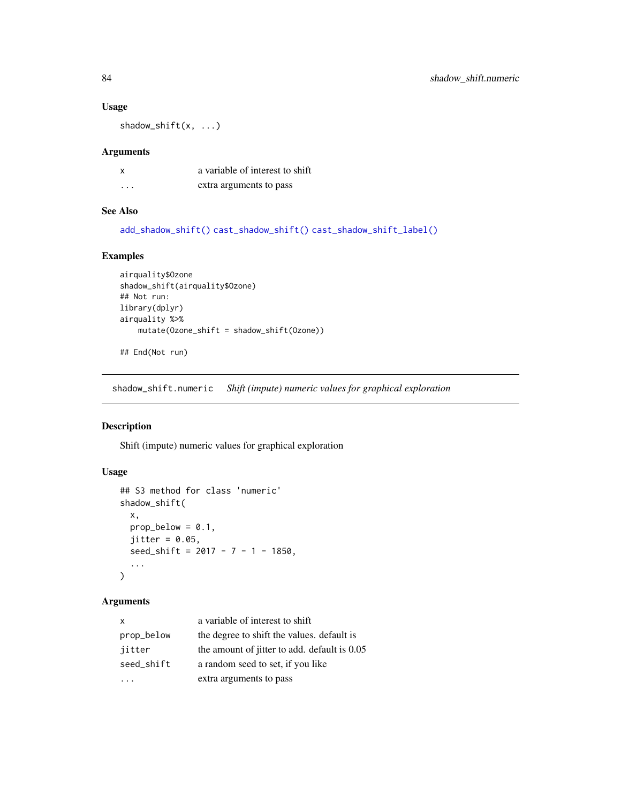## Usage

shadow\_shift(x, ...)

#### Arguments

| x        | a variable of interest to shift |
|----------|---------------------------------|
| $\cdots$ | extra arguments to pass         |

# See Also

[add\\_shadow\\_shift\(\)](#page-10-0) [cast\\_shadow\\_shift\(\)](#page-17-0) [cast\\_shadow\\_shift\\_label\(\)](#page-17-1)

# Examples

```
airquality$Ozone
shadow_shift(airquality$Ozone)
## Not run:
library(dplyr)
airquality %>%
    mutate(Ozone_shift = shadow_shift(Ozone))
```
## End(Not run)

shadow\_shift.numeric *Shift (impute) numeric values for graphical exploration*

# Description

Shift (impute) numeric values for graphical exploration

# Usage

```
## S3 method for class 'numeric'
shadow_shift(
  x,
  prop\_below = 0.1,
  jitter = 0.05,seed\_shift = 2017 - 7 - 1 - 1850,...
\mathcal{L}
```
# Arguments

| $\mathsf{x}$ | a variable of interest to shift              |
|--------------|----------------------------------------------|
| prop_below   | the degree to shift the values. default is   |
| jitter       | the amount of jitter to add. default is 0.05 |
| seed_shift   | a random seed to set, if you like            |
|              | extra arguments to pass                      |

<span id="page-83-0"></span>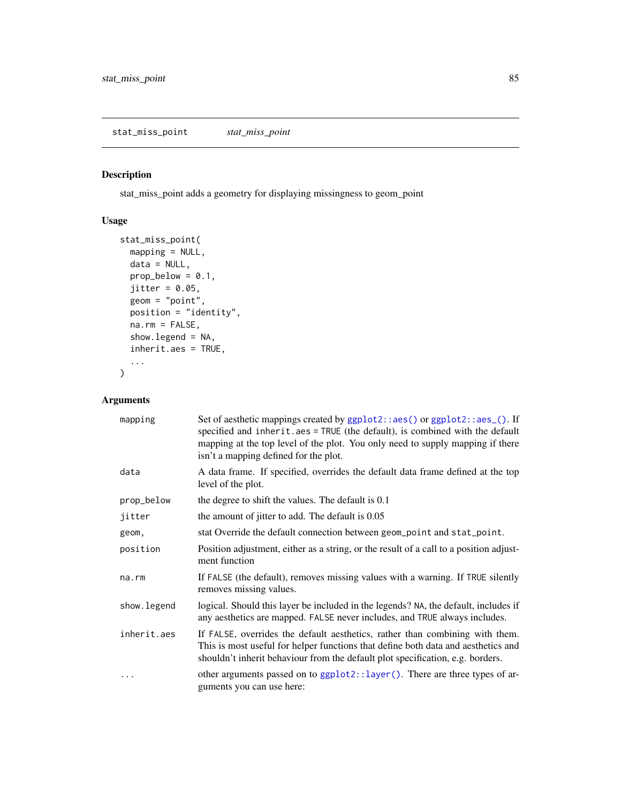<span id="page-84-0"></span>stat\_miss\_point adds a geometry for displaying missingness to geom\_point

# Usage

```
stat_miss_point(
 mapping = NULL,
 data = NULL,prop\_below = 0.1,jitter = 0.05,
 geom = "point",
 position = "identity",
 na.rm = FALSE,
  show.legend = NA,
  inherit.aes = TRUE,
  ...
)
```
# Arguments

| mapping      | Set of aesthetic mappings created by ggplot2::aes() or ggplot2::aes_(). If<br>specified and inherit.aes = TRUE (the default), is combined with the default<br>mapping at the top level of the plot. You only need to supply mapping if there<br>isn't a mapping defined for the plot. |
|--------------|---------------------------------------------------------------------------------------------------------------------------------------------------------------------------------------------------------------------------------------------------------------------------------------|
| data         | A data frame. If specified, overrides the default data frame defined at the top<br>level of the plot.                                                                                                                                                                                 |
| prop_below   | the degree to shift the values. The default is 0.1                                                                                                                                                                                                                                    |
| jitter       | the amount of jitter to add. The default is 0.05                                                                                                                                                                                                                                      |
| geom,        | stat Override the default connection between geom_point and stat_point.                                                                                                                                                                                                               |
| position     | Position adjustment, either as a string, or the result of a call to a position adjust-<br>ment function                                                                                                                                                                               |
| $na$ . $rm$  | If FALSE (the default), removes missing values with a warning. If TRUE silently<br>removes missing values.                                                                                                                                                                            |
| show. legend | logical. Should this layer be included in the legends? NA, the default, includes if<br>any aesthetics are mapped. FALSE never includes, and TRUE always includes.                                                                                                                     |
| inherit.aes  | If FALSE, overrides the default aesthetics, rather than combining with them.<br>This is most useful for helper functions that define both data and aesthetics and<br>shouldn't inherit behaviour from the default plot specification, e.g. borders.                                   |
|              | other arguments passed on to ggplot2::layer(). There are three types of ar-<br>guments you can use here:                                                                                                                                                                              |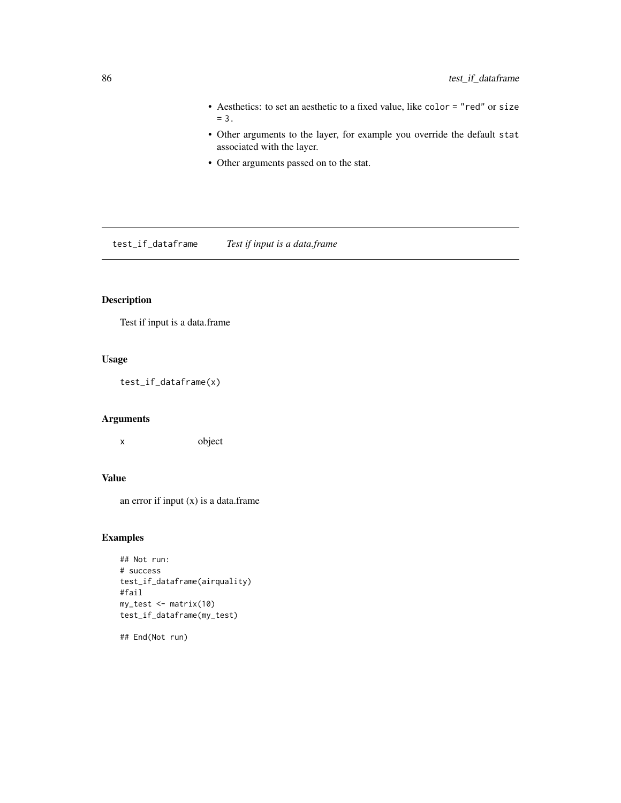- <span id="page-85-0"></span>• Aesthetics: to set an aesthetic to a fixed value, like color = "red" or size  $= 3.$
- Other arguments to the layer, for example you override the default stat associated with the layer.
- Other arguments passed on to the stat.

test\_if\_dataframe *Test if input is a data.frame*

# Description

Test if input is a data.frame

# Usage

test\_if\_dataframe(x)

#### Arguments

x object

# Value

an error if input  $(x)$  is a data.frame

#### Examples

```
## Not run:
# success
test_if_dataframe(airquality)
#fail
my_test <- matrix(10)
test_if_dataframe(my_test)
```
## End(Not run)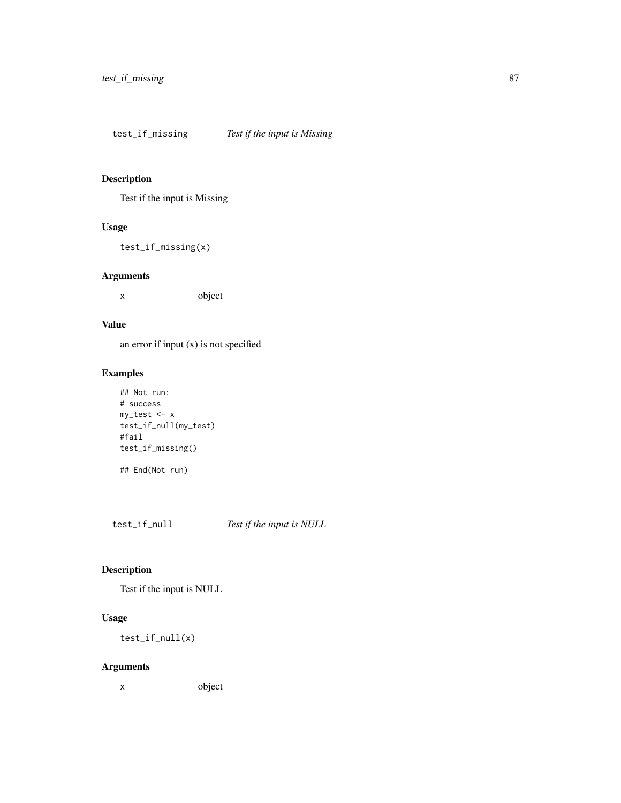<span id="page-86-0"></span>test\_if\_missing *Test if the input is Missing*

# Description

Test if the input is Missing

#### Usage

test\_if\_missing(x)

# Arguments

x object

## Value

an error if input (x) is not specified

# Examples

```
## Not run:
# success
my_test <- x
test_if_null(my_test)
#fail
test_if_missing()
## End(Not run)
```
test\_if\_null *Test if the input is NULL*

# Description

Test if the input is NULL

# Usage

test\_if\_null(x)

# Arguments

x object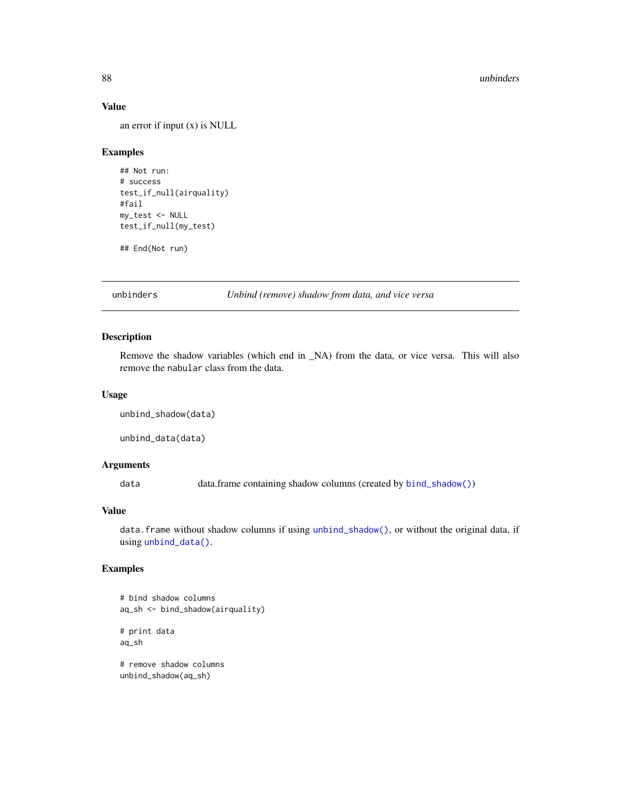## Value

an error if input (x) is NULL

#### Examples

```
## Not run:
# success
test_if_null(airquality)
#fail
my_test <- NULL
test_if_null(my_test)
```
## End(Not run)

unbinders *Unbind (remove) shadow from data, and vice versa*

# <span id="page-87-0"></span>Description

Remove the shadow variables (which end in \_NA) from the data, or vice versa. This will also remove the nabular class from the data.

## Usage

```
unbind_shadow(data)
```
unbind\_data(data)

#### Arguments

data data.frame containing shadow columns (created by [bind\\_shadow\(\)](#page-15-0))

#### Value

data.frame without shadow columns if using [unbind\\_shadow\(\)](#page-87-0), or without the original data, if using [unbind\\_data\(\)](#page-87-0).

# Examples

```
# bind shadow columns
aq_sh <- bind_shadow(airquality)
# print data
```
aq\_sh

```
# remove shadow columns
unbind_shadow(aq_sh)
```
<span id="page-87-1"></span>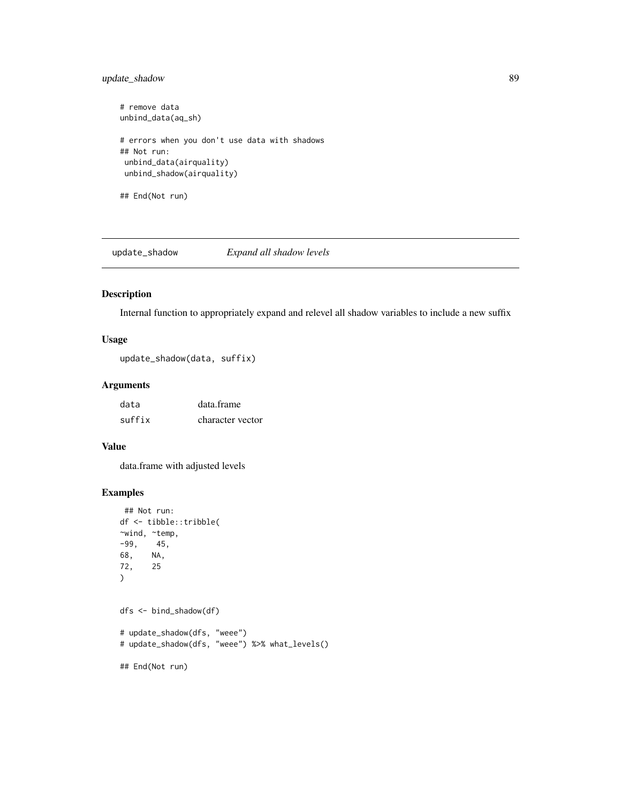# <span id="page-88-0"></span>update\_shadow 89

```
# remove data
unbind_data(aq_sh)
# errors when you don't use data with shadows
## Not run:
 unbind_data(airquality)
 unbind_shadow(airquality)
```
## End(Not run)

update\_shadow *Expand all shadow levels*

#### Description

Internal function to appropriately expand and relevel all shadow variables to include a new suffix

# Usage

```
update_shadow(data, suffix)
```
# Arguments

| data   | data.frame       |
|--------|------------------|
| suffix | character vector |

# Value

data.frame with adjusted levels

```
## Not run:
df <- tibble::tribble(
~wind, ~temp,
-99, 45,
68, NA,
72, 25
\mathcal{L}dfs <- bind_shadow(df)
# update_shadow(dfs, "weee")
# update_shadow(dfs, "weee") %>% what_levels()
## End(Not run)
```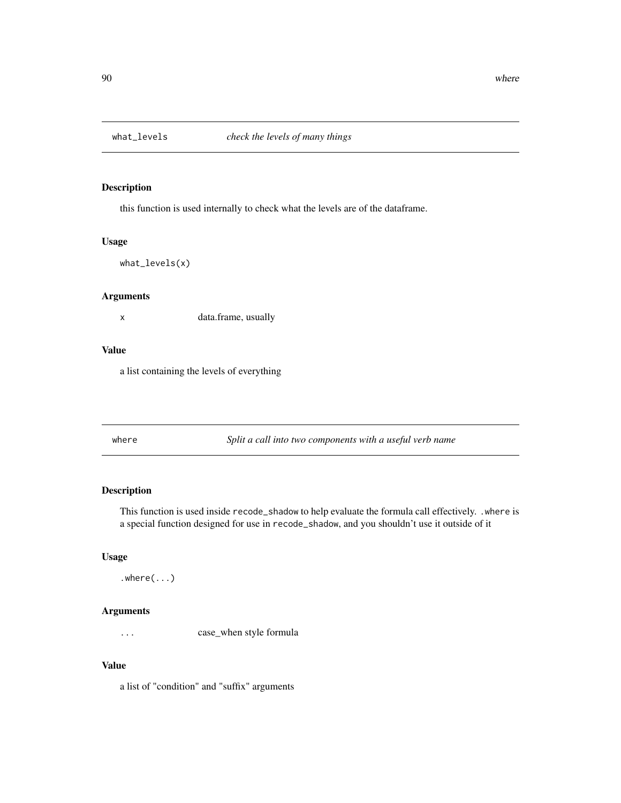<span id="page-89-0"></span>

this function is used internally to check what the levels are of the dataframe.

#### Usage

what\_levels(x)

# Arguments

x data.frame, usually

#### Value

a list containing the levels of everything

where *Split a call into two components with a useful verb name*

# Description

This function is used inside recode\_shadow to help evaluate the formula call effectively. .where is a special function designed for use in recode\_shadow, and you shouldn't use it outside of it

# Usage

```
.where(..)
```
# Arguments

... case\_when style formula

# Value

a list of "condition" and "suffix" arguments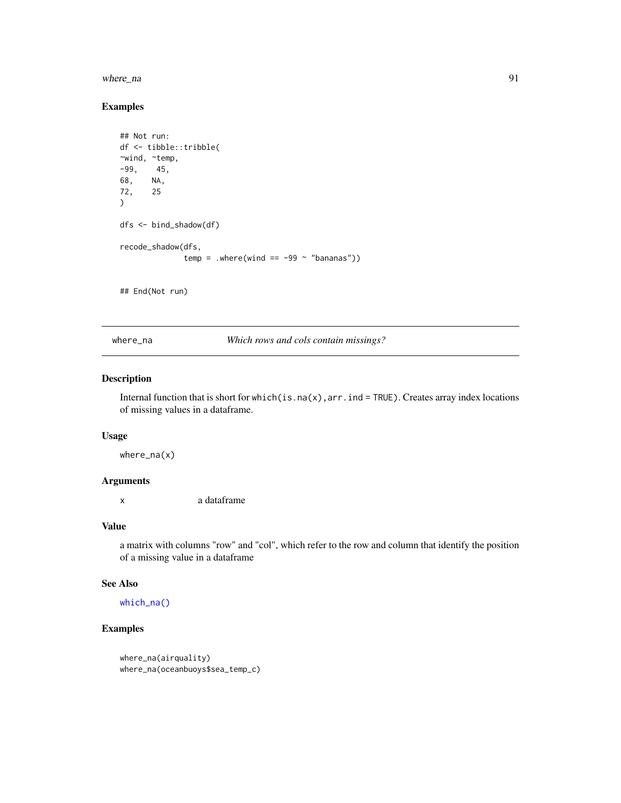#### <span id="page-90-1"></span>where\_na 91

# Examples

```
## Not run:
df <- tibble::tribble(
~wind, ~temp,
-99, 45,
68, NA,
72, 25
\lambdadfs <- bind_shadow(df)
recode_shadow(dfs,
              temp = .where(wind == -99 ~ "bananas"))
```
## End(Not run)

<span id="page-90-0"></span>where\_na *Which rows and cols contain missings?*

# Description

Internal function that is short for which(is.na(x),arr.ind = TRUE). Creates array index locations of missing values in a dataframe.

#### Usage

where\_na(x)

# Arguments

x a dataframe

#### Value

a matrix with columns "row" and "col", which refer to the row and column that identify the position of a missing value in a dataframe

#### See Also

[which\\_na\(\)](#page-91-0)

```
where_na(airquality)
where_na(oceanbuoys$sea_temp_c)
```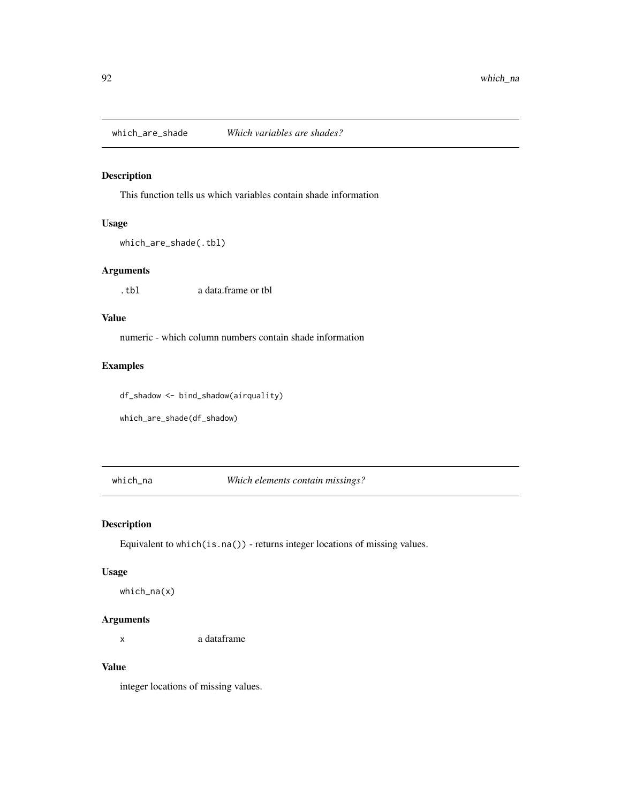<span id="page-91-1"></span>

This function tells us which variables contain shade information

# Usage

which\_are\_shade(.tbl)

## Arguments

.tbl a data.frame or tbl

## Value

numeric - which column numbers contain shade information

# Examples

df\_shadow <- bind\_shadow(airquality)

which\_are\_shade(df\_shadow)

<span id="page-91-0"></span>which\_na *Which elements contain missings?*

#### Description

Equivalent to which(is.na()) - returns integer locations of missing values.

#### Usage

which\_na(x)

# Arguments

x a dataframe

# Value

integer locations of missing values.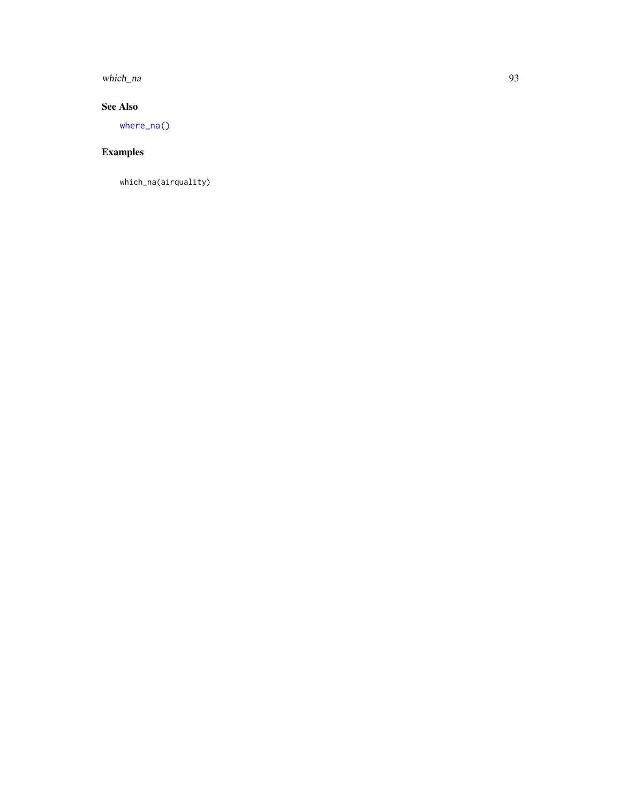<span id="page-92-0"></span>which\_na 93

# See Also

[where\\_na\(\)](#page-90-0)

# Examples

which\_na(airquality)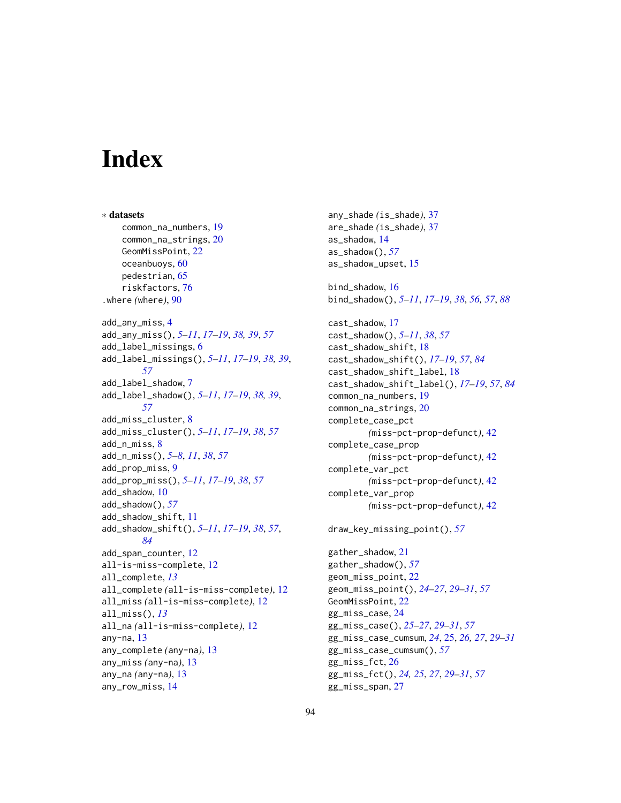# **Index**

∗ datasets common\_na\_numbers, [19](#page-18-0) common\_na\_strings, [20](#page-19-0) GeomMissPoint, [22](#page-21-0) oceanbuoys, [60](#page-59-0) pedestrian, [65](#page-64-0) riskfactors, [76](#page-75-0) .where *(*where*)*, [90](#page-89-0) add\_any\_miss, [4](#page-3-0) add\_any\_miss(), *[5](#page-4-0)[–11](#page-10-1)*, *[17–](#page-16-0)[19](#page-18-0)*, *[38,](#page-37-0) [39](#page-38-0)*, *[57](#page-56-0)* add\_label\_missings, [6](#page-5-0) add\_label\_missings(), *[5–](#page-4-0)[11](#page-10-1)*, *[17–](#page-16-0)[19](#page-18-0)*, *[38,](#page-37-0) [39](#page-38-0)*, *[57](#page-56-0)* add\_label\_shadow, [7](#page-6-0) add\_label\_shadow(), *[5–](#page-4-0)[11](#page-10-1)*, *[17–](#page-16-0)[19](#page-18-0)*, *[38,](#page-37-0) [39](#page-38-0)*, *[57](#page-56-0)* add\_miss\_cluster, [8](#page-7-0) add\_miss\_cluster(), *[5–](#page-4-0)[11](#page-10-1)*, *[17–](#page-16-0)[19](#page-18-0)*, *[38](#page-37-0)*, *[57](#page-56-0)* add\_n\_miss, [8](#page-7-0) add\_n\_miss(), *[5](#page-4-0)[–8](#page-7-0)*, *[11](#page-10-1)*, *[38](#page-37-0)*, *[57](#page-56-0)* add\_prop\_miss, [9](#page-8-0) add\_prop\_miss(), *[5](#page-4-0)[–11](#page-10-1)*, *[17–](#page-16-0)[19](#page-18-0)*, *[38](#page-37-0)*, *[57](#page-56-0)* add\_shadow, [10](#page-9-0) add\_shadow(), *[57](#page-56-0)* add\_shadow\_shift, [11](#page-10-1) add\_shadow\_shift(), *[5–](#page-4-0)[11](#page-10-1)*, *[17–](#page-16-0)[19](#page-18-0)*, *[38](#page-37-0)*, *[57](#page-56-0)*, *[84](#page-83-0)* add\_span\_counter, [12](#page-11-0) all-is-miss-complete, [12](#page-11-0) all\_complete, *[13](#page-12-0)* all\_complete *(*all-is-miss-complete*)*, [12](#page-11-0) all\_miss *(*all-is-miss-complete*)*, [12](#page-11-0) all\_miss(), *[13](#page-12-0)* all\_na *(*all-is-miss-complete*)*, [12](#page-11-0) any-na, [13](#page-12-0) any\_complete *(*any-na*)*, [13](#page-12-0) any\_miss *(*any-na*)*, [13](#page-12-0) any\_na *(*any-na*)*, [13](#page-12-0) any\_row\_miss, [14](#page-13-0)

any\_shade *(*is\_shade*)*, [37](#page-36-0) are\_shade *(*is\_shade*)*, [37](#page-36-0) as\_shadow, [14](#page-13-0) as\_shadow(), *[57](#page-56-0)* as\_shadow\_upset, [15](#page-14-0) bind\_shadow, [16](#page-15-1) bind\_shadow(), *[5](#page-4-0)[–11](#page-10-1)*, *[17](#page-16-0)[–19](#page-18-0)*, *[38](#page-37-0)*, *[56,](#page-55-0) [57](#page-56-0)*, *[88](#page-87-1)* cast\_shadow, [17](#page-16-0) cast\_shadow(), *[5](#page-4-0)[–11](#page-10-1)*, *[38](#page-37-0)*, *[57](#page-56-0)* cast\_shadow\_shift, [18](#page-17-2) cast\_shadow\_shift(), *[17](#page-16-0)[–19](#page-18-0)*, *[57](#page-56-0)*, *[84](#page-83-0)* cast\_shadow\_shift\_label, [18](#page-17-2) cast\_shadow\_shift\_label(), *[17](#page-16-0)[–19](#page-18-0)*, *[57](#page-56-0)*, *[84](#page-83-0)* common\_na\_numbers, [19](#page-18-0) common\_na\_strings, [20](#page-19-0) complete\_case\_pct *(*miss-pct-prop-defunct*)*, [42](#page-41-0) complete\_case\_prop *(*miss-pct-prop-defunct*)*, [42](#page-41-0) complete\_var\_pct *(*miss-pct-prop-defunct*)*, [42](#page-41-0) complete\_var\_prop *(*miss-pct-prop-defunct*)*, [42](#page-41-0) draw\_key\_missing\_point(), *[57](#page-56-0)* gather\_shadow, [21](#page-20-0) gather\_shadow(), *[57](#page-56-0)* geom\_miss\_point, [22](#page-21-0) geom\_miss\_point(), *[24](#page-23-0)[–27](#page-26-0)*, *[29](#page-28-0)[–31](#page-30-0)*, *[57](#page-56-0)*

GeomMissPoint, [22](#page-21-0) gg\_miss\_case, [24](#page-23-0) gg\_miss\_case(), *[25](#page-24-0)[–27](#page-26-0)*, *[29](#page-28-0)[–31](#page-30-0)*, *[57](#page-56-0)* gg\_miss\_case\_cumsum, *[24](#page-23-0)*, [25,](#page-24-0) *[26,](#page-25-0) [27](#page-26-0)*, *[29](#page-28-0)[–31](#page-30-0)* gg\_miss\_case\_cumsum(), *[57](#page-56-0)* gg\_miss\_fct, [26](#page-25-0) gg\_miss\_fct(), *[24,](#page-23-0) [25](#page-24-0)*, *[27](#page-26-0)*, *[29](#page-28-0)[–31](#page-30-0)*, *[57](#page-56-0)* gg\_miss\_span, [27](#page-26-0)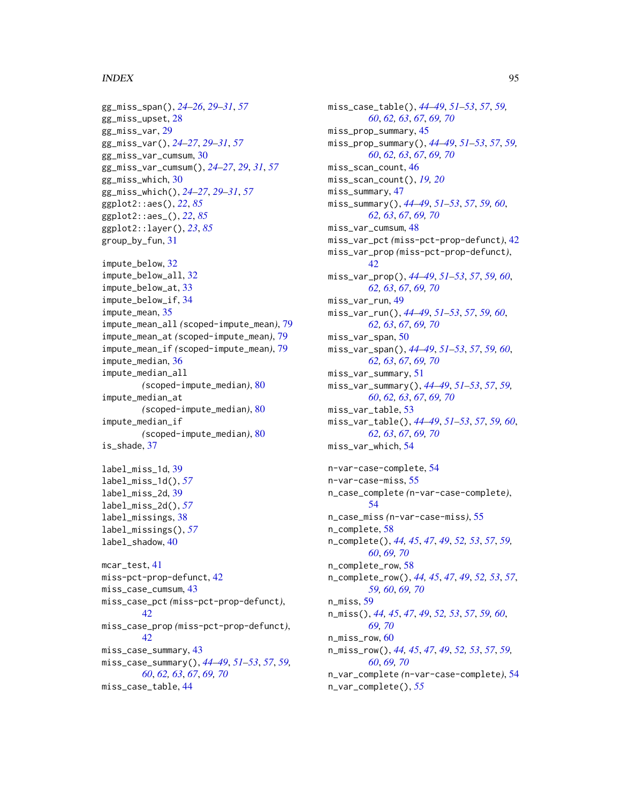#### INDEX 95

```
gg_miss_span(), 24–26, 29–31, 57
gg_miss_upset, 28
gg_miss_var, 29
gg_miss_var(), 24–27, 29–31, 57
gg_miss_var_cumsum, 30
gg_miss_var_cumsum(), 24–27, 29, 31, 57
gg_miss_which, 30
gg_miss_which(), 24–27, 29–31, 57
ggplot2::aes(), 22, 85
ggplot2::aes_(), 22, 85
ggplot2::layer(), 23, 85
group_by_fun, 31
impute_below, 32
impute_below_all, 32
impute_below_at, 33
impute_below_if, 34
impute_mean, 35
impute_mean_all (scoped-impute_mean), 79
impute_mean_at (scoped-impute_mean), 79
impute_mean_if (scoped-impute_mean), 79
impute_median, 36
impute_median_all
        (scoped-impute_median), 80
impute_median_at
        (scoped-impute_median), 80
impute_median_if
        (scoped-impute_median), 80
is_shade, 37
label_miss_1d, 39
label_miss_1d(), 57
label_miss_2d, 39
label_miss_2d(), 57
label_missings, 38
label_missings(), 57
label_shadow, 40
mcar_test, 41
miss-pct-prop-defunct, 42
miss_case_cumsum, 43
miss_case_pct (miss-pct-prop-defunct),
        42
miss_case_prop (miss-pct-prop-defunct),
        42
miss_case_summary, 43
miss_case_summary(), 44–49, 51–53, 57, 59,
        60, 62, 63, 67, 69, 70
miss_case_table, 44
```
miss\_case\_table(), *[44](#page-43-0)[–49](#page-48-0)*, *[51](#page-50-0)[–53](#page-52-0)*, *[57](#page-56-0)*, *[59,](#page-58-0) [60](#page-59-0)*, *[62,](#page-61-0) [63](#page-62-0)*, *[67](#page-66-0)*, *[69,](#page-68-0) [70](#page-69-0)* miss\_prop\_summary, [45](#page-44-0) miss\_prop\_summary(), *[44](#page-43-0)[–49](#page-48-0)*, *[51](#page-50-0)[–53](#page-52-0)*, *[57](#page-56-0)*, *[59,](#page-58-0) [60](#page-59-0)*, *[62,](#page-61-0) [63](#page-62-0)*, *[67](#page-66-0)*, *[69,](#page-68-0) [70](#page-69-0)* miss\_scan\_count, [46](#page-45-0) miss\_scan\_count(), *[19,](#page-18-0) [20](#page-19-0)* miss\_summary, [47](#page-46-0) miss\_summary(), *[44](#page-43-0)[–49](#page-48-0)*, *[51](#page-50-0)[–53](#page-52-0)*, *[57](#page-56-0)*, *[59,](#page-58-0) [60](#page-59-0)*, *[62,](#page-61-0) [63](#page-62-0)*, *[67](#page-66-0)*, *[69,](#page-68-0) [70](#page-69-0)* miss\_var\_cumsum, [48](#page-47-0) miss\_var\_pct *(*miss-pct-prop-defunct*)*, [42](#page-41-0) miss\_var\_prop *(*miss-pct-prop-defunct*)*, [42](#page-41-0) miss\_var\_prop(), *[44](#page-43-0)[–49](#page-48-0)*, *[51](#page-50-0)[–53](#page-52-0)*, *[57](#page-56-0)*, *[59,](#page-58-0) [60](#page-59-0)*, *[62,](#page-61-0) [63](#page-62-0)*, *[67](#page-66-0)*, *[69,](#page-68-0) [70](#page-69-0)* miss\_var\_run, [49](#page-48-0) miss\_var\_run(), *[44](#page-43-0)[–49](#page-48-0)*, *[51](#page-50-0)[–53](#page-52-0)*, *[57](#page-56-0)*, *[59,](#page-58-0) [60](#page-59-0)*, *[62,](#page-61-0) [63](#page-62-0)*, *[67](#page-66-0)*, *[69,](#page-68-0) [70](#page-69-0)* miss\_var\_span, [50](#page-49-0) miss\_var\_span(), *[44](#page-43-0)[–49](#page-48-0)*, *[51](#page-50-0)[–53](#page-52-0)*, *[57](#page-56-0)*, *[59,](#page-58-0) [60](#page-59-0)*, *[62,](#page-61-0) [63](#page-62-0)*, *[67](#page-66-0)*, *[69,](#page-68-0) [70](#page-69-0)* miss\_var\_summary, [51](#page-50-0) miss\_var\_summary(), *[44](#page-43-0)[–49](#page-48-0)*, *[51](#page-50-0)[–53](#page-52-0)*, *[57](#page-56-0)*, *[59,](#page-58-0) [60](#page-59-0)*, *[62,](#page-61-0) [63](#page-62-0)*, *[67](#page-66-0)*, *[69,](#page-68-0) [70](#page-69-0)* miss\_var\_table, [53](#page-52-0) miss\_var\_table(), *[44](#page-43-0)[–49](#page-48-0)*, *[51](#page-50-0)[–53](#page-52-0)*, *[57](#page-56-0)*, *[59,](#page-58-0) [60](#page-59-0)*, *[62,](#page-61-0) [63](#page-62-0)*, *[67](#page-66-0)*, *[69,](#page-68-0) [70](#page-69-0)* miss\_var\_which, [54](#page-53-0) n-var-case-complete, [54](#page-53-0) n-var-case-miss, [55](#page-54-0) n\_case\_complete *(*n-var-case-complete*)*, [54](#page-53-0) n\_case\_miss *(*n-var-case-miss*)*, [55](#page-54-0) n\_complete, [58](#page-57-0) n\_complete(), *[44,](#page-43-0) [45](#page-44-0)*, *[47](#page-46-0)*, *[49](#page-48-0)*, *[52,](#page-51-0) [53](#page-52-0)*, *[57](#page-56-0)*, *[59,](#page-58-0) [60](#page-59-0)*, *[69,](#page-68-0) [70](#page-69-0)* n\_complete\_row, [58](#page-57-0) n\_complete\_row(), *[44,](#page-43-0) [45](#page-44-0)*, *[47](#page-46-0)*, *[49](#page-48-0)*, *[52,](#page-51-0) [53](#page-52-0)*, *[57](#page-56-0)*, *[59,](#page-58-0) [60](#page-59-0)*, *[69,](#page-68-0) [70](#page-69-0)* n\_miss, [59](#page-58-0) n\_miss(), *[44,](#page-43-0) [45](#page-44-0)*, *[47](#page-46-0)*, *[49](#page-48-0)*, *[52,](#page-51-0) [53](#page-52-0)*, *[57](#page-56-0)*, *[59,](#page-58-0) [60](#page-59-0)*, *[69,](#page-68-0) [70](#page-69-0)* n\_miss\_row, [60](#page-59-0) n\_miss\_row(), *[44,](#page-43-0) [45](#page-44-0)*, *[47](#page-46-0)*, *[49](#page-48-0)*, *[52,](#page-51-0) [53](#page-52-0)*, *[57](#page-56-0)*, *[59,](#page-58-0) [60](#page-59-0)*, *[69,](#page-68-0) [70](#page-69-0)* n\_var\_complete *(*n-var-case-complete*)*, [54](#page-53-0) n\_var\_complete(), *[55](#page-54-0)*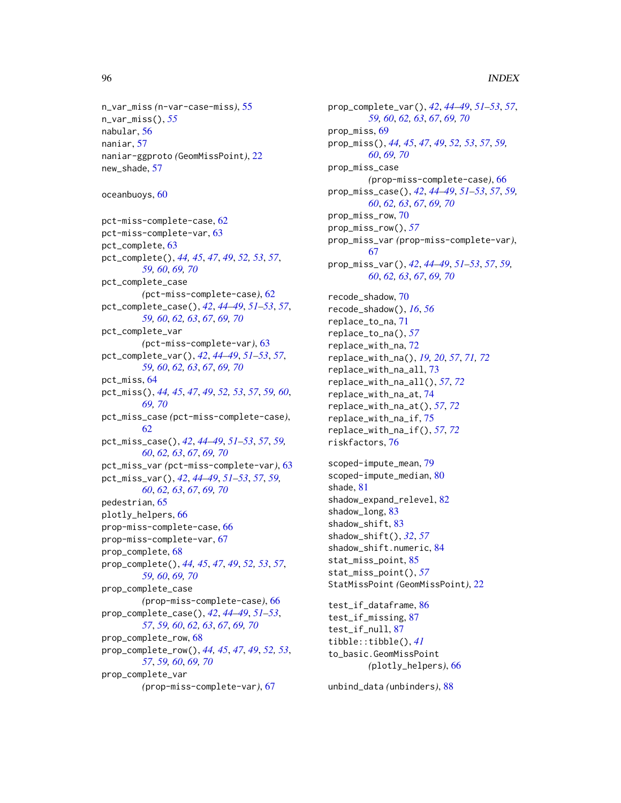## 96 **INDEX**

```
n_var_miss (n-var-case-miss), 55
n_var_miss(), 55
nabular, 56
naniar, 57
naniar-ggproto (GeomMissPoint), 22
new_shade, 57
```
oceanbuoys, [60](#page-59-0)

```
pct-miss-complete-case, 62
pct-miss-complete-var, 63
pct_complete, 63
pct_complete(), 44, 45, 47, 49, 52, 53, 57,
         59, 60, 69, 70
pct_complete_case
        (pct-miss-complete-case), 62
pct_complete_case(), 42, 44–49, 51–53, 57,
        59, 60, 62, 63, 67, 69, 70
pct_complete_var
        (pct-miss-complete-var), 63
pct_complete_var(), 42, 44–49, 51–53, 57,
        59, 60, 62, 63, 67, 69, 70
pct_miss, 64
pct_miss(), 44, 45, 47, 49, 52, 53, 57, 59, 60,
        69, 70
pct_miss_case (pct-miss-complete-case),
        62
pct_miss_case(), 42, 44–49, 51–53, 57, 59,
        60, 62, 63, 67, 69, 70
pct_miss_var (pct-miss-complete-var), 63
pct_miss_var(), 42, 44–49, 51–53, 57, 59,
        60, 62, 63, 67, 69, 70
pedestrian, 65
plotly_helpers, 66
prop-miss-complete-case, 66
prop-miss-complete-var, 67
prop_complete, 68
prop_complete(), 44, 45, 47, 49, 52, 53, 57,
        59, 60, 69, 70
prop_complete_case
        (prop-miss-complete-case), 66
prop_complete_case(), 42, 44–49, 51–53,
        57, 59, 60, 62, 63, 67, 69, 70
prop_complete_row, 68
prop_complete_row(), 44, 45, 47, 49, 52, 53,
        57, 59, 60, 69, 70
prop_complete_var
        (prop-miss-complete-var), 67
```
prop\_complete\_var(), *[42](#page-41-0)*, *[44](#page-43-0)[–49](#page-48-0)*, *[51](#page-50-0)[–53](#page-52-0)*, *[57](#page-56-0)*, *[59,](#page-58-0) [60](#page-59-0)*, *[62,](#page-61-0) [63](#page-62-0)*, *[67](#page-66-0)*, *[69,](#page-68-0) [70](#page-69-0)* prop\_miss, [69](#page-68-0) prop\_miss(), *[44,](#page-43-0) [45](#page-44-0)*, *[47](#page-46-0)*, *[49](#page-48-0)*, *[52,](#page-51-0) [53](#page-52-0)*, *[57](#page-56-0)*, *[59,](#page-58-0) [60](#page-59-0)*, *[69,](#page-68-0) [70](#page-69-0)* prop\_miss\_case *(*prop-miss-complete-case*)*, [66](#page-65-0) prop\_miss\_case(), *[42](#page-41-0)*, *[44](#page-43-0)[–49](#page-48-0)*, *[51](#page-50-0)[–53](#page-52-0)*, *[57](#page-56-0)*, *[59,](#page-58-0) [60](#page-59-0)*, *[62,](#page-61-0) [63](#page-62-0)*, *[67](#page-66-0)*, *[69,](#page-68-0) [70](#page-69-0)* prop\_miss\_row, [70](#page-69-0) prop\_miss\_row(), *[57](#page-56-0)* prop\_miss\_var *(*prop-miss-complete-var*)*, [67](#page-66-0) prop\_miss\_var(), *[42](#page-41-0)*, *[44](#page-43-0)[–49](#page-48-0)*, *[51](#page-50-0)[–53](#page-52-0)*, *[57](#page-56-0)*, *[59,](#page-58-0) [60](#page-59-0)*, *[62,](#page-61-0) [63](#page-62-0)*, *[67](#page-66-0)*, *[69,](#page-68-0) [70](#page-69-0)* recode\_shadow, [70](#page-69-0) recode\_shadow(), *[16](#page-15-1)*, *[56](#page-55-0)* replace\_to\_na, [71](#page-70-0) replace\_to\_na(), *[57](#page-56-0)* replace\_with\_na, [72](#page-71-0) replace\_with\_na(), *[19,](#page-18-0) [20](#page-19-0)*, *[57](#page-56-0)*, *[71,](#page-70-0) [72](#page-71-0)* replace\_with\_na\_all, [73](#page-72-0) replace\_with\_na\_all(), *[57](#page-56-0)*, *[72](#page-71-0)* replace\_with\_na\_at, [74](#page-73-0) replace\_with\_na\_at(), *[57](#page-56-0)*, *[72](#page-71-0)* replace\_with\_na\_if, [75](#page-74-0) replace\_with\_na\_if(), *[57](#page-56-0)*, *[72](#page-71-0)* riskfactors, [76](#page-75-0) scoped-impute\_mean, [79](#page-78-0) scoped-impute\_median, [80](#page-79-0) shade, [81](#page-80-0) shadow\_expand\_relevel, [82](#page-81-0) shadow\_long, [83](#page-82-0) shadow\_shift, [83](#page-82-0) shadow\_shift(), *[32](#page-31-0)*, *[57](#page-56-0)* shadow\_shift.numeric, [84](#page-83-0) stat\_miss\_point, [85](#page-84-0) stat\_miss\_point(), *[57](#page-56-0)* StatMissPoint *(*GeomMissPoint*)*, [22](#page-21-0) test\_if\_dataframe, [86](#page-85-0) test\_if\_missing, [87](#page-86-0) test\_if\_null, [87](#page-86-0) tibble::tibble(), *[41](#page-40-0)* to\_basic.GeomMissPoint *(*plotly\_helpers*)*, [66](#page-65-0)

unbind\_data *(*unbinders*)*, [88](#page-87-1)